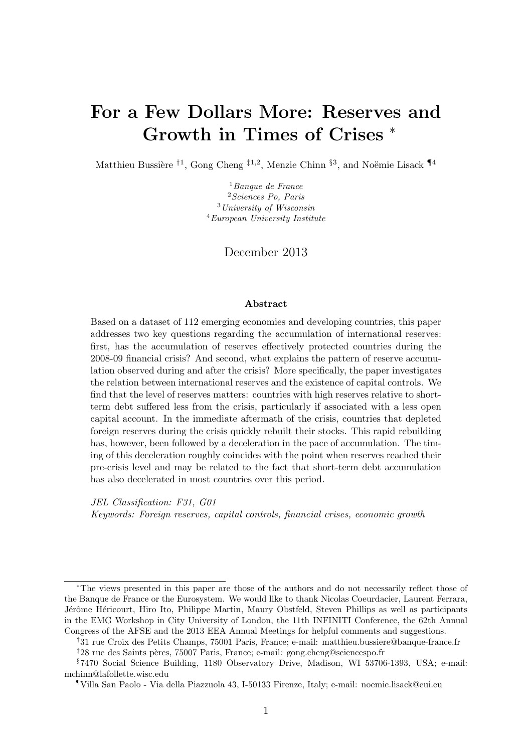# For a Few Dollars More: Reserves and Growth in Times of Crises <sup>∗</sup>

Matthieu Bussière <sup>†1</sup>, Gong Cheng <sup>‡1,2</sup>, Menzie Chinn <sup>§3</sup>, and Noëmie Lisack  $\P^4$ 

 $<sup>1</sup>Banque de France$ </sup> <sup>2</sup>Sciences Po, Paris <sup>3</sup>University of Wisconsin  ${}^{4}E$ uropean University Institute

### December 2013

#### Abstract

Based on a dataset of 112 emerging economies and developing countries, this paper addresses two key questions regarding the accumulation of international reserves: first, has the accumulation of reserves effectively protected countries during the 2008-09 financial crisis? And second, what explains the pattern of reserve accumulation observed during and after the crisis? More specifically, the paper investigates the relation between international reserves and the existence of capital controls. We find that the level of reserves matters: countries with high reserves relative to shortterm debt suffered less from the crisis, particularly if associated with a less open capital account. In the immediate aftermath of the crisis, countries that depleted foreign reserves during the crisis quickly rebuilt their stocks. This rapid rebuilding has, however, been followed by a deceleration in the pace of accumulation. The timing of this deceleration roughly coincides with the point when reserves reached their pre-crisis level and may be related to the fact that short-term debt accumulation has also decelerated in most countries over this period.

JEL Classification: F31, G01 Keywords: Foreign reserves, capital controls, financial crises, economic growth

<sup>∗</sup>The views presented in this paper are those of the authors and do not necessarily reflect those of the Banque de France or the Eurosystem. We would like to thank Nicolas Coeurdacier, Laurent Ferrara, Jérôme Héricourt, Hiro Ito, Philippe Martin, Maury Obstfeld, Steven Phillips as well as participants in the EMG Workshop in City University of London, the 11th INFINITI Conference, the 62th Annual Congress of the AFSE and the 2013 EEA Annual Meetings for helpful comments and suggestions.

<sup>†</sup>31 rue Croix des Petits Champs, 75001 Paris, France; e-mail: matthieu.bussiere@banque-france.fr

 $\frac{1}{2}28$  rue des Saints pères, 75007 Paris, France; e-mail: gong.cheng@sciencespo.fr

<sup>§</sup>7470 Social Science Building, 1180 Observatory Drive, Madison, WI 53706-1393, USA; e-mail: mchinn@lafollette.wisc.edu

<sup>¶</sup>Villa San Paolo - Via della Piazzuola 43, I-50133 Firenze, Italy; e-mail: noemie.lisack@eui.eu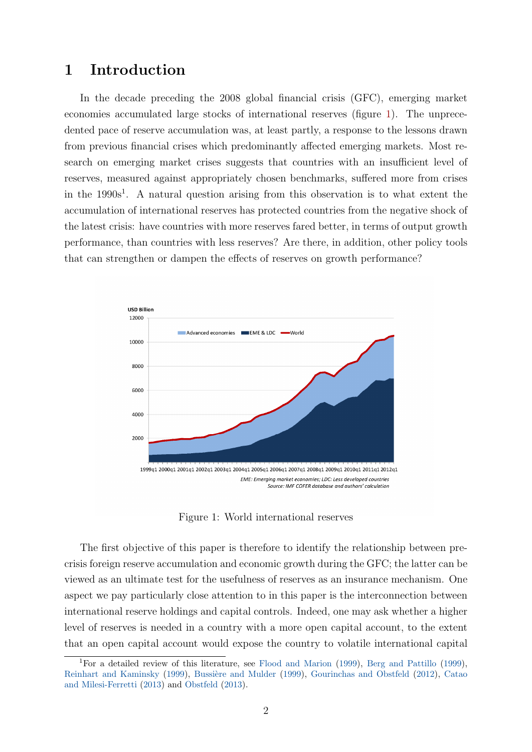### 1 Introduction

In the decade preceding the 2008 global financial crisis (GFC), emerging market economies accumulated large stocks of international reserves (figure [1\)](#page-1-0). The unprecedented pace of reserve accumulation was, at least partly, a response to the lessons drawn from previous financial crises which predominantly affected emerging markets. Most research on emerging market crises suggests that countries with an insufficient level of reserves, measured against appropriately chosen benchmarks, suffered more from crises in the  $1990s<sup>1</sup>$ . A natural question arising from this observation is to what extent the accumulation of international reserves has protected countries from the negative shock of the latest crisis: have countries with more reserves fared better, in terms of output growth performance, than countries with less reserves? Are there, in addition, other policy tools that can strengthen or dampen the effects of reserves on growth performance?

<span id="page-1-0"></span>

Figure 1: World international reserves

The first objective of this paper is therefore to identify the relationship between precrisis foreign reserve accumulation and economic growth during the GFC; the latter can be viewed as an ultimate test for the usefulness of reserves as an insurance mechanism. One aspect we pay particularly close attention to in this paper is the interconnection between international reserve holdings and capital controls. Indeed, one may ask whether a higher level of reserves is needed in a country with a more open capital account, to the extent that an open capital account would expose the country to volatile international capital

<sup>1</sup>For a detailed review of this literature, see [Flood and Marion](#page-35-0) [\(1999\)](#page-35-0), [Berg and Pattillo](#page-34-0) [\(1999\)](#page-34-0), [Reinhart and Kaminsky](#page-36-0) [\(1999\)](#page-35-1), Bussière and Mulder (1999), [Gourinchas and Obstfeld](#page-35-2) [\(2012\)](#page-35-2), [Catao](#page-35-3) [and Milesi-Ferretti](#page-35-3) [\(2013\)](#page-35-3) and [Obstfeld](#page-36-1) [\(2013\)](#page-36-1).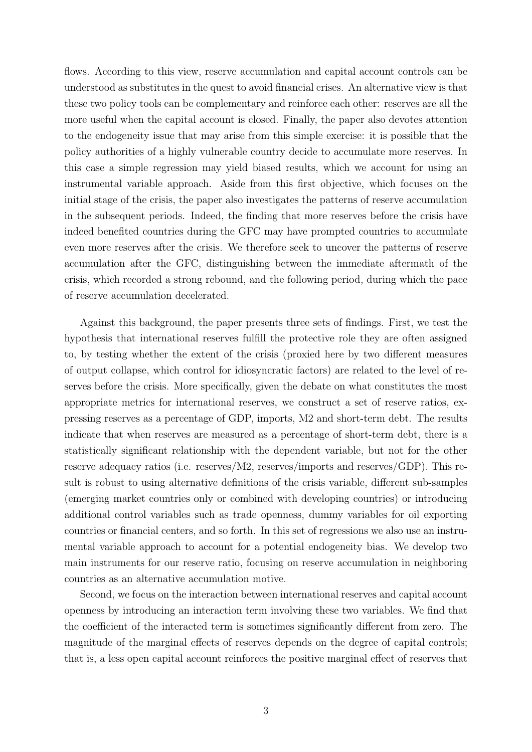flows. According to this view, reserve accumulation and capital account controls can be understood as substitutes in the quest to avoid financial crises. An alternative view is that these two policy tools can be complementary and reinforce each other: reserves are all the more useful when the capital account is closed. Finally, the paper also devotes attention to the endogeneity issue that may arise from this simple exercise: it is possible that the policy authorities of a highly vulnerable country decide to accumulate more reserves. In this case a simple regression may yield biased results, which we account for using an instrumental variable approach. Aside from this first objective, which focuses on the initial stage of the crisis, the paper also investigates the patterns of reserve accumulation in the subsequent periods. Indeed, the finding that more reserves before the crisis have indeed benefited countries during the GFC may have prompted countries to accumulate even more reserves after the crisis. We therefore seek to uncover the patterns of reserve accumulation after the GFC, distinguishing between the immediate aftermath of the crisis, which recorded a strong rebound, and the following period, during which the pace of reserve accumulation decelerated.

Against this background, the paper presents three sets of findings. First, we test the hypothesis that international reserves fulfill the protective role they are often assigned to, by testing whether the extent of the crisis (proxied here by two different measures of output collapse, which control for idiosyncratic factors) are related to the level of reserves before the crisis. More specifically, given the debate on what constitutes the most appropriate metrics for international reserves, we construct a set of reserve ratios, expressing reserves as a percentage of GDP, imports, M2 and short-term debt. The results indicate that when reserves are measured as a percentage of short-term debt, there is a statistically significant relationship with the dependent variable, but not for the other reserve adequacy ratios (i.e. reserves/M2, reserves/imports and reserves/GDP). This result is robust to using alternative definitions of the crisis variable, different sub-samples (emerging market countries only or combined with developing countries) or introducing additional control variables such as trade openness, dummy variables for oil exporting countries or financial centers, and so forth. In this set of regressions we also use an instrumental variable approach to account for a potential endogeneity bias. We develop two main instruments for our reserve ratio, focusing on reserve accumulation in neighboring countries as an alternative accumulation motive.

Second, we focus on the interaction between international reserves and capital account openness by introducing an interaction term involving these two variables. We find that the coefficient of the interacted term is sometimes significantly different from zero. The magnitude of the marginal effects of reserves depends on the degree of capital controls; that is, a less open capital account reinforces the positive marginal effect of reserves that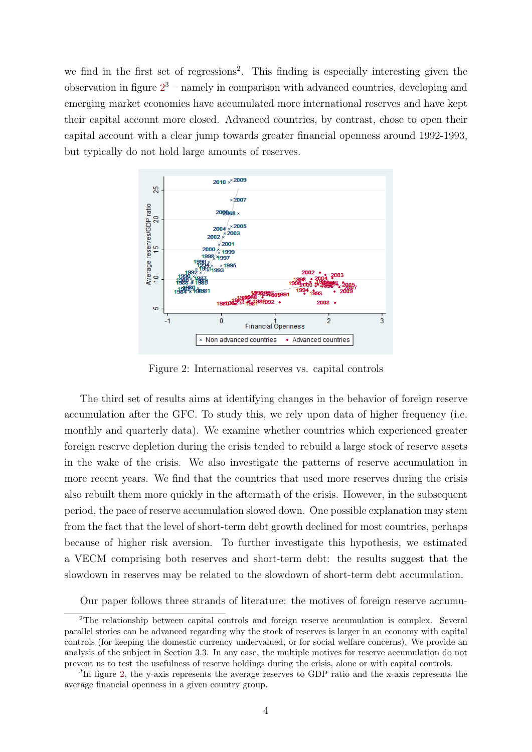we find in the first set of regressions<sup>2</sup>. This finding is especially interesting given the observation in figure  $2<sup>3</sup>$  $2<sup>3</sup>$  – namely in comparison with advanced countries, developing and emerging market economies have accumulated more international reserves and have kept their capital account more closed. Advanced countries, by contrast, chose to open their capital account with a clear jump towards greater financial openness around 1992-1993, but typically do not hold large amounts of reserves.

<span id="page-3-0"></span>

Figure 2: International reserves vs. capital controls

The third set of results aims at identifying changes in the behavior of foreign reserve accumulation after the GFC. To study this, we rely upon data of higher frequency (i.e. monthly and quarterly data). We examine whether countries which experienced greater foreign reserve depletion during the crisis tended to rebuild a large stock of reserve assets in the wake of the crisis. We also investigate the patterns of reserve accumulation in more recent years. We find that the countries that used more reserves during the crisis also rebuilt them more quickly in the aftermath of the crisis. However, in the subsequent period, the pace of reserve accumulation slowed down. One possible explanation may stem from the fact that the level of short-term debt growth declined for most countries, perhaps because of higher risk aversion. To further investigate this hypothesis, we estimated a VECM comprising both reserves and short-term debt: the results suggest that the slowdown in reserves may be related to the slowdown of short-term debt accumulation.

Our paper follows three strands of literature: the motives of foreign reserve accumu-

<sup>&</sup>lt;sup>2</sup>The relationship between capital controls and foreign reserve accumulation is complex. Several parallel stories can be advanced regarding why the stock of reserves is larger in an economy with capital controls (for keeping the domestic currency undervalued, or for social welfare concerns). We provide an analysis of the subject in Section 3.3. In any case, the multiple motives for reserve accumulation do not prevent us to test the usefulness of reserve holdings during the crisis, alone or with capital controls.

<sup>&</sup>lt;sup>3</sup>In figure [2,](#page-3-0) the y-axis represents the average reserves to GDP ratio and the x-axis represents the average financial openness in a given country group.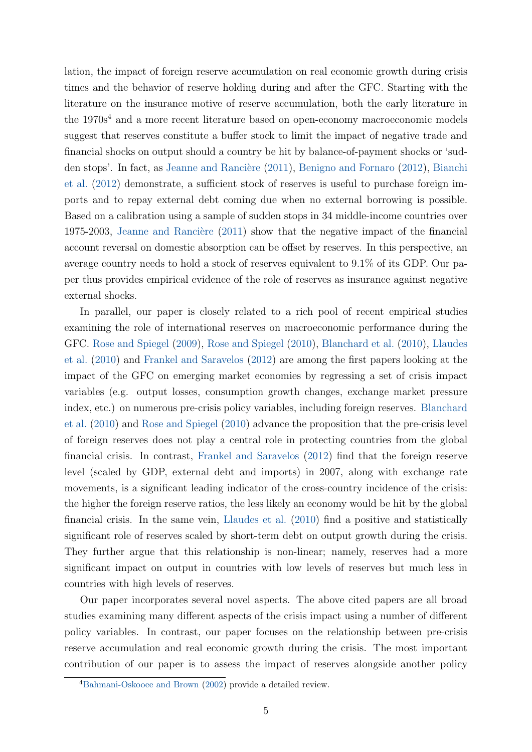lation, the impact of foreign reserve accumulation on real economic growth during crisis times and the behavior of reserve holding during and after the GFC. Starting with the literature on the insurance motive of reserve accumulation, both the early literature in the  $1970s<sup>4</sup>$  and a more recent literature based on open-economy macroeconomic models suggest that reserves constitute a buffer stock to limit the impact of negative trade and financial shocks on output should a country be hit by balance-of-payment shocks or 'sud-den stops'. In fact, as Jeanne and Rancière [\(2011\)](#page-35-4), [Benigno and Fornaro](#page-34-1) [\(2012\)](#page-34-1), [Bianchi](#page-34-2) [et al.](#page-34-2) [\(2012\)](#page-34-2) demonstrate, a sufficient stock of reserves is useful to purchase foreign imports and to repay external debt coming due when no external borrowing is possible. Based on a calibration using a sample of sudden stops in 34 middle-income countries over 1975-2003, Jeanne and Rancière  $(2011)$  show that the negative impact of the financial account reversal on domestic absorption can be offset by reserves. In this perspective, an average country needs to hold a stock of reserves equivalent to 9.1% of its GDP. Our paper thus provides empirical evidence of the role of reserves as insurance against negative external shocks.

In parallel, our paper is closely related to a rich pool of recent empirical studies examining the role of international reserves on macroeconomic performance during the GFC. [Rose and Spiegel](#page-36-2) [\(2009\)](#page-36-2), [Rose and Spiegel](#page-36-3) [\(2010\)](#page-36-3), [Blanchard et al.](#page-35-5) [\(2010\)](#page-35-5), [Llaudes](#page-36-4) [et al.](#page-36-4) [\(2010\)](#page-36-4) and [Frankel and Saravelos](#page-35-6) [\(2012\)](#page-35-6) are among the first papers looking at the impact of the GFC on emerging market economies by regressing a set of crisis impact variables (e.g. output losses, consumption growth changes, exchange market pressure index, etc.) on numerous pre-crisis policy variables, including foreign reserves. [Blanchard](#page-35-5) [et al.](#page-35-5) [\(2010\)](#page-35-5) and [Rose and Spiegel](#page-36-3) [\(2010\)](#page-36-3) advance the proposition that the pre-crisis level of foreign reserves does not play a central role in protecting countries from the global financial crisis. In contrast, [Frankel and Saravelos](#page-35-6) [\(2012\)](#page-35-6) find that the foreign reserve level (scaled by GDP, external debt and imports) in 2007, along with exchange rate movements, is a significant leading indicator of the cross-country incidence of the crisis: the higher the foreign reserve ratios, the less likely an economy would be hit by the global financial crisis. In the same vein, [Llaudes et al.](#page-36-4) [\(2010\)](#page-36-4) find a positive and statistically significant role of reserves scaled by short-term debt on output growth during the crisis. They further argue that this relationship is non-linear; namely, reserves had a more significant impact on output in countries with low levels of reserves but much less in countries with high levels of reserves.

Our paper incorporates several novel aspects. The above cited papers are all broad studies examining many different aspects of the crisis impact using a number of different policy variables. In contrast, our paper focuses on the relationship between pre-crisis reserve accumulation and real economic growth during the crisis. The most important contribution of our paper is to assess the impact of reserves alongside another policy

<sup>4</sup>[Bahmani-Oskooee and Brown](#page-34-3) [\(2002\)](#page-34-3) provide a detailed review.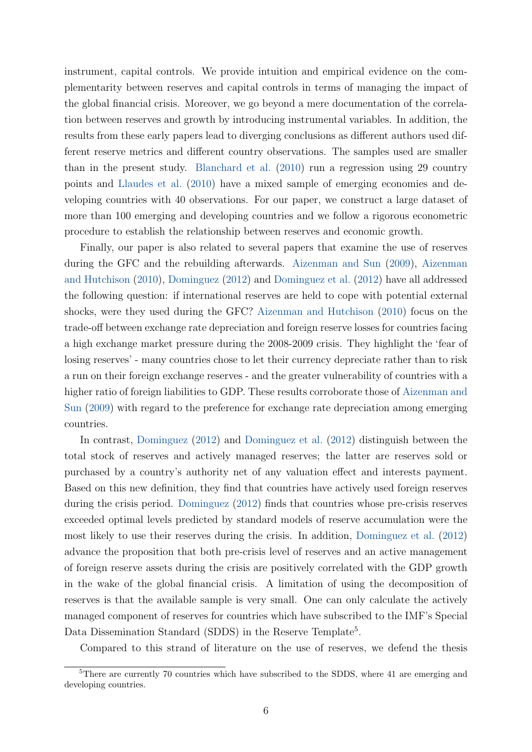instrument, capital controls. We provide intuition and empirical evidence on the complementarity between reserves and capital controls in terms of managing the impact of the global financial crisis. Moreover, we go beyond a mere documentation of the correlation between reserves and growth by introducing instrumental variables. In addition, the results from these early papers lead to diverging conclusions as different authors used different reserve metrics and different country observations. The samples used are smaller than in the present study. [Blanchard et al.](#page-35-5) [\(2010\)](#page-35-5) run a regression using 29 country points and [Llaudes et al.](#page-36-4) [\(2010\)](#page-36-4) have a mixed sample of emerging economies and developing countries with 40 observations. For our paper, we construct a large dataset of more than 100 emerging and developing countries and we follow a rigorous econometric procedure to establish the relationship between reserves and economic growth.

Finally, our paper is also related to several papers that examine the use of reserves during the GFC and the rebuilding afterwards. [Aizenman and Sun](#page-34-4) [\(2009\)](#page-34-4), [Aizenman](#page-34-5) [and Hutchison](#page-34-5) [\(2010\)](#page-34-5), [Dominguez](#page-35-7) [\(2012\)](#page-35-7) and [Dominguez et al.](#page-35-8) [\(2012\)](#page-35-8) have all addressed the following question: if international reserves are held to cope with potential external shocks, were they used during the GFC? [Aizenman and Hutchison](#page-34-5) [\(2010\)](#page-34-5) focus on the trade-off between exchange rate depreciation and foreign reserve losses for countries facing a high exchange market pressure during the 2008-2009 crisis. They highlight the 'fear of losing reserves' - many countries chose to let their currency depreciate rather than to risk a run on their foreign exchange reserves - and the greater vulnerability of countries with a higher ratio of foreign liabilities to GDP. These results corroborate those of [Aizenman and](#page-34-4) [Sun](#page-34-4) [\(2009\)](#page-34-4) with regard to the preference for exchange rate depreciation among emerging countries.

In contrast, [Dominguez](#page-35-7) [\(2012\)](#page-35-7) and [Dominguez et al.](#page-35-8) [\(2012\)](#page-35-8) distinguish between the total stock of reserves and actively managed reserves; the latter are reserves sold or purchased by a country's authority net of any valuation effect and interests payment. Based on this new definition, they find that countries have actively used foreign reserves during the crisis period. [Dominguez](#page-35-7) [\(2012\)](#page-35-7) finds that countries whose pre-crisis reserves exceeded optimal levels predicted by standard models of reserve accumulation were the most likely to use their reserves during the crisis. In addition, [Dominguez et al.](#page-35-8) [\(2012\)](#page-35-8) advance the proposition that both pre-crisis level of reserves and an active management of foreign reserve assets during the crisis are positively correlated with the GDP growth in the wake of the global financial crisis. A limitation of using the decomposition of reserves is that the available sample is very small. One can only calculate the actively managed component of reserves for countries which have subscribed to the IMF's Special Data Dissemination Standard (SDDS) in the Reserve Template<sup>5</sup>.

Compared to this strand of literature on the use of reserves, we defend the thesis

<sup>&</sup>lt;sup>5</sup>There are currently 70 countries which have subscribed to the SDDS, where 41 are emerging and developing countries.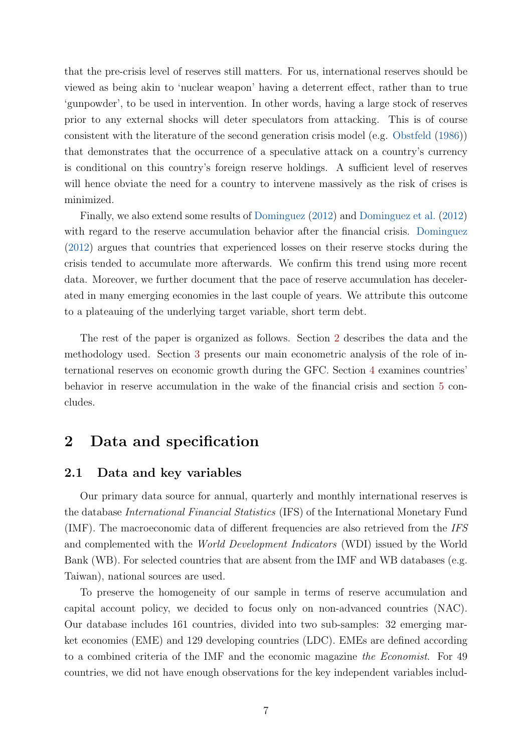that the pre-crisis level of reserves still matters. For us, international reserves should be viewed as being akin to 'nuclear weapon' having a deterrent effect, rather than to true 'gunpowder', to be used in intervention. In other words, having a large stock of reserves prior to any external shocks will deter speculators from attacking. This is of course consistent with the literature of the second generation crisis model (e.g. [Obstfeld](#page-36-5) [\(1986\)](#page-36-5)) that demonstrates that the occurrence of a speculative attack on a country's currency is conditional on this country's foreign reserve holdings. A sufficient level of reserves will hence obviate the need for a country to intervene massively as the risk of crises is minimized.

Finally, we also extend some results of [Dominguez](#page-35-7) [\(2012\)](#page-35-7) and [Dominguez et al.](#page-35-8) [\(2012\)](#page-35-8) with regard to the reserve accumulation behavior after the financial crisis. [Dominguez](#page-35-7) [\(2012\)](#page-35-7) argues that countries that experienced losses on their reserve stocks during the crisis tended to accumulate more afterwards. We confirm this trend using more recent data. Moreover, we further document that the pace of reserve accumulation has decelerated in many emerging economies in the last couple of years. We attribute this outcome to a plateauing of the underlying target variable, short term debt.

The rest of the paper is organized as follows. Section [2](#page-6-0) describes the data and the methodology used. Section [3](#page-11-0) presents our main econometric analysis of the role of international reserves on economic growth during the GFC. Section [4](#page-24-0) examines countries' behavior in reserve accumulation in the wake of the financial crisis and section [5](#page-33-0) concludes.

## <span id="page-6-0"></span>2 Data and specification

#### 2.1 Data and key variables

Our primary data source for annual, quarterly and monthly international reserves is the database International Financial Statistics (IFS) of the International Monetary Fund (IMF). The macroeconomic data of different frequencies are also retrieved from the IFS and complemented with the World Development Indicators (WDI) issued by the World Bank (WB). For selected countries that are absent from the IMF and WB databases (e.g. Taiwan), national sources are used.

To preserve the homogeneity of our sample in terms of reserve accumulation and capital account policy, we decided to focus only on non-advanced countries (NAC). Our database includes 161 countries, divided into two sub-samples: 32 emerging market economies (EME) and 129 developing countries (LDC). EMEs are defined according to a combined criteria of the IMF and the economic magazine the Economist. For 49 countries, we did not have enough observations for the key independent variables includ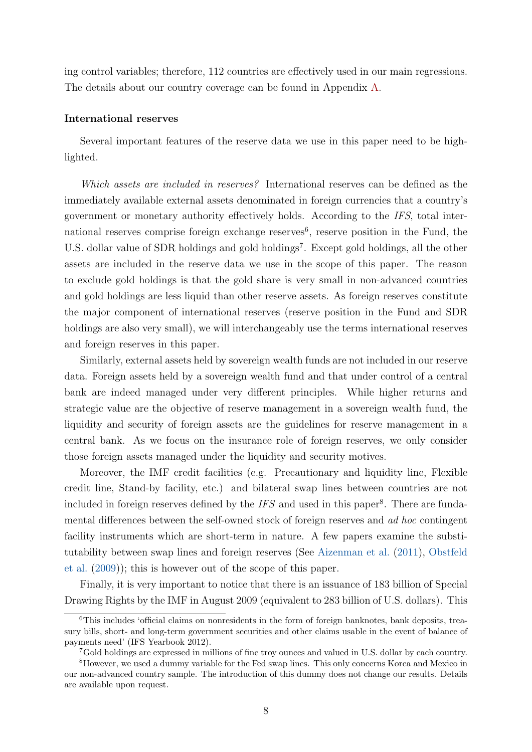ing control variables; therefore, 112 countries are effectively used in our main regressions. The details about our country coverage can be found in Appendix [A.](#page-37-0)

#### International reserves

Several important features of the reserve data we use in this paper need to be highlighted.

Which assets are included in reserves? International reserves can be defined as the immediately available external assets denominated in foreign currencies that a country's government or monetary authority effectively holds. According to the IFS, total international reserves comprise foreign exchange reserves<sup>6</sup>, reserve position in the Fund, the U.S. dollar value of SDR holdings and gold holdings<sup>7</sup>. Except gold holdings, all the other assets are included in the reserve data we use in the scope of this paper. The reason to exclude gold holdings is that the gold share is very small in non-advanced countries and gold holdings are less liquid than other reserve assets. As foreign reserves constitute the major component of international reserves (reserve position in the Fund and SDR holdings are also very small), we will interchangeably use the terms international reserves and foreign reserves in this paper.

Similarly, external assets held by sovereign wealth funds are not included in our reserve data. Foreign assets held by a sovereign wealth fund and that under control of a central bank are indeed managed under very different principles. While higher returns and strategic value are the objective of reserve management in a sovereign wealth fund, the liquidity and security of foreign assets are the guidelines for reserve management in a central bank. As we focus on the insurance role of foreign reserves, we only consider those foreign assets managed under the liquidity and security motives.

Moreover, the IMF credit facilities (e.g. Precautionary and liquidity line, Flexible credit line, Stand-by facility, etc.) and bilateral swap lines between countries are not included in foreign reserves defined by the  $IFS$  and used in this paper<sup>8</sup>. There are fundamental differences between the self-owned stock of foreign reserves and ad hoc contingent facility instruments which are short-term in nature. A few papers examine the substitutability between swap lines and foreign reserves (See [Aizenman et al.](#page-34-6) [\(2011\)](#page-34-6), [Obstfeld](#page-36-6) [et al.](#page-36-6) [\(2009\)](#page-36-6)); this is however out of the scope of this paper.

Finally, it is very important to notice that there is an issuance of 183 billion of Special Drawing Rights by the IMF in August 2009 (equivalent to 283 billion of U.S. dollars). This

<sup>6</sup>This includes 'official claims on nonresidents in the form of foreign banknotes, bank deposits, treasury bills, short- and long-term government securities and other claims usable in the event of balance of payments need' (IFS Yearbook 2012).

<sup>7</sup>Gold holdings are expressed in millions of fine troy ounces and valued in U.S. dollar by each country.

<sup>8</sup>However, we used a dummy variable for the Fed swap lines. This only concerns Korea and Mexico in our non-advanced country sample. The introduction of this dummy does not change our results. Details are available upon request.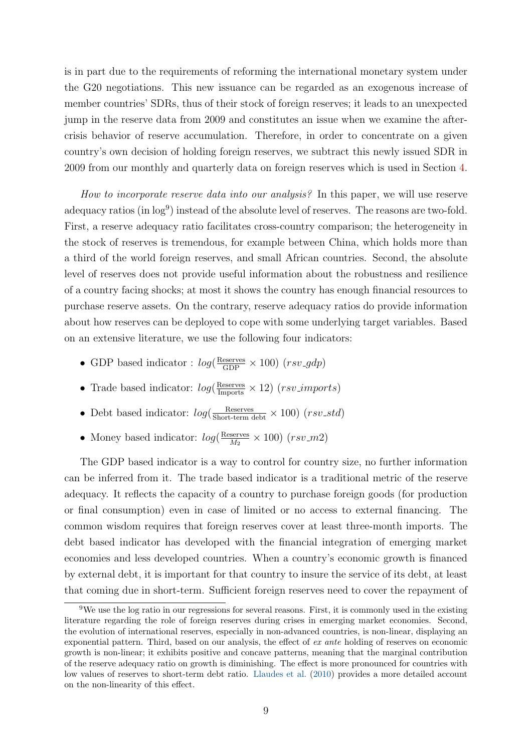is in part due to the requirements of reforming the international monetary system under the G20 negotiations. This new issuance can be regarded as an exogenous increase of member countries' SDRs, thus of their stock of foreign reserves; it leads to an unexpected jump in the reserve data from 2009 and constitutes an issue when we examine the aftercrisis behavior of reserve accumulation. Therefore, in order to concentrate on a given country's own decision of holding foreign reserves, we subtract this newly issued SDR in 2009 from our monthly and quarterly data on foreign reserves which is used in Section [4.](#page-24-0)

How to incorporate reserve data into our analysis? In this paper, we will use reserve adequacy ratios (in  $log^9$ ) instead of the absolute level of reserves. The reasons are two-fold. First, a reserve adequacy ratio facilitates cross-country comparison; the heterogeneity in the stock of reserves is tremendous, for example between China, which holds more than a third of the world foreign reserves, and small African countries. Second, the absolute level of reserves does not provide useful information about the robustness and resilience of a country facing shocks; at most it shows the country has enough financial resources to purchase reserve assets. On the contrary, reserve adequacy ratios do provide information about how reserves can be deployed to cope with some underlying target variables. Based on an extensive literature, we use the following four indicators:

- GDP based indicator :  $log(\frac{\text{Reserves}}{\text{GDP}} \times 100)$   $(rsv\_gdp)$
- Trade based indicator:  $log(\frac{\text{Reserves}}{\text{Imports}} \times 12)$  (rsv\_imports)
- Debt based indicator:  $log(\frac{Reserves}{Short-term debt} \times 100)$  (rsv\_std)
- Money based indicator:  $log(\frac{\text{Reserves}}{M_0})$  $\frac{\text{sevves}}{M_2} \times 100 \text{ (}rsv$ <sub>-</sub>m2)

The GDP based indicator is a way to control for country size, no further information can be inferred from it. The trade based indicator is a traditional metric of the reserve adequacy. It reflects the capacity of a country to purchase foreign goods (for production or final consumption) even in case of limited or no access to external financing. The common wisdom requires that foreign reserves cover at least three-month imports. The debt based indicator has developed with the financial integration of emerging market economies and less developed countries. When a country's economic growth is financed by external debt, it is important for that country to insure the service of its debt, at least that coming due in short-term. Sufficient foreign reserves need to cover the repayment of

<sup>&</sup>lt;sup>9</sup>We use the log ratio in our regressions for several reasons. First, it is commonly used in the existing literature regarding the role of foreign reserves during crises in emerging market economies. Second, the evolution of international reserves, especially in non-advanced countries, is non-linear, displaying an exponential pattern. Third, based on our analysis, the effect of ex ante holding of reserves on economic growth is non-linear; it exhibits positive and concave patterns, meaning that the marginal contribution of the reserve adequacy ratio on growth is diminishing. The effect is more pronounced for countries with low values of reserves to short-term debt ratio. [Llaudes et al.](#page-36-4) [\(2010\)](#page-36-4) provides a more detailed account on the non-linearity of this effect.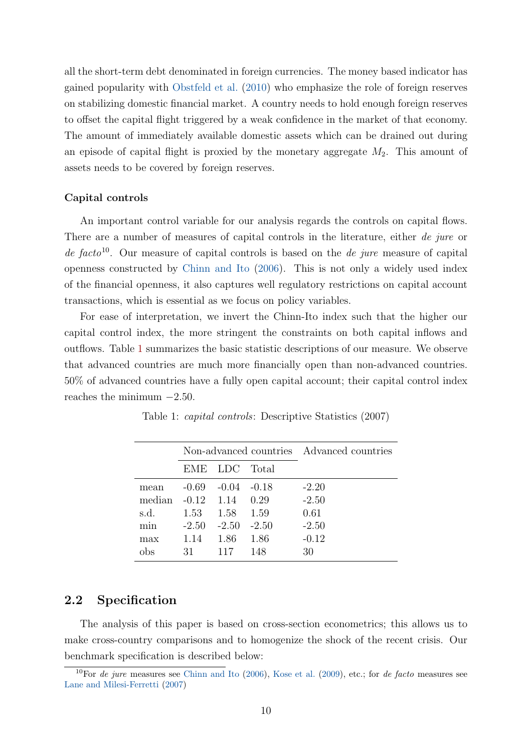all the short-term debt denominated in foreign currencies. The money based indicator has gained popularity with [Obstfeld et al.](#page-36-7) [\(2010\)](#page-36-7) who emphasize the role of foreign reserves on stabilizing domestic financial market. A country needs to hold enough foreign reserves to offset the capital flight triggered by a weak confidence in the market of that economy. The amount of immediately available domestic assets which can be drained out during an episode of capital flight is proxied by the monetary aggregate  $M_2$ . This amount of assets needs to be covered by foreign reserves.

#### Capital controls

An important control variable for our analysis regards the controls on capital flows. There are a number of measures of capital controls in the literature, either de jure or de facto<sup>10</sup>. Our measure of capital controls is based on the *de jure* measure of capital openness constructed by [Chinn and Ito](#page-35-9) [\(2006\)](#page-35-9). This is not only a widely used index of the financial openness, it also captures well regulatory restrictions on capital account transactions, which is essential as we focus on policy variables.

For ease of interpretation, we invert the Chinn-Ito index such that the higher our capital control index, the more stringent the constraints on both capital inflows and outflows. Table [1](#page-9-0) summarizes the basic statistic descriptions of our measure. We observe that advanced countries are much more financially open than non-advanced countries. 50% of advanced countries have a fully open capital account; their capital control index reaches the minimum  $-2.50$ .

|        |         | Non-advanced countries Advanced countries |         |         |
|--------|---------|-------------------------------------------|---------|---------|
|        | EME     | LDC Total                                 |         |         |
| mean   | $-0.69$ | $-(1.04)$                                 | $-0.18$ | $-2.20$ |
| median | $-0.12$ | 1.14                                      | 0.29    | $-2.50$ |
| s.d.   | 1.53    | 1.58                                      | 1.59    | 0.61    |
| min    | $-2.50$ | $-2.50$                                   | $-2.50$ | $-2.50$ |
| max    | 1.14    | 1.86                                      | 1.86    | $-0.12$ |
| obs    | 31      | 117                                       | 148     | 30      |

<span id="page-9-0"></span>Table 1: capital controls: Descriptive Statistics (2007)

### 2.2 Specification

The analysis of this paper is based on cross-section econometrics; this allows us to make cross-country comparisons and to homogenize the shock of the recent crisis. Our benchmark specification is described below:

 $10$ For de jure measures see [Chinn and Ito](#page-35-9) [\(2006\)](#page-35-9), [Kose et al.](#page-36-8) [\(2009\)](#page-36-8), etc.; for de facto measures see [Lane and Milesi-Ferretti](#page-36-9) [\(2007\)](#page-36-9)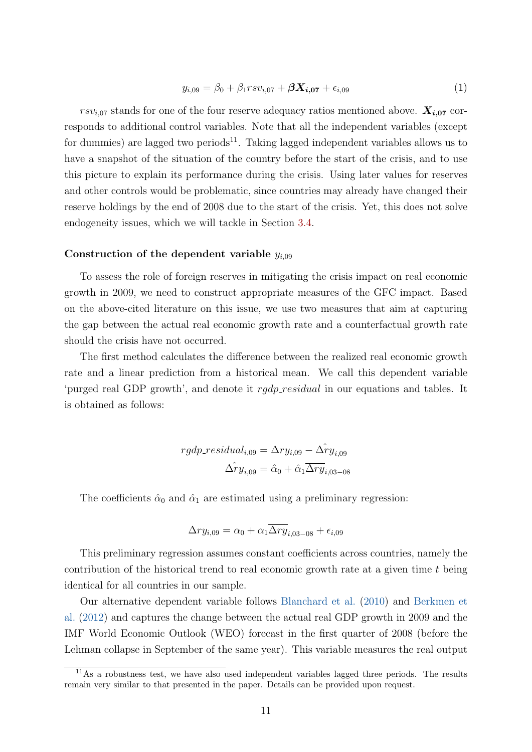<span id="page-10-0"></span>
$$
y_{i,09} = \beta_0 + \beta_1 r s v_{i,07} + \beta \mathbf{X}_{i,07} + \epsilon_{i,09} \tag{1}
$$

 $rsv_{i,07}$  stands for one of the four reserve adequacy ratios mentioned above.  $X_{i,07}$  corresponds to additional control variables. Note that all the independent variables (except for dummies) are lagged two periods<sup>11</sup>. Taking lagged independent variables allows us to have a snapshot of the situation of the country before the start of the crisis, and to use this picture to explain its performance during the crisis. Using later values for reserves and other controls would be problematic, since countries may already have changed their reserve holdings by the end of 2008 due to the start of the crisis. Yet, this does not solve endogeneity issues, which we will tackle in Section [3.4.](#page-18-0)

#### Construction of the dependent variable  $y_{i,09}$

To assess the role of foreign reserves in mitigating the crisis impact on real economic growth in 2009, we need to construct appropriate measures of the GFC impact. Based on the above-cited literature on this issue, we use two measures that aim at capturing the gap between the actual real economic growth rate and a counterfactual growth rate should the crisis have not occurred.

The first method calculates the difference between the realized real economic growth rate and a linear prediction from a historical mean. We call this dependent variable 'purged real GDP growth', and denote it rgdp\_residual in our equations and tables. It is obtained as follows:

$$
rgdp\_residual_{i,09} = \Delta ry_{i,09} - \hat{\Delta ry}_{i,09}
$$

$$
\hat{\Delta ry}_{i,09} = \hat{\alpha}_0 + \hat{\alpha}_1 \overline{\Delta ry}_{i,03-08}
$$

The coefficients  $\hat{\alpha}_0$  and  $\hat{\alpha}_1$  are estimated using a preliminary regression:

$$
\Delta ry_{i,09} = \alpha_0 + \alpha_1 \overline{\Delta ry}_{i,03-08} + \epsilon_{i,09}
$$

This preliminary regression assumes constant coefficients across countries, namely the contribution of the historical trend to real economic growth rate at a given time  $t$  being identical for all countries in our sample.

Our alternative dependent variable follows [Blanchard et al.](#page-35-5) [\(2010\)](#page-35-5) and [Berkmen et](#page-34-7) [al.](#page-34-7) [\(2012\)](#page-34-7) and captures the change between the actual real GDP growth in 2009 and the IMF World Economic Outlook (WEO) forecast in the first quarter of 2008 (before the Lehman collapse in September of the same year). This variable measures the real output

<sup>&</sup>lt;sup>11</sup>As a robustness test, we have also used independent variables lagged three periods. The results remain very similar to that presented in the paper. Details can be provided upon request.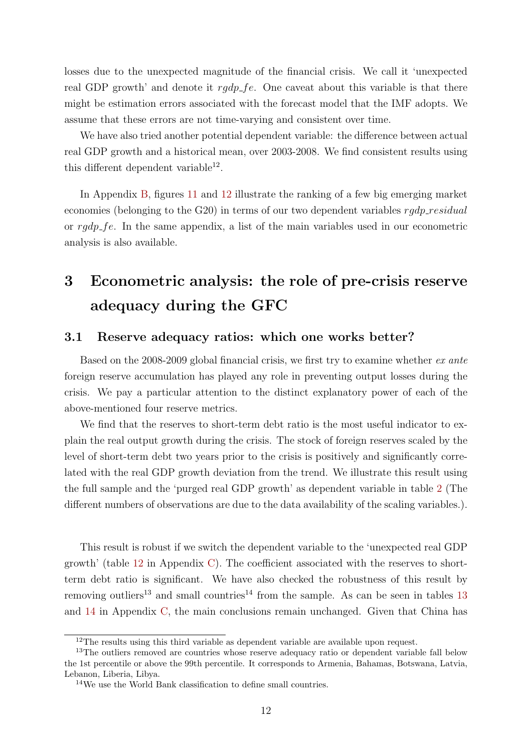losses due to the unexpected magnitude of the financial crisis. We call it 'unexpected real GDP growth' and denote it  $rqdp<sub>-</sub>fe$ . One caveat about this variable is that there might be estimation errors associated with the forecast model that the IMF adopts. We assume that these errors are not time-varying and consistent over time.

We have also tried another potential dependent variable: the difference between actual real GDP growth and a historical mean, over 2003-2008. We find consistent results using this different dependent variable<sup>12</sup>.

In Appendix [B,](#page-40-0) figures [11](#page-41-0) and [12](#page-41-1) illustrate the ranking of a few big emerging market economies (belonging to the  $G(20)$ ) in terms of our two dependent variables  $radp\_residual$ or rgdp fe. In the same appendix, a list of the main variables used in our econometric analysis is also available.

# <span id="page-11-0"></span>3 Econometric analysis: the role of pre-crisis reserve adequacy during the GFC

### <span id="page-11-1"></span>3.1 Reserve adequacy ratios: which one works better?

Based on the 2008-2009 global financial crisis, we first try to examine whether ex ante foreign reserve accumulation has played any role in preventing output losses during the crisis. We pay a particular attention to the distinct explanatory power of each of the above-mentioned four reserve metrics.

We find that the reserves to short-term debt ratio is the most useful indicator to explain the real output growth during the crisis. The stock of foreign reserves scaled by the level of short-term debt two years prior to the crisis is positively and significantly correlated with the real GDP growth deviation from the trend. We illustrate this result using the full sample and the 'purged real GDP growth' as dependent variable in table [2](#page-12-0) (The different numbers of observations are due to the data availability of the scaling variables.).

This result is robust if we switch the dependent variable to the 'unexpected real GDP growth' (table [12](#page-42-0) in Appendix [C\)](#page-42-1). The coefficient associated with the reserves to shortterm debt ratio is significant. We have also checked the robustness of this result by removing outliers<sup>[13](#page-43-0)</sup> and small countries<sup>14</sup> from the sample. As can be seen in tables 13 and [14](#page-44-0) in Appendix [C,](#page-42-1) the main conclusions remain unchanged. Given that China has

 $12$ The results using this third variable as dependent variable are available upon request.

<sup>&</sup>lt;sup>13</sup>The outliers removed are countries whose reserve adequacy ratio or dependent variable fall below the 1st percentile or above the 99th percentile. It corresponds to Armenia, Bahamas, Botswana, Latvia, Lebanon, Liberia, Libya.

<sup>14</sup>We use the World Bank classification to define small countries.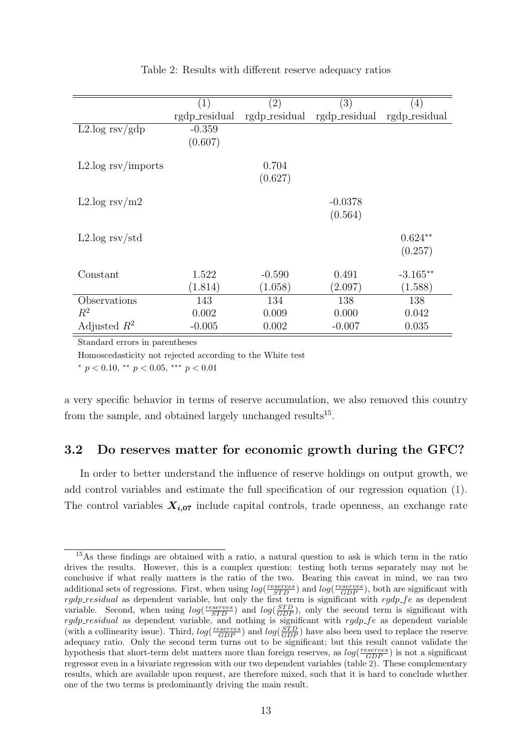<span id="page-12-0"></span>

|                                             | $\left( 1\right)$ | $\left( 2\right)$ | $\left( 3\right)$ | $\left(4\right)$ |
|---------------------------------------------|-------------------|-------------------|-------------------|------------------|
|                                             | rgdp_residual     | rgdp_residual     | rgdp_residual     | rgdp_residual    |
| $L2 \log \frac{rsv}{gdp}$                   | $-0.359$          |                   |                   |                  |
|                                             | (0.607)           |                   |                   |                  |
| $L2 \log \frac{\text{rsv}}{\text{imports}}$ |                   | 0.704             |                   |                  |
|                                             |                   | (0.627)           |                   |                  |
|                                             |                   |                   |                   |                  |
| L2.log rsv/m2                               |                   |                   | $-0.0378$         |                  |
|                                             |                   |                   | (0.564)           |                  |
|                                             |                   |                   |                   |                  |
| $L2.log$ rsv/std                            |                   |                   |                   | $0.624**$        |
|                                             |                   |                   |                   | (0.257)          |
|                                             |                   |                   |                   |                  |
| Constant                                    | 1.522             | $-0.590$          | 0.491             | $-3.165**$       |
|                                             | (1.814)           | (1.058)           | (2.097)           | (1.588)          |
| Observations                                | 143               | 134               | 138               | 138              |
| $R^2$                                       | 0.002             | 0.009             | 0.000             | 0.042            |
| Adjusted $R^2$                              | $-0.005$          | 0.002             | $-0.007$          | 0.035            |

#### Table 2: Results with different reserve adequacy ratios

Standard errors in parentheses

Homoscedasticity not rejected according to the White test

 $*$  p < 0.10,  $*$  p < 0.05,  $**$  p < 0.01

a very specific behavior in terms of reserve accumulation, we also removed this country from the sample, and obtained largely unchanged results<sup>15</sup>.

### <span id="page-12-1"></span>3.2 Do reserves matter for economic growth during the GFC?

In order to better understand the influence of reserve holdings on output growth, we add control variables and estimate the full specification of our regression equation [\(1\)](#page-10-0). The control variables  $X_{i,07}$  include capital controls, trade openness, an exchange rate

<sup>15</sup>As these findings are obtained with a ratio, a natural question to ask is which term in the ratio drives the results. However, this is a complex question: testing both terms separately may not be conclusive if what really matters is the ratio of the two. Bearing this caveat in mind, we ran two additional sets of regressions. First, when using  $log(\frac{reserves}{STD})$  and  $log(\frac{reserves}{GDP})$ , both are significant with  $rgdp\_residual$  as dependent variable, but only the first term is significant with  $rgdp\_fe$  as dependent variable. Second, when using  $log(\frac{reserves}{STD})$  and  $log(\frac{STD}{GDP})$ , only the second term is significant with  $rgdp\_residual$  as dependent variable, and nothing is significant with  $rgdp\_fe$  as dependent variable (with a collinearity issue). Third,  $log(\frac{reserves}{GDP})$  and  $log(\frac{STD}{GDP})$  have also been used to replace the reserve adequacy ratio. Only the second term turns out to be significant; but this result cannot validate the hypothesis that short-term debt matters more than foreign reserves, as  $log(\frac{reserves}{GDP})$  is not a significant regressor even in a bivariate regression with our two dependent variables (table [2\)](#page-12-0). These complementary results, which are available upon request, are therefore mixed, such that it is hard to conclude whether one of the two terms is predominantly driving the main result.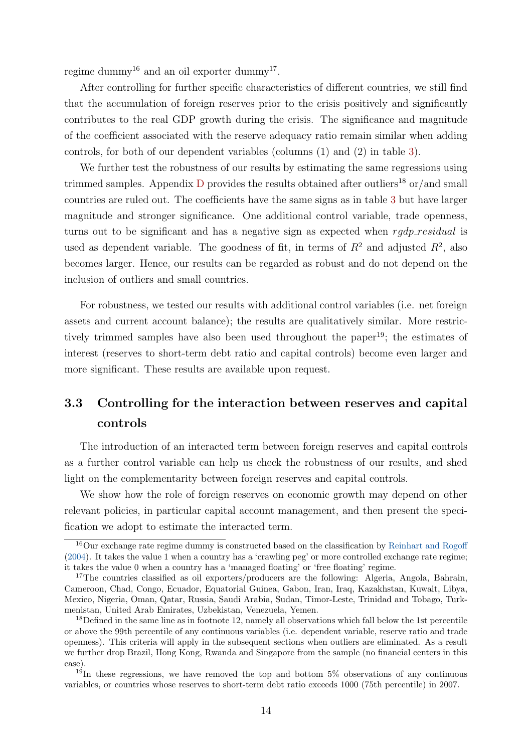regime dummy<sup>16</sup> and an oil exporter dummy<sup>17</sup>.

After controlling for further specific characteristics of different countries, we still find that the accumulation of foreign reserves prior to the crisis positively and significantly contributes to the real GDP growth during the crisis. The significance and magnitude of the coefficient associated with the reserve adequacy ratio remain similar when adding controls, for both of our dependent variables (columns (1) and (2) in table [3\)](#page-14-0).

We further test the robustness of our results by estimating the same regressions using trimmed samples. Appendix  $D$  provides the results obtained after outliers<sup>18</sup> or/and small countries are ruled out. The coefficients have the same signs as in table [3](#page-14-0) but have larger magnitude and stronger significance. One additional control variable, trade openness, turns out to be significant and has a negative sign as expected when  $rqdp\_residual$  is used as dependent variable. The goodness of fit, in terms of  $R^2$  and adjusted  $R^2$ , also becomes larger. Hence, our results can be regarded as robust and do not depend on the inclusion of outliers and small countries.

For robustness, we tested our results with additional control variables (i.e. net foreign assets and current account balance); the results are qualitatively similar. More restrictively trimmed samples have also been used throughout the paper<sup>19</sup>; the estimates of interest (reserves to short-term debt ratio and capital controls) become even larger and more significant. These results are available upon request.

## <span id="page-13-0"></span>3.3 Controlling for the interaction between reserves and capital controls

The introduction of an interacted term between foreign reserves and capital controls as a further control variable can help us check the robustness of our results, and shed light on the complementarity between foreign reserves and capital controls.

We show how the role of foreign reserves on economic growth may depend on other relevant policies, in particular capital account management, and then present the specification we adopt to estimate the interacted term.

<sup>&</sup>lt;sup>16</sup>Our exchange rate regime dummy is constructed based on the classification by [Reinhart and Rogoff](#page-36-10) [\(2004\)](#page-36-10). It takes the value 1 when a country has a 'crawling peg' or more controlled exchange rate regime; it takes the value 0 when a country has a 'managed floating' or 'free floating' regime.

<sup>&</sup>lt;sup>17</sup>The countries classified as oil exporters/producers are the following: Algeria, Angola, Bahrain, Cameroon, Chad, Congo, Ecuador, Equatorial Guinea, Gabon, Iran, Iraq, Kazakhstan, Kuwait, Libya, Mexico, Nigeria, Oman, Qatar, Russia, Saudi Arabia, Sudan, Timor-Leste, Trinidad and Tobago, Turkmenistan, United Arab Emirates, Uzbekistan, Venezuela, Yemen.

<sup>&</sup>lt;sup>18</sup>Defined in the same line as in footnote 12, namely all observations which fall below the 1st percentile or above the 99th percentile of any continuous variables (i.e. dependent variable, reserve ratio and trade openness). This criteria will apply in the subsequent sections when outliers are eliminated. As a result we further drop Brazil, Hong Kong, Rwanda and Singapore from the sample (no financial centers in this case).

 $19$ In these regressions, we have removed the top and bottom 5% observations of any continuous variables, or countries whose reserves to short-term debt ratio exceeds 1000 (75th percentile) in 2007.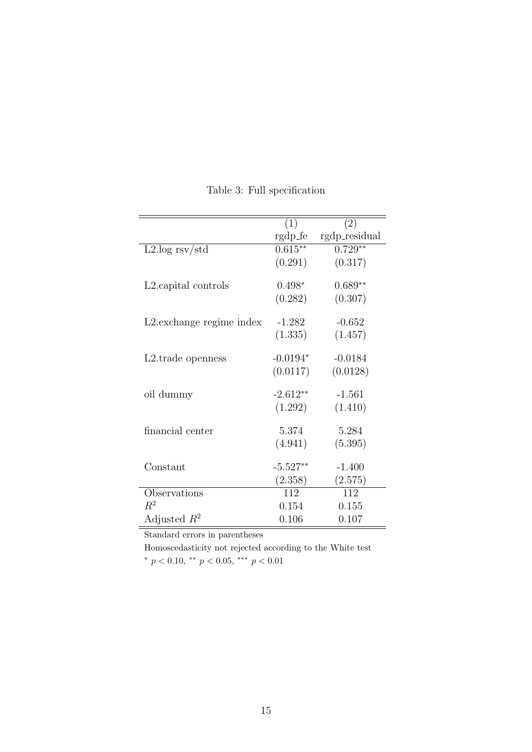<span id="page-14-0"></span>

|                                   | (1)        | $\overline{(2)}$ |
|-----------------------------------|------------|------------------|
|                                   | rgdp_fe    | rgdp_residual    |
| $L2 \log \frac{rsv}{std}$         | $0.615**$  | $0.729**$        |
|                                   | (0.291)    | (0.317)          |
| L <sub>2</sub> . capital controls | $0.498*$   | $0.689**$        |
|                                   | (0.282)    | (0.307)          |
| L2. exchange regime index         | $-1.282$   | $-0.652$         |
|                                   | (1.335)    | (1.457)          |
| L <sub>2</sub> .trade openness    | $-0.0194*$ | $-0.0184$        |
|                                   | (0.0117)   | (0.0128)         |
| oil dummy                         | $-2.612**$ | $-1.561$         |
|                                   | (1.292)    | (1.410)          |
| financial center                  | 5.374      | 5.284            |
|                                   | (4.941)    | (5.395)          |
| Constant                          | $-5.527**$ | $-1.400$         |
|                                   | (2.358)    | (2.575)          |
| Observations                      | 112        | 112              |
| $R^2$                             | 0.154      | 0.155            |
| Adjusted $R^2$                    | 0.106      | 0.107            |

Table 3: Full specification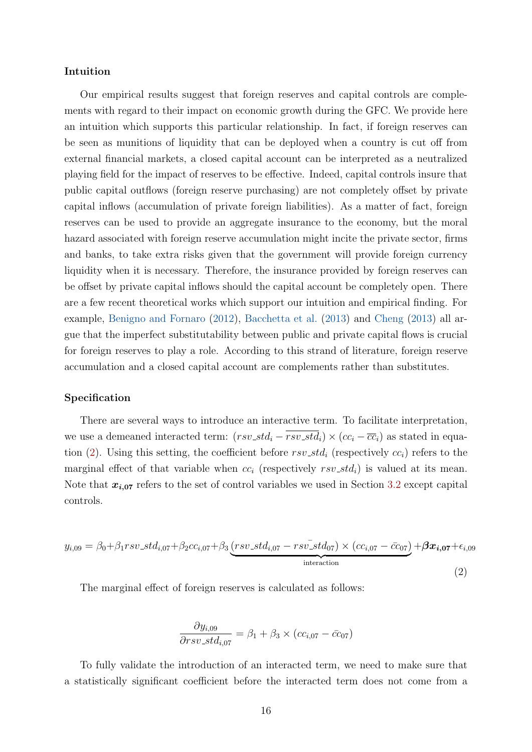#### Intuition

Our empirical results suggest that foreign reserves and capital controls are complements with regard to their impact on economic growth during the GFC. We provide here an intuition which supports this particular relationship. In fact, if foreign reserves can be seen as munitions of liquidity that can be deployed when a country is cut off from external financial markets, a closed capital account can be interpreted as a neutralized playing field for the impact of reserves to be effective. Indeed, capital controls insure that public capital outflows (foreign reserve purchasing) are not completely offset by private capital inflows (accumulation of private foreign liabilities). As a matter of fact, foreign reserves can be used to provide an aggregate insurance to the economy, but the moral hazard associated with foreign reserve accumulation might incite the private sector, firms and banks, to take extra risks given that the government will provide foreign currency liquidity when it is necessary. Therefore, the insurance provided by foreign reserves can be offset by private capital inflows should the capital account be completely open. There are a few recent theoretical works which support our intuition and empirical finding. For example, [Benigno and Fornaro](#page-34-1) [\(2012\)](#page-34-1), [Bacchetta et al.](#page-34-8) [\(2013\)](#page-34-8) and [Cheng](#page-35-10) [\(2013\)](#page-35-10) all argue that the imperfect substitutability between public and private capital flows is crucial for foreign reserves to play a role. According to this strand of literature, foreign reserve accumulation and a closed capital account are complements rather than substitutes.

#### Specification

There are several ways to introduce an interactive term. To facilitate interpretation, we use a demeaned interacted term:  $(rsv\_std_i - rsv\_std_i) \times (cc_i - \overline{cc}_i)$  as stated in equa-tion [\(2\)](#page-15-0). Using this setting, the coefficient before  $rsv\_std_i$  (respectively  $cc_i$ ) refers to the marginal effect of that variable when  $cc_i$  (respectively  $rsv\_std_i$ ) is valued at its mean. Note that  $x_{i,07}$  refers to the set of control variables we used in Section [3.2](#page-12-1) except capital controls.

<span id="page-15-0"></span>
$$
y_{i,09} = \beta_0 + \beta_1 r s v\_st d_{i,07} + \beta_2 c c_{i,07} + \beta_3 \underbrace{(r s v\_st d_{i,07} - r s v\_st d_{07}) \times (c c_{i,07} - \bar{c} c_{07})}_{\text{interaction}} + \beta x_{i,07} + \epsilon_{i,09}
$$
\n(2)

The marginal effect of foreign reserves is calculated as follows:

$$
\frac{\partial y_{i,09}}{\partial rsv\_std_{i,07}} = \beta_1 + \beta_3 \times (cc_{i,07} - \bar{cc}_{07})
$$

To fully validate the introduction of an interacted term, we need to make sure that a statistically significant coefficient before the interacted term does not come from a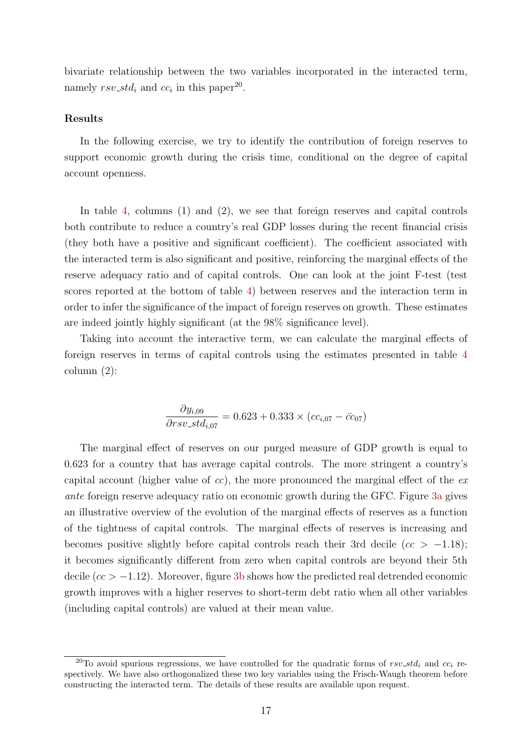bivariate relationship between the two variables incorporated in the interacted term, namely  $rsv\_std_i$  and  $cc_i$  in this paper<sup>20</sup>.

#### Results

In the following exercise, we try to identify the contribution of foreign reserves to support economic growth during the crisis time, conditional on the degree of capital account openness.

In table [4,](#page-17-0) columns (1) and (2), we see that foreign reserves and capital controls both contribute to reduce a country's real GDP losses during the recent financial crisis (they both have a positive and significant coefficient). The coefficient associated with the interacted term is also significant and positive, reinforcing the marginal effects of the reserve adequacy ratio and of capital controls. One can look at the joint F-test (test scores reported at the bottom of table [4\)](#page-17-0) between reserves and the interaction term in order to infer the significance of the impact of foreign reserves on growth. These estimates are indeed jointly highly significant (at the 98% significance level).

Taking into account the interactive term, we can calculate the marginal effects of foreign reserves in terms of capital controls using the estimates presented in table [4](#page-17-0) column (2):

$$
\frac{\partial y_{i,09}}{\partial rsv\_std_{i,07}} = 0.623 + 0.333 \times (cc_{i,07} - \bar{cc}_{07})
$$

The marginal effect of reserves on our purged measure of GDP growth is equal to 0.623 for a country that has average capital controls. The more stringent a country's capital account (higher value of cc), the more pronounced the marginal effect of the  $ex$ ante foreign reserve adequacy ratio on economic growth during the GFC. Figure [3a](#page-18-1) gives an illustrative overview of the evolution of the marginal effects of reserves as a function of the tightness of capital controls. The marginal effects of reserves is increasing and becomes positive slightly before capital controls reach their 3rd decile ( $cc > -1.18$ ); it becomes significantly different from zero when capital controls are beyond their 5th decile ( $cc > -1.12$ ). Moreover, figure [3b](#page-18-2) shows how the predicted real detrended economic growth improves with a higher reserves to short-term debt ratio when all other variables (including capital controls) are valued at their mean value.

<sup>&</sup>lt;sup>20</sup>To avoid spurious regressions, we have controlled for the quadratic forms of  $rsv\_std_i$  and  $cc_i$  respectively. We have also orthogonalized these two key variables using the Frisch-Waugh theorem before constructing the interacted term. The details of these results are available upon request.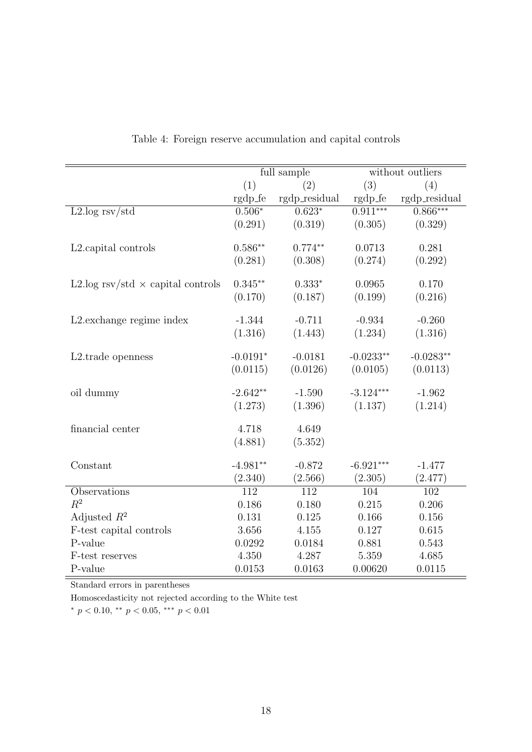<span id="page-17-0"></span>

|                                          |            | full sample   |             | without outliers                                                 |
|------------------------------------------|------------|---------------|-------------|------------------------------------------------------------------|
|                                          | (1)        | (2)           | (3)         | (4)                                                              |
|                                          | rgdp_fe    | rgdp_residual |             | $\label{eq:reduced} \text{rgdp\_fe} \quad \text{rgdp\_residual}$ |
| $L2.log$ rsv/std                         | $0.506*$   | $0.623*$      | $0.911***$  | $0.866***$                                                       |
|                                          | (0.291)    | (0.319)       | (0.305)     | (0.329)                                                          |
|                                          |            |               |             |                                                                  |
| L2.capital controls                      | $0.586**$  | $0.774**$     | 0.0713      | 0.281                                                            |
|                                          | (0.281)    | (0.308)       | (0.274)     | (0.292)                                                          |
| L2.log rsv/std $\times$ capital controls | $0.345**$  | $0.333*$      | 0.0965      | 0.170                                                            |
|                                          | (0.170)    | (0.187)       | (0.199)     | (0.216)                                                          |
|                                          |            |               |             |                                                                  |
| L2. exchange regime index                | $-1.344$   | $-0.711$      | $-0.934$    | $-0.260$                                                         |
|                                          | (1.316)    | (1.443)       | (1.234)     | (1.316)                                                          |
|                                          |            |               |             |                                                                  |
| L2.trade openness                        | $-0.0191*$ | $-0.0181$     | $-0.0233**$ | $-0.0283**$                                                      |
|                                          | (0.0115)   | (0.0126)      | (0.0105)    | (0.0113)                                                         |
| oil dummy                                | $-2.642**$ | $-1.590$      | $-3.124***$ | $-1.962$                                                         |
|                                          | (1.273)    | (1.396)       | (1.137)     | (1.214)                                                          |
|                                          |            |               |             |                                                                  |
| financial center                         | 4.718      | 4.649         |             |                                                                  |
|                                          | (4.881)    | (5.352)       |             |                                                                  |
|                                          |            |               |             |                                                                  |
| Constant                                 | $-4.981**$ | $-0.872$      | $-6.921***$ | $-1.477$                                                         |
|                                          | (2.340)    | (2.566)       | (2.305)     | (2.477)                                                          |
| Observations                             | 112        | 112           | 104         | 102                                                              |
| $R^2$                                    | 0.186      | 0.180         | 0.215       | 0.206                                                            |
| Adjusted $R^2$                           | 0.131      | 0.125         | 0.166       | 0.156                                                            |
| F-test capital controls                  | 3.656      | 4.155         | 0.127       | 0.615                                                            |
| P-value                                  | 0.0292     | 0.0184        | 0.881       | 0.543                                                            |
| F-test reserves                          | 4.350      | 4.287         | 5.359       | 4.685                                                            |
| P-value                                  | 0.0153     | 0.0163        | 0.00620     | 0.0115                                                           |

Table 4: Foreign reserve accumulation and capital controls

Homoscedasticity not rejected according to the White test

\*  $p < 0.10$ , \*\*  $p < 0.05$ , \*\*\*  $p < 0.01$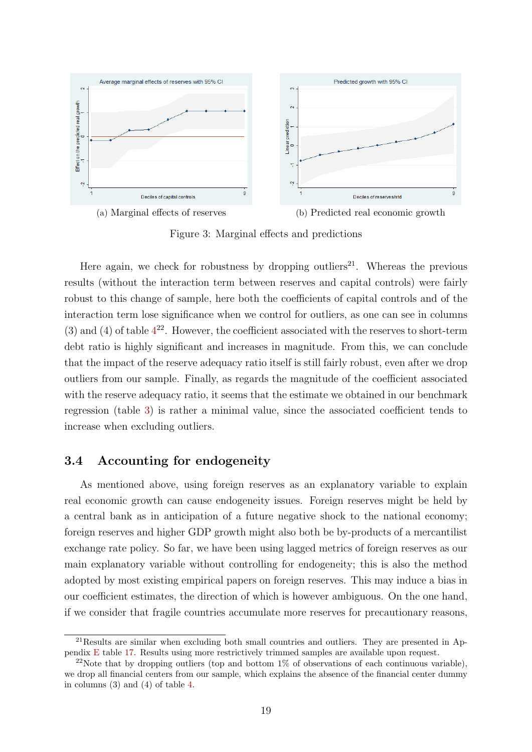<span id="page-18-1"></span>

<span id="page-18-2"></span>Figure 3: Marginal effects and predictions

Here again, we check for robustness by dropping outliers<sup>21</sup>. Whereas the previous results (without the interaction term between reserves and capital controls) were fairly robust to this change of sample, here both the coefficients of capital controls and of the interaction term lose significance when we control for outliers, as one can see in columns (3) and ([4](#page-17-0)) of table  $4^{22}$ . However, the coefficient associated with the reserves to short-term debt ratio is highly significant and increases in magnitude. From this, we can conclude that the impact of the reserve adequacy ratio itself is still fairly robust, even after we drop outliers from our sample. Finally, as regards the magnitude of the coefficient associated with the reserve adequacy ratio, it seems that the estimate we obtained in our benchmark regression (table [3\)](#page-14-0) is rather a minimal value, since the associated coefficient tends to increase when excluding outliers.

### <span id="page-18-0"></span>3.4 Accounting for endogeneity

As mentioned above, using foreign reserves as an explanatory variable to explain real economic growth can cause endogeneity issues. Foreign reserves might be held by a central bank as in anticipation of a future negative shock to the national economy; foreign reserves and higher GDP growth might also both be by-products of a mercantilist exchange rate policy. So far, we have been using lagged metrics of foreign reserves as our main explanatory variable without controlling for endogeneity; this is also the method adopted by most existing empirical papers on foreign reserves. This may induce a bias in our coefficient estimates, the direction of which is however ambiguous. On the one hand, if we consider that fragile countries accumulate more reserves for precautionary reasons,

<sup>21</sup>Results are similar when excluding both small countries and outliers. They are presented in Appendix [E](#page-47-0) table [17.](#page-47-1) Results using more restrictively trimmed samples are available upon request.

<sup>&</sup>lt;sup>22</sup>Note that by dropping outliers (top and bottom  $1\%$  of observations of each continuous variable), we drop all financial centers from our sample, which explains the absence of the financial center dummy in columns (3) and (4) of table [4.](#page-17-0)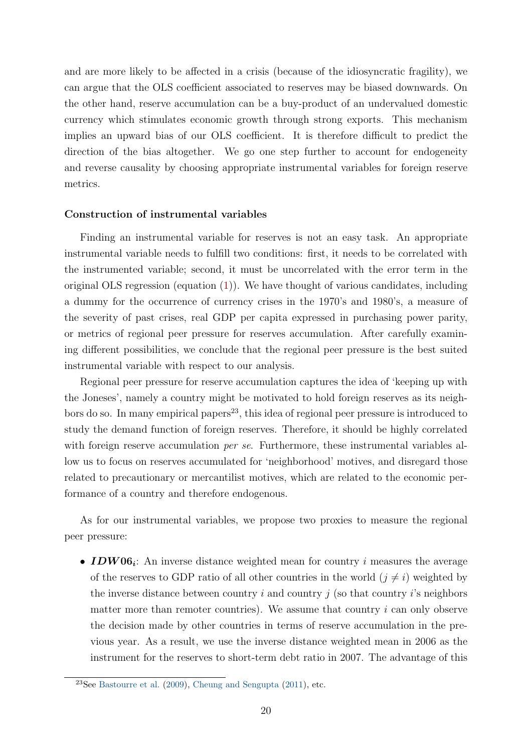and are more likely to be affected in a crisis (because of the idiosyncratic fragility), we can argue that the OLS coefficient associated to reserves may be biased downwards. On the other hand, reserve accumulation can be a buy-product of an undervalued domestic currency which stimulates economic growth through strong exports. This mechanism implies an upward bias of our OLS coefficient. It is therefore difficult to predict the direction of the bias altogether. We go one step further to account for endogeneity and reverse causality by choosing appropriate instrumental variables for foreign reserve metrics.

#### Construction of instrumental variables

Finding an instrumental variable for reserves is not an easy task. An appropriate instrumental variable needs to fulfill two conditions: first, it needs to be correlated with the instrumented variable; second, it must be uncorrelated with the error term in the original OLS regression (equation  $(1)$ ). We have thought of various candidates, including a dummy for the occurrence of currency crises in the 1970's and 1980's, a measure of the severity of past crises, real GDP per capita expressed in purchasing power parity, or metrics of regional peer pressure for reserves accumulation. After carefully examining different possibilities, we conclude that the regional peer pressure is the best suited instrumental variable with respect to our analysis.

Regional peer pressure for reserve accumulation captures the idea of 'keeping up with the Joneses', namely a country might be motivated to hold foreign reserves as its neighbors do so. In many empirical papers<sup>23</sup>, this idea of regional peer pressure is introduced to study the demand function of foreign reserves. Therefore, it should be highly correlated with foreign reserve accumulation *per se.* Furthermore, these instrumental variables allow us to focus on reserves accumulated for 'neighborhood' motives, and disregard those related to precautionary or mercantilist motives, which are related to the economic performance of a country and therefore endogenous.

As for our instrumental variables, we propose two proxies to measure the regional peer pressure:

• **IDW06**<sup>*i*</sup>: An inverse distance weighted mean for country *i* measures the average of the reserves to GDP ratio of all other countries in the world  $(j \neq i)$  weighted by the inverse distance between country i and country j (so that country i's neighbors matter more than remoter countries). We assume that country  $i$  can only observe the decision made by other countries in terms of reserve accumulation in the previous year. As a result, we use the inverse distance weighted mean in 2006 as the instrument for the reserves to short-term debt ratio in 2007. The advantage of this

 $23$ See [Bastourre et al.](#page-34-9) [\(2009\)](#page-34-9), [Cheung and Sengupta](#page-35-11) [\(2011\)](#page-35-11), etc.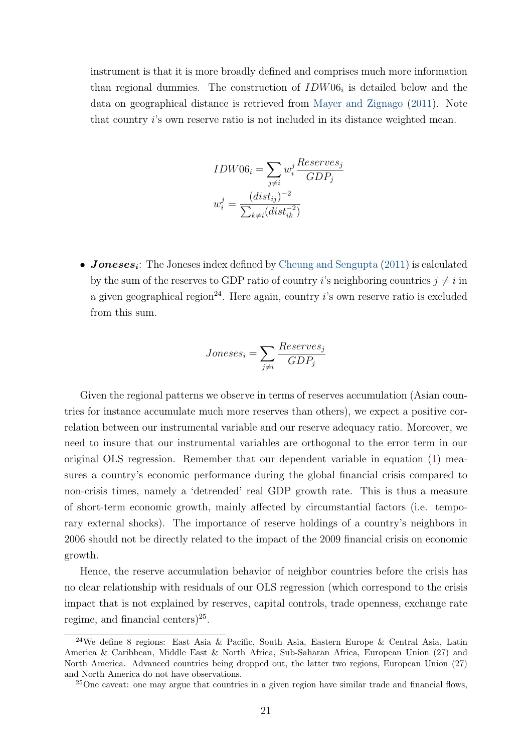instrument is that it is more broadly defined and comprises much more information than regional dummies. The construction of  $IDW06<sub>i</sub>$  is detailed below and the data on geographical distance is retrieved from [Mayer and Zignago](#page-36-11) [\(2011\)](#page-36-11). Note that country i's own reserve ratio is not included in its distance weighted mean.

$$
IDW06_i = \sum_{j \neq i} w_i^j \frac{Reserves_j}{GDP_j}
$$

$$
w_i^j = \frac{(dist_{ij})^{-2}}{\sum_{k \neq i} (dist_{ik}^{-2})}
$$

• **Joneses**<sub>i</sub>: The Joneses index defined by [Cheung and Sengupta](#page-35-11) [\(2011\)](#page-35-11) is calculated by the sum of the reserves to GDP ratio of country i's neighboring countries  $i \neq i$  in a given geographical region<sup>24</sup>. Here again, country i's own reserve ratio is excluded from this sum.

$$
Jones_{i} = \sum_{j \neq i} \frac{Reserves_j}{GDP_j}
$$

Given the regional patterns we observe in terms of reserves accumulation (Asian countries for instance accumulate much more reserves than others), we expect a positive correlation between our instrumental variable and our reserve adequacy ratio. Moreover, we need to insure that our instrumental variables are orthogonal to the error term in our original OLS regression. Remember that our dependent variable in equation [\(1\)](#page-10-0) measures a country's economic performance during the global financial crisis compared to non-crisis times, namely a 'detrended' real GDP growth rate. This is thus a measure of short-term economic growth, mainly affected by circumstantial factors (i.e. temporary external shocks). The importance of reserve holdings of a country's neighbors in 2006 should not be directly related to the impact of the 2009 financial crisis on economic growth.

Hence, the reserve accumulation behavior of neighbor countries before the crisis has no clear relationship with residuals of our OLS regression (which correspond to the crisis impact that is not explained by reserves, capital controls, trade openness, exchange rate regime, and financial centers) $2<sup>5</sup>$ .

<sup>24</sup>We define 8 regions: East Asia & Pacific, South Asia, Eastern Europe & Central Asia, Latin America & Caribbean, Middle East & North Africa, Sub-Saharan Africa, European Union (27) and North America. Advanced countries being dropped out, the latter two regions, European Union (27) and North America do not have observations.

 $25$ One caveat: one may argue that countries in a given region have similar trade and financial flows,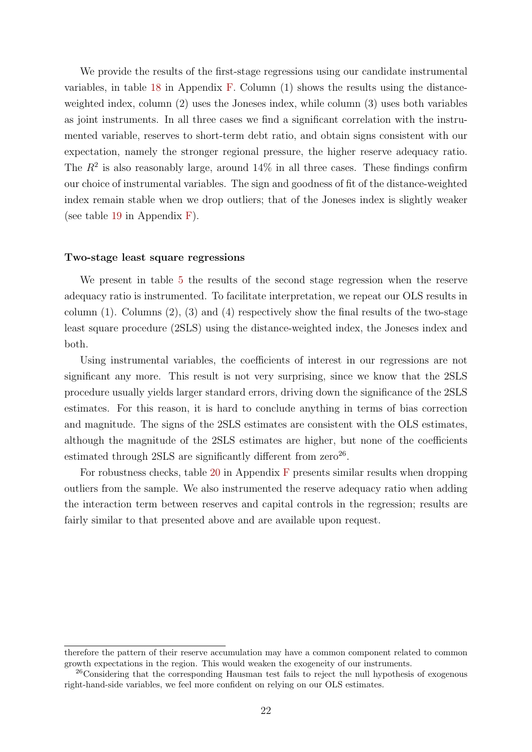We provide the results of the first-stage regressions using our candidate instrumental variables, in table [18](#page-48-0) in Appendix [F.](#page-48-1) Column (1) shows the results using the distanceweighted index, column (2) uses the Joneses index, while column (3) uses both variables as joint instruments. In all three cases we find a significant correlation with the instrumented variable, reserves to short-term debt ratio, and obtain signs consistent with our expectation, namely the stronger regional pressure, the higher reserve adequacy ratio. The  $R^2$  is also reasonably large, around 14% in all three cases. These findings confirm our choice of instrumental variables. The sign and goodness of fit of the distance-weighted index remain stable when we drop outliers; that of the Joneses index is slightly weaker (see table [19](#page-49-0) in Appendix [F\)](#page-48-1).

#### Two-stage least square regressions

We present in table [5](#page-22-0) the results of the second stage regression when the reserve adequacy ratio is instrumented. To facilitate interpretation, we repeat our OLS results in column  $(1)$ . Columns  $(2)$ ,  $(3)$  and  $(4)$  respectively show the final results of the two-stage least square procedure (2SLS) using the distance-weighted index, the Joneses index and both.

Using instrumental variables, the coefficients of interest in our regressions are not significant any more. This result is not very surprising, since we know that the 2SLS procedure usually yields larger standard errors, driving down the significance of the 2SLS estimates. For this reason, it is hard to conclude anything in terms of bias correction and magnitude. The signs of the 2SLS estimates are consistent with the OLS estimates, although the magnitude of the 2SLS estimates are higher, but none of the coefficients estimated through  $2SLS$  are significantly different from  $zero^{26}$ .

[F](#page-48-1)or robustness checks, table  $20$  in Appendix F presents similar results when dropping outliers from the sample. We also instrumented the reserve adequacy ratio when adding the interaction term between reserves and capital controls in the regression; results are fairly similar to that presented above and are available upon request.

therefore the pattern of their reserve accumulation may have a common component related to common growth expectations in the region. This would weaken the exogeneity of our instruments.

<sup>&</sup>lt;sup>26</sup>Considering that the corresponding Hausman test fails to reject the null hypothesis of exogenous right-hand-side variables, we feel more confident on relying on our OLS estimates.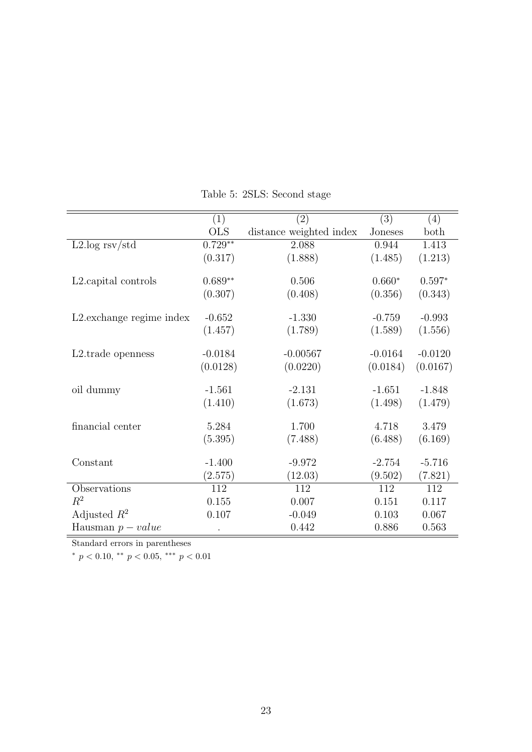<span id="page-22-0"></span>

|                                   | (1)        | (2)                     | (3)       | (4)       |
|-----------------------------------|------------|-------------------------|-----------|-----------|
|                                   | <b>OLS</b> | distance weighted index | Joneses   | both      |
| $L2.log$ rsv/std                  | $0.729**$  | 2.088                   | 0.944     | 1.413     |
|                                   | (0.317)    | (1.888)                 | (1.485)   | (1.213)   |
| L <sub>2</sub> . capital controls | $0.689**$  | 0.506                   | $0.660*$  | $0.597*$  |
|                                   | (0.307)    | (0.408)                 | (0.356)   | (0.343)   |
| L2. exchange regime index         | $-0.652$   | $-1.330$                | $-0.759$  | $-0.993$  |
|                                   | (1.457)    | (1.789)                 | (1.589)   | (1.556)   |
| L <sub>2</sub> .trade openness    | $-0.0184$  | $-0.00567$              | $-0.0164$ | $-0.0120$ |
|                                   | (0.0128)   | (0.0220)                | (0.0184)  | (0.0167)  |
| oil dummy                         | $-1.561$   | $-2.131$                | $-1.651$  | $-1.848$  |
|                                   | (1.410)    | (1.673)                 | (1.498)   | (1.479)   |
| financial center                  | 5.284      | 1.700                   | 4.718     | 3.479     |
|                                   | (5.395)    | (7.488)                 | (6.488)   | (6.169)   |
|                                   |            |                         |           |           |
| Constant                          | $-1.400$   | $-9.972$                | $-2.754$  | $-5.716$  |
|                                   | (2.575)    | (12.03)                 | (9.502)   | (7.821)   |
| Observations                      | 112        | 112                     | 112       | 112       |
| $R^2$                             | 0.155      | 0.007                   | 0.151     | 0.117     |
| Adjusted $R^2$                    | 0.107      | $-0.049$                | 0.103     | 0.067     |
| Hausman $p-value$                 |            | 0.442                   | 0.886     | 0.563     |

Table 5: 2SLS: Second stage

\*  $p < 0.10$ , \*\*  $p < 0.05$ , \*\*\*  $p < 0.01$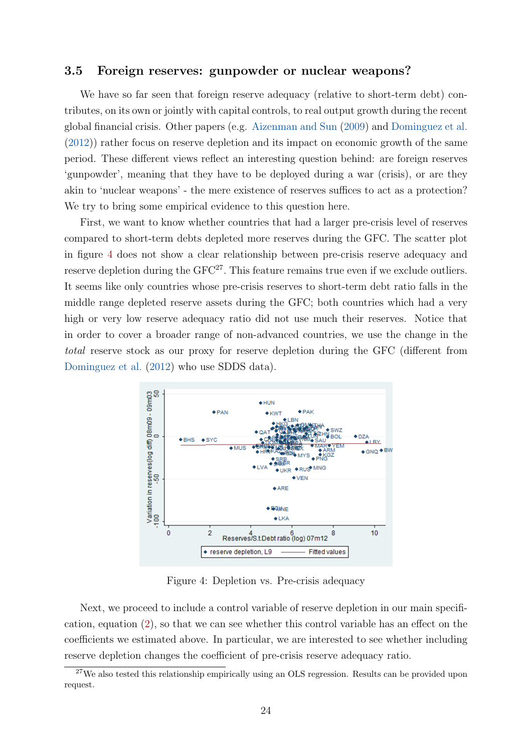### 3.5 Foreign reserves: gunpowder or nuclear weapons?

We have so far seen that foreign reserve adequacy (relative to short-term debt) contributes, on its own or jointly with capital controls, to real output growth during the recent global financial crisis. Other papers (e.g. [Aizenman and Sun](#page-34-4) [\(2009\)](#page-34-4) and [Dominguez et al.](#page-35-8) [\(2012\)](#page-35-8)) rather focus on reserve depletion and its impact on economic growth of the same period. These different views reflect an interesting question behind: are foreign reserves 'gunpowder', meaning that they have to be deployed during a war (crisis), or are they akin to 'nuclear weapons' - the mere existence of reserves suffices to act as a protection? We try to bring some empirical evidence to this question here.

First, we want to know whether countries that had a larger pre-crisis level of reserves compared to short-term debts depleted more reserves during the GFC. The scatter plot in figure [4](#page-23-0) does not show a clear relationship between pre-crisis reserve adequacy and reserve depletion during the GFC<sup>27</sup>. This feature remains true even if we exclude outliers. It seems like only countries whose pre-crisis reserves to short-term debt ratio falls in the middle range depleted reserve assets during the GFC; both countries which had a very high or very low reserve adequacy ratio did not use much their reserves. Notice that in order to cover a broader range of non-advanced countries, we use the change in the total reserve stock as our proxy for reserve depletion during the GFC (different from [Dominguez et al.](#page-35-8) [\(2012\)](#page-35-8) who use SDDS data).

<span id="page-23-0"></span>

Figure 4: Depletion vs. Pre-crisis adequacy

Next, we proceed to include a control variable of reserve depletion in our main specification, equation [\(2\)](#page-15-0), so that we can see whether this control variable has an effect on the coefficients we estimated above. In particular, we are interested to see whether including reserve depletion changes the coefficient of pre-crisis reserve adequacy ratio.

<sup>&</sup>lt;sup>27</sup>We also tested this relationship empirically using an OLS regression. Results can be provided upon request.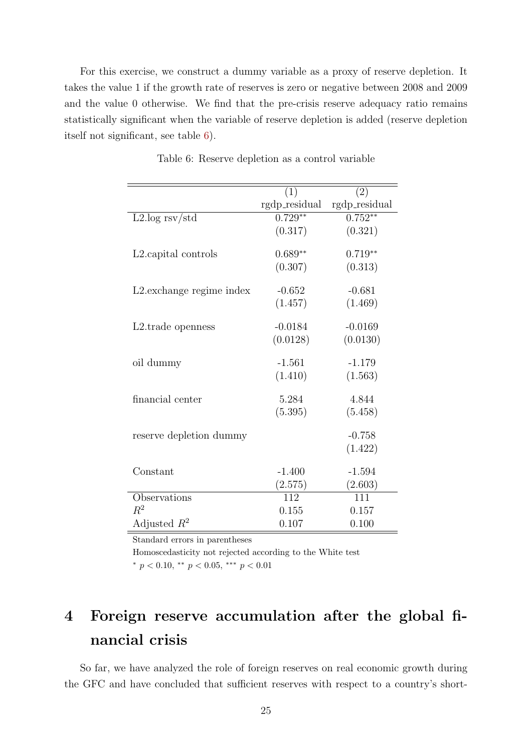For this exercise, we construct a dummy variable as a proxy of reserve depletion. It takes the value 1 if the growth rate of reserves is zero or negative between 2008 and 2009 and the value 0 otherwise. We find that the pre-crisis reserve adequacy ratio remains statistically significant when the variable of reserve depletion is added (reserve depletion itself not significant, see table [6\)](#page-24-1).

<span id="page-24-1"></span>

|                           | (1)           | (2)           |
|---------------------------|---------------|---------------|
|                           | rgdp_residual | rgdp_residual |
| $L2 \log rsv/std$         | $0.729**$     | $0.752**$     |
|                           | (0.317)       | (0.321)       |
| L2. capital controls      | $0.689**$     | $0.719**$     |
|                           | (0.307)       | (0.313)       |
| L2. exchange regime index | $-0.652$      | $-0.681$      |
|                           | (1.457)       | (1.469)       |
| L2.trade openness         | $-0.0184$     | $-0.0169$     |
|                           | (0.0128)      | (0.0130)      |
| oil dummy                 | $-1.561$      | $-1.179$      |
|                           | (1.410)       | (1.563)       |
| financial center          | 5.284         | 4.844         |
|                           | (5.395)       | (5.458)       |
| reserve depletion dummy   |               | $-0.758$      |
|                           |               | (1.422)       |
| Constant                  | $-1.400$      | $-1.594$      |
|                           | (2.575)       | (2.603)       |
| Observations              | 112           | 111           |
| $R^2$                     | 0.155         | 0.157         |
| Adjusted $R^2$            | 0.107         | 0.100         |

Table 6: Reserve depletion as a control variable

Standard errors in parentheses

Homoscedasticity not rejected according to the White test \*  $p < 0.10$ , \*\*  $p < 0.05$ , \*\*\*  $p < 0.01$ 

# <span id="page-24-0"></span>4 Foreign reserve accumulation after the global financial crisis

So far, we have analyzed the role of foreign reserves on real economic growth during the GFC and have concluded that sufficient reserves with respect to a country's short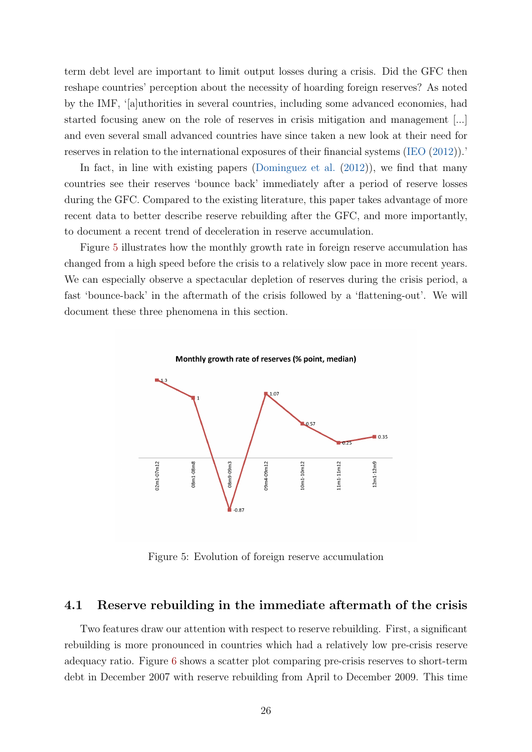term debt level are important to limit output losses during a crisis. Did the GFC then reshape countries' perception about the necessity of hoarding foreign reserves? As noted by the IMF, '[a]uthorities in several countries, including some advanced economies, had started focusing anew on the role of reserves in crisis mitigation and management [...] and even several small advanced countries have since taken a new look at their need for reserves in relation to the international exposures of their financial systems [\(IEO](#page-35-12) [\(2012\)](#page-35-12)).'

In fact, in line with existing papers [\(Dominguez et al.](#page-35-8) [\(2012\)](#page-35-8)), we find that many countries see their reserves 'bounce back' immediately after a period of reserve losses during the GFC. Compared to the existing literature, this paper takes advantage of more recent data to better describe reserve rebuilding after the GFC, and more importantly, to document a recent trend of deceleration in reserve accumulation.

<span id="page-25-0"></span>Figure [5](#page-25-0) illustrates how the monthly growth rate in foreign reserve accumulation has changed from a high speed before the crisis to a relatively slow pace in more recent years. We can especially observe a spectacular depletion of reserves during the crisis period, a fast 'bounce-back' in the aftermath of the crisis followed by a 'flattening-out'. We will document these three phenomena in this section.





Figure 5: Evolution of foreign reserve accumulation

#### 4.1 Reserve rebuilding in the immediate aftermath of the crisis

Two features draw our attention with respect to reserve rebuilding. First, a significant rebuilding is more pronounced in countries which had a relatively low pre-crisis reserve adequacy ratio. Figure [6](#page-26-0) shows a scatter plot comparing pre-crisis reserves to short-term debt in December 2007 with reserve rebuilding from April to December 2009. This time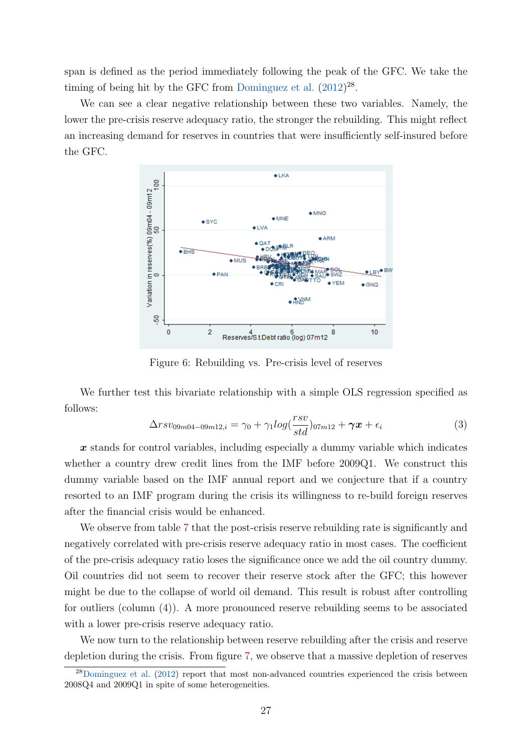span is defined as the period immediately following the peak of the GFC. We take the timing of being hit by the GFC from [Dominguez et al.](#page-35-8)  $(2012)^{28}$  $(2012)^{28}$ .

<span id="page-26-0"></span>We can see a clear negative relationship between these two variables. Namely, the lower the pre-crisis reserve adequacy ratio, the stronger the rebuilding. This might reflect an increasing demand for reserves in countries that were insufficiently self-insured before the GFC.



Figure 6: Rebuilding vs. Pre-crisis level of reserves

We further test this bivariate relationship with a simple OLS regression specified as follows:

$$
\Delta rsv_{09m04-09m12,i} = \gamma_0 + \gamma_1 log(\frac{rsv}{std})_{07m12} + \gamma x + \epsilon_i
$$
\n(3)

 $x$  stands for control variables, including especially a dummy variable which indicates whether a country drew credit lines from the IMF before 2009Q1. We construct this dummy variable based on the IMF annual report and we conjecture that if a country resorted to an IMF program during the crisis its willingness to re-build foreign reserves after the financial crisis would be enhanced.

We observe from table [7](#page-27-0) that the post-crisis reserve rebuilding rate is significantly and negatively correlated with pre-crisis reserve adequacy ratio in most cases. The coefficient of the pre-crisis adequacy ratio loses the significance once we add the oil country dummy. Oil countries did not seem to recover their reserve stock after the GFC; this however might be due to the collapse of world oil demand. This result is robust after controlling for outliers (column (4)). A more pronounced reserve rebuilding seems to be associated with a lower pre-crisis reserve adequacy ratio.

We now turn to the relationship between reserve rebuilding after the crisis and reserve depletion during the crisis. From figure [7,](#page-28-0) we observe that a massive depletion of reserves

<sup>28</sup>[Dominguez et al.](#page-35-8) [\(2012\)](#page-35-8) report that most non-advanced countries experienced the crisis between 2008Q4 and 2009Q1 in spite of some heterogeneities.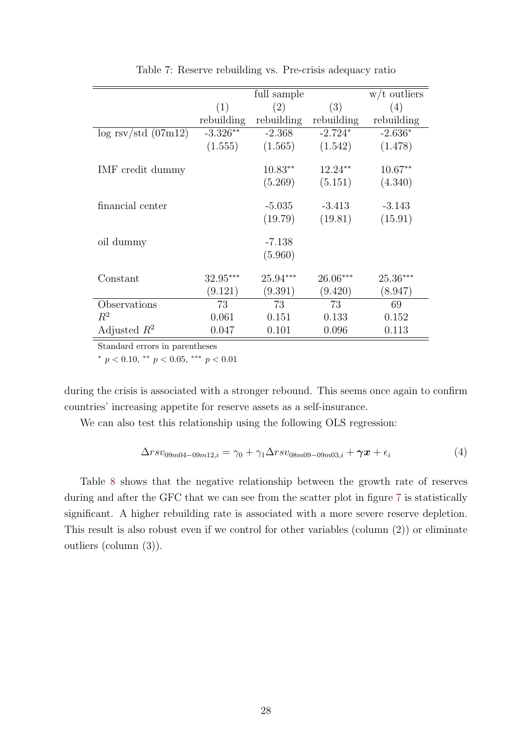<span id="page-27-0"></span>

|                        |            | full sample |            | $w/t$ outliers |
|------------------------|------------|-------------|------------|----------------|
|                        | (1)        | (2)         | (3)        | (4)            |
|                        | rebuilding | rebuilding  | rebuilding | rebuilding     |
| $\log$ rsv/std (07m12) | $-3.326**$ | $-2.368$    | $-2.724*$  | $-2.636*$      |
|                        | (1.555)    | (1.565)     | (1.542)    | (1.478)        |
|                        |            |             |            |                |
| IMF credit dummy       |            | $10.83**$   | $12.24**$  | $10.67**$      |
|                        |            | (5.269)     | (5.151)    | (4.340)        |
|                        |            |             |            |                |
| financial center       |            | $-5.035$    | $-3.413$   | $-3.143$       |
|                        |            | (19.79)     | (19.81)    | (15.91)        |
| oil dummy              |            | $-7.138$    |            |                |
|                        |            | (5.960)     |            |                |
|                        |            |             |            |                |
| Constant               | $32.95***$ | $25.94***$  | $26.06***$ | $25.36***$     |
|                        | (9.121)    | (9.391)     | (9.420)    | (8.947)        |
| Observations           | 73         | 73          | 73         | 69             |
| $R^2$                  | 0.061      | 0.151       | 0.133      | 0.152          |
| Adjusted $R^2$         | 0.047      | 0.101       | 0.096      | 0.113          |

Table 7: Reserve rebuilding vs. Pre-crisis adequacy ratio

<sup>∗</sup> p < 0.10, ∗∗ p < 0.05, ∗∗∗ p < 0.01

during the crisis is associated with a stronger rebound. This seems once again to confirm countries' increasing appetite for reserve assets as a self-insurance.

We can also test this relationship using the following OLS regression:

$$
\Delta rsv_{09m04-09m12,i} = \gamma_0 + \gamma_1 \Delta rsv_{08m09-09m03,i} + \gamma x + \epsilon_i
$$
\n(4)

Table [8](#page-28-1) shows that the negative relationship between the growth rate of reserves during and after the GFC that we can see from the scatter plot in figure [7](#page-28-0) is statistically significant. A higher rebuilding rate is associated with a more severe reserve depletion. This result is also robust even if we control for other variables (column (2)) or eliminate outliers (column (3)).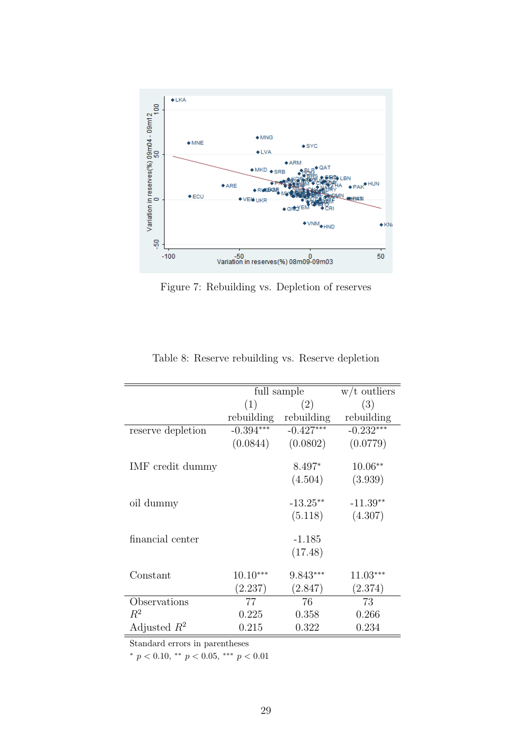<span id="page-28-0"></span>

Figure 7: Rebuilding vs. Depletion of reserves

<span id="page-28-1"></span>

|             |                             | $w/t$ outliers                                                                                         |
|-------------|-----------------------------|--------------------------------------------------------------------------------------------------------|
| (1)         | (2)                         | (3)                                                                                                    |
|             | rebuilding                  | rebuilding                                                                                             |
| $-0.394***$ | $-0.427***$                 | $-0.232***$                                                                                            |
| (0.0844)    | (0.0802)                    | (0.0779)                                                                                               |
|             |                             |                                                                                                        |
|             | 8.497*                      | $10.06**$                                                                                              |
|             | (4.504)                     | (3.939)                                                                                                |
|             |                             |                                                                                                        |
|             |                             | $-11.39**$                                                                                             |
|             |                             | (4.307)                                                                                                |
|             |                             |                                                                                                        |
|             |                             |                                                                                                        |
|             |                             |                                                                                                        |
|             |                             | $11.03***$                                                                                             |
|             |                             |                                                                                                        |
|             |                             | (2.374)                                                                                                |
|             |                             | 73                                                                                                     |
| 0.225       | 0.358                       | 0.266                                                                                                  |
| 0.215       | 0.322                       | 0.234                                                                                                  |
|             | $10.10***$<br>(2.237)<br>77 | full sample<br>rebuilding<br>$-13.25**$<br>(5.118)<br>-1.185<br>(17.48)<br>$9.843***$<br>(2.847)<br>76 |

Table 8: Reserve rebuilding vs. Reserve depletion

\*  $p < 0.10$ , \*\*  $p < 0.05$ , \*\*\*  $p < 0.01$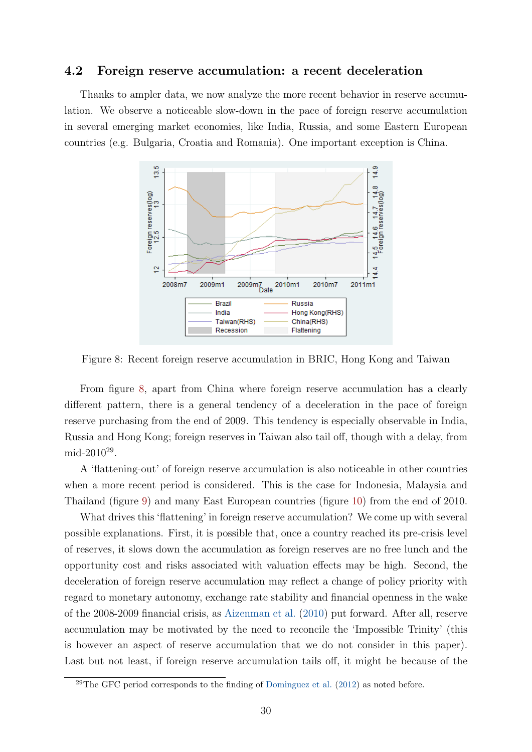### 4.2 Foreign reserve accumulation: a recent deceleration

<span id="page-29-0"></span>Thanks to ampler data, we now analyze the more recent behavior in reserve accumulation. We observe a noticeable slow-down in the pace of foreign reserve accumulation in several emerging market economies, like India, Russia, and some Eastern European countries (e.g. Bulgaria, Croatia and Romania). One important exception is China.



Figure 8: Recent foreign reserve accumulation in BRIC, Hong Kong and Taiwan

From figure [8,](#page-29-0) apart from China where foreign reserve accumulation has a clearly different pattern, there is a general tendency of a deceleration in the pace of foreign reserve purchasing from the end of 2009. This tendency is especially observable in India, Russia and Hong Kong; foreign reserves in Taiwan also tail off, though with a delay, from mid-2010<sup>29</sup>.

A 'flattening-out' of foreign reserve accumulation is also noticeable in other countries when a more recent period is considered. This is the case for Indonesia, Malaysia and Thailand (figure [9\)](#page-30-0) and many East European countries (figure [10\)](#page-30-1) from the end of 2010.

What drives this 'flattening' in foreign reserve accumulation? We come up with several possible explanations. First, it is possible that, once a country reached its pre-crisis level of reserves, it slows down the accumulation as foreign reserves are no free lunch and the opportunity cost and risks associated with valuation effects may be high. Second, the deceleration of foreign reserve accumulation may reflect a change of policy priority with regard to monetary autonomy, exchange rate stability and financial openness in the wake of the 2008-2009 financial crisis, as [Aizenman et al.](#page-34-10) [\(2010\)](#page-34-10) put forward. After all, reserve accumulation may be motivated by the need to reconcile the 'Impossible Trinity' (this is however an aspect of reserve accumulation that we do not consider in this paper). Last but not least, if foreign reserve accumulation tails off, it might be because of the

 $29$ The GFC period corresponds to the finding of [Dominguez et al.](#page-35-8) [\(2012\)](#page-35-8) as noted before.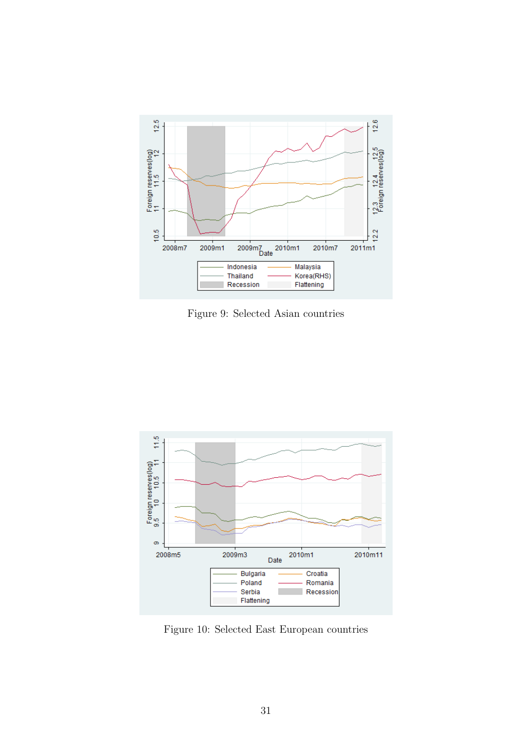<span id="page-30-0"></span>

Figure 9: Selected Asian countries

<span id="page-30-1"></span>

Figure 10: Selected East European countries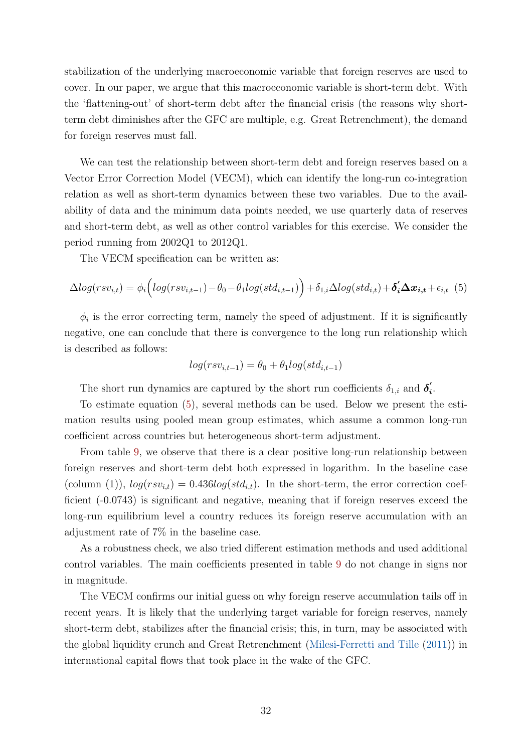stabilization of the underlying macroeconomic variable that foreign reserves are used to cover. In our paper, we argue that this macroeconomic variable is short-term debt. With the 'flattening-out' of short-term debt after the financial crisis (the reasons why shortterm debt diminishes after the GFC are multiple, e.g. Great Retrenchment), the demand for foreign reserves must fall.

We can test the relationship between short-term debt and foreign reserves based on a Vector Error Correction Model (VECM), which can identify the long-run co-integration relation as well as short-term dynamics between these two variables. Due to the availability of data and the minimum data points needed, we use quarterly data of reserves and short-term debt, as well as other control variables for this exercise. We consider the period running from 2002Q1 to 2012Q1.

The VECM specification can be written as:

<span id="page-31-0"></span>
$$
\Delta log(rsv_{i,t}) = \phi_i \Big(log(rsv_{i,t-1}) - \theta_0 - \theta_1 log(std_{i,t-1})\Big) + \delta_{1,i} \Delta log(std_{i,t}) + \delta'_i \Delta x_{i,t} + \epsilon_{i,t} (5)
$$

 $\phi_i$  is the error correcting term, namely the speed of adjustment. If it is significantly negative, one can conclude that there is convergence to the long run relationship which is described as follows:

$$
log(rsv_{i,t-1}) = \theta_0 + \theta_1 log(std_{i,t-1})
$$

The short run dynamics are captured by the short run coefficients  $\delta_{1,i}$  and  $\delta'_i$  $\frac{i}{\cdot}$ 

To estimate equation [\(5\)](#page-31-0), several methods can be used. Below we present the estimation results using pooled mean group estimates, which assume a common long-run coefficient across countries but heterogeneous short-term adjustment.

From table [9,](#page-32-0) we observe that there is a clear positive long-run relationship between foreign reserves and short-term debt both expressed in logarithm. In the baseline case (column (1)),  $log(rsv_{i,t}) = 0.436 log(std_{i,t})$ . In the short-term, the error correction coefficient (-0.0743) is significant and negative, meaning that if foreign reserves exceed the long-run equilibrium level a country reduces its foreign reserve accumulation with an adjustment rate of 7% in the baseline case.

As a robustness check, we also tried different estimation methods and used additional control variables. The main coefficients presented in table [9](#page-32-0) do not change in signs nor in magnitude.

The VECM confirms our initial guess on why foreign reserve accumulation tails off in recent years. It is likely that the underlying target variable for foreign reserves, namely short-term debt, stabilizes after the financial crisis; this, in turn, may be associated with the global liquidity crunch and Great Retrenchment [\(Milesi-Ferretti and Tille](#page-36-12) [\(2011\)](#page-36-12)) in international capital flows that took place in the wake of the GFC.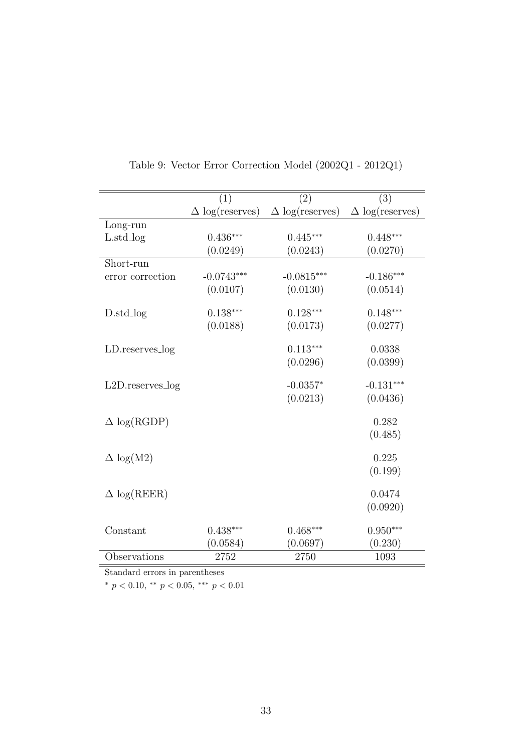<span id="page-32-0"></span>

|                            | (1)                    | $\left( 2\right)$      | (3)                    |
|----------------------------|------------------------|------------------------|------------------------|
|                            | $\Delta$ log(reserves) | $\Delta$ log(reserves) | $\Delta$ log(reserves) |
| Long-run                   |                        |                        |                        |
| $L.\text{std_log}$         | $0.436***$             | $0.445***$             | $0.448***$             |
|                            | (0.0249)               | (0.0243)               | (0.0270)               |
| Short-run                  |                        |                        |                        |
| error correction           | $-0.0743***$           | $-0.0815***$           | $-0.186***$            |
|                            | (0.0107)               | (0.0130)               | (0.0514)               |
| D.std_log                  | $0.138***$             | $0.128***$             | $0.148***$             |
|                            | (0.0188)               | (0.0173)               | (0.0277)               |
| LD.reserves_log            |                        | $0.113***$             | 0.0338                 |
|                            |                        | (0.0296)               | (0.0399)               |
| $L2D$ . reserves $log$     |                        | $-0.0357*$             | $-0.131***$            |
|                            |                        | (0.0213)               | (0.0436)               |
| $\Delta$ log(RGDP)         |                        |                        | 0.282                  |
|                            |                        |                        | (0.485)                |
| $\Delta \log(M2)$          |                        |                        | 0.225                  |
|                            |                        |                        | (0.199)                |
| $\Delta \log(\text{REER})$ |                        |                        | 0.0474                 |
|                            |                        |                        | (0.0920)               |
|                            |                        |                        |                        |
| Constant                   | $0.438***$             | $0.468***$             | $0.950***$             |
|                            | (0.0584)               | (0.0697)               | (0.230)                |
| Observations               | 2752                   | 2750                   | 1093                   |

Table 9: Vector Error Correction Model (2002Q1 - 2012Q1)

 $*$   $p$   $<$   $0.10,$   $^{**}$   $p$   $<$   $0.05,$   $^{***}$   $p$   $<$   $0.01$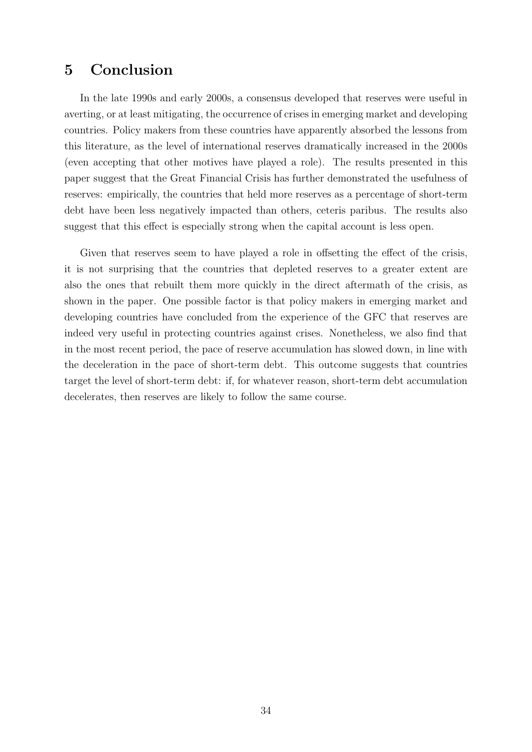## <span id="page-33-0"></span>5 Conclusion

In the late 1990s and early 2000s, a consensus developed that reserves were useful in averting, or at least mitigating, the occurrence of crises in emerging market and developing countries. Policy makers from these countries have apparently absorbed the lessons from this literature, as the level of international reserves dramatically increased in the 2000s (even accepting that other motives have played a role). The results presented in this paper suggest that the Great Financial Crisis has further demonstrated the usefulness of reserves: empirically, the countries that held more reserves as a percentage of short-term debt have been less negatively impacted than others, ceteris paribus. The results also suggest that this effect is especially strong when the capital account is less open.

Given that reserves seem to have played a role in offsetting the effect of the crisis, it is not surprising that the countries that depleted reserves to a greater extent are also the ones that rebuilt them more quickly in the direct aftermath of the crisis, as shown in the paper. One possible factor is that policy makers in emerging market and developing countries have concluded from the experience of the GFC that reserves are indeed very useful in protecting countries against crises. Nonetheless, we also find that in the most recent period, the pace of reserve accumulation has slowed down, in line with the deceleration in the pace of short-term debt. This outcome suggests that countries target the level of short-term debt: if, for whatever reason, short-term debt accumulation decelerates, then reserves are likely to follow the same course.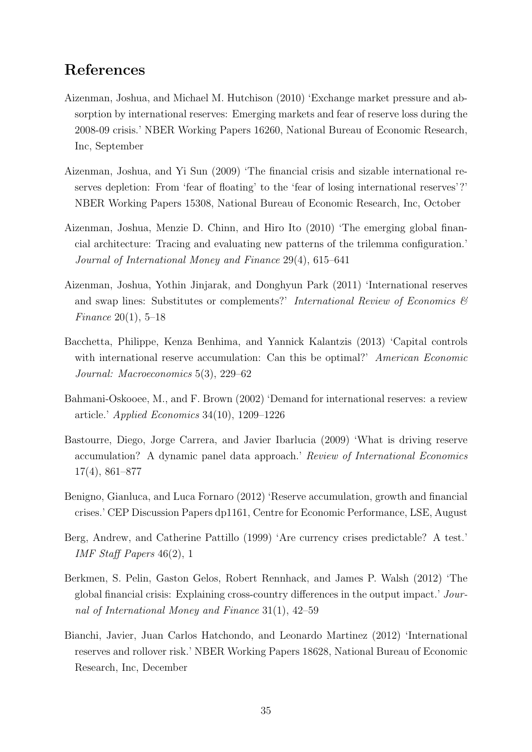## References

- <span id="page-34-5"></span>Aizenman, Joshua, and Michael M. Hutchison (2010) 'Exchange market pressure and absorption by international reserves: Emerging markets and fear of reserve loss during the 2008-09 crisis.' NBER Working Papers 16260, National Bureau of Economic Research, Inc, September
- <span id="page-34-4"></span>Aizenman, Joshua, and Yi Sun (2009) 'The financial crisis and sizable international reserves depletion: From 'fear of floating' to the 'fear of losing international reserves'?' NBER Working Papers 15308, National Bureau of Economic Research, Inc, October
- <span id="page-34-10"></span>Aizenman, Joshua, Menzie D. Chinn, and Hiro Ito (2010) 'The emerging global financial architecture: Tracing and evaluating new patterns of the trilemma configuration.' Journal of International Money and Finance 29(4), 615–641
- <span id="page-34-6"></span>Aizenman, Joshua, Yothin Jinjarak, and Donghyun Park (2011) 'International reserves and swap lines: Substitutes or complements?' International Review of Economics  $\mathcal{B}$ Finance 20(1), 5–18
- <span id="page-34-8"></span>Bacchetta, Philippe, Kenza Benhima, and Yannick Kalantzis (2013) 'Capital controls with international reserve accumulation: Can this be optimal?' American Economic Journal: Macroeconomics 5(3), 229–62
- <span id="page-34-3"></span>Bahmani-Oskooee, M., and F. Brown (2002) 'Demand for international reserves: a review article.' Applied Economics 34(10), 1209–1226
- <span id="page-34-9"></span>Bastourre, Diego, Jorge Carrera, and Javier Ibarlucia (2009) 'What is driving reserve accumulation? A dynamic panel data approach.' Review of International Economics 17(4), 861–877
- <span id="page-34-1"></span>Benigno, Gianluca, and Luca Fornaro (2012) 'Reserve accumulation, growth and financial crises.' CEP Discussion Papers dp1161, Centre for Economic Performance, LSE, August
- <span id="page-34-0"></span>Berg, Andrew, and Catherine Pattillo (1999) 'Are currency crises predictable? A test.' IMF Staff Papers 46(2), 1
- <span id="page-34-7"></span>Berkmen, S. Pelin, Gaston Gelos, Robert Rennhack, and James P. Walsh (2012) 'The global financial crisis: Explaining cross-country differences in the output impact.' Journal of International Money and Finance 31(1), 42–59
- <span id="page-34-2"></span>Bianchi, Javier, Juan Carlos Hatchondo, and Leonardo Martinez (2012) 'International reserves and rollover risk.' NBER Working Papers 18628, National Bureau of Economic Research, Inc, December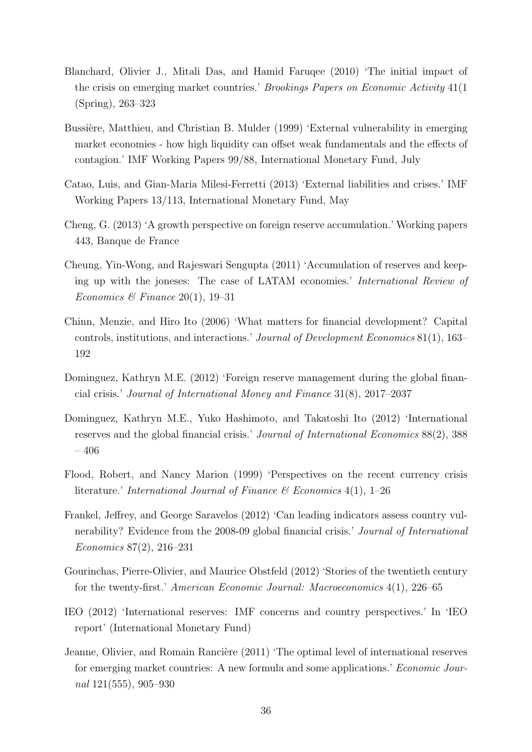- <span id="page-35-5"></span>Blanchard, Olivier J., Mitali Das, and Hamid Faruqee (2010) 'The initial impact of the crisis on emerging market countries.' Brookings Papers on Economic Activity 41(1 (Spring), 263–323
- <span id="page-35-1"></span>Bussière, Matthieu, and Christian B. Mulder (1999) 'External vulnerability in emerging market economies - how high liquidity can offset weak fundamentals and the effects of contagion.' IMF Working Papers 99/88, International Monetary Fund, July
- <span id="page-35-3"></span>Catao, Luis, and Gian-Maria Milesi-Ferretti (2013) 'External liabilities and crises.' IMF Working Papers 13/113, International Monetary Fund, May
- <span id="page-35-10"></span>Cheng, G. (2013) 'A growth perspective on foreign reserve accumulation.' Working papers 443, Banque de France
- <span id="page-35-11"></span>Cheung, Yin-Wong, and Rajeswari Sengupta (2011) 'Accumulation of reserves and keeping up with the joneses: The case of LATAM economies.' International Review of Economics & Finance 20(1), 19-31
- <span id="page-35-9"></span>Chinn, Menzie, and Hiro Ito (2006) 'What matters for financial development? Capital controls, institutions, and interactions.' Journal of Development Economics 81(1), 163– 192
- <span id="page-35-7"></span>Dominguez, Kathryn M.E. (2012) 'Foreign reserve management during the global financial crisis.' Journal of International Money and Finance 31(8), 2017–2037
- <span id="page-35-8"></span>Dominguez, Kathryn M.E., Yuko Hashimoto, and Takatoshi Ito (2012) 'International reserves and the global financial crisis.' Journal of International Economics 88(2), 388 – 406
- <span id="page-35-0"></span>Flood, Robert, and Nancy Marion (1999) 'Perspectives on the recent currency crisis literature.' International Journal of Finance  $\mathcal C$  Economics 4(1), 1–26
- <span id="page-35-6"></span>Frankel, Jeffrey, and George Saravelos (2012) 'Can leading indicators assess country vulnerability? Evidence from the 2008-09 global financial crisis.' Journal of International Economics 87(2), 216–231
- <span id="page-35-2"></span>Gourinchas, Pierre-Olivier, and Maurice Obstfeld (2012) 'Stories of the twentieth century for the twenty-first.' American Economic Journal: Macroeconomics 4(1), 226–65
- <span id="page-35-12"></span>IEO (2012) 'International reserves: IMF concerns and country perspectives.' In 'IEO report' (International Monetary Fund)
- <span id="page-35-4"></span>Jeanne, Olivier, and Romain Rancière (2011) 'The optimal level of international reserves for emerging market countries: A new formula and some applications.' Economic Journal 121(555), 905–930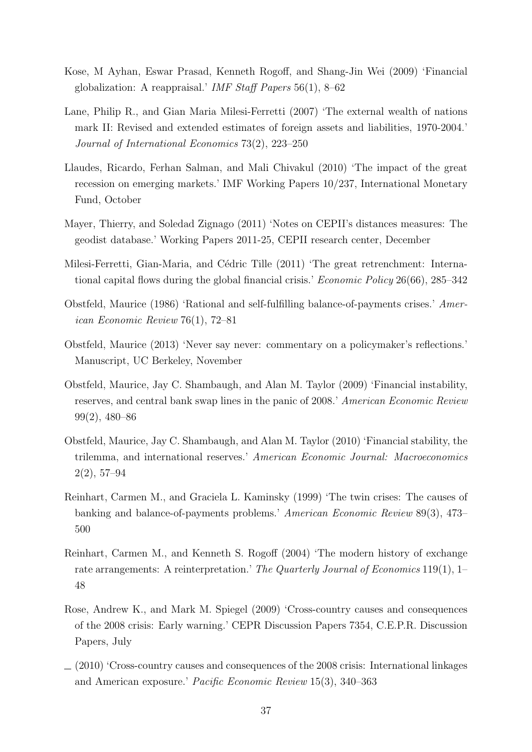- <span id="page-36-8"></span>Kose, M Ayhan, Eswar Prasad, Kenneth Rogoff, and Shang-Jin Wei (2009) 'Financial globalization: A reappraisal.' IMF Staff Papers  $56(1)$ ,  $8-62$
- <span id="page-36-9"></span>Lane, Philip R., and Gian Maria Milesi-Ferretti (2007) 'The external wealth of nations mark II: Revised and extended estimates of foreign assets and liabilities, 1970-2004.' Journal of International Economics 73(2), 223–250
- <span id="page-36-4"></span>Llaudes, Ricardo, Ferhan Salman, and Mali Chivakul (2010) 'The impact of the great recession on emerging markets.' IMF Working Papers 10/237, International Monetary Fund, October
- <span id="page-36-11"></span>Mayer, Thierry, and Soledad Zignago (2011) 'Notes on CEPII's distances measures: The geodist database.' Working Papers 2011-25, CEPII research center, December
- <span id="page-36-12"></span>Milesi-Ferretti, Gian-Maria, and Cédric Tille (2011) 'The great retrenchment: International capital flows during the global financial crisis.' *Economic Policy* 26(66), 285–342
- <span id="page-36-5"></span>Obstfeld, Maurice (1986) 'Rational and self-fulfilling balance-of-payments crises.' American Economic Review 76(1), 72–81
- <span id="page-36-1"></span>Obstfeld, Maurice (2013) 'Never say never: commentary on a policymaker's reflections.' Manuscript, UC Berkeley, November
- <span id="page-36-6"></span>Obstfeld, Maurice, Jay C. Shambaugh, and Alan M. Taylor (2009) 'Financial instability, reserves, and central bank swap lines in the panic of 2008.' American Economic Review 99(2), 480–86
- <span id="page-36-7"></span>Obstfeld, Maurice, Jay C. Shambaugh, and Alan M. Taylor (2010) 'Financial stability, the trilemma, and international reserves.' American Economic Journal: Macroeconomics 2(2), 57–94
- <span id="page-36-0"></span>Reinhart, Carmen M., and Graciela L. Kaminsky (1999) 'The twin crises: The causes of banking and balance-of-payments problems.' American Economic Review 89(3), 473– 500
- <span id="page-36-10"></span>Reinhart, Carmen M., and Kenneth S. Rogoff (2004) 'The modern history of exchange rate arrangements: A reinterpretation.' The Quarterly Journal of Economics 119(1), 1– 48
- <span id="page-36-2"></span>Rose, Andrew K., and Mark M. Spiegel (2009) 'Cross-country causes and consequences of the 2008 crisis: Early warning.' CEPR Discussion Papers 7354, C.E.P.R. Discussion Papers, July
- <span id="page-36-3"></span> $(2010)$  'Cross-country causes and consequences of the 2008 crisis: International linkages and American exposure.' Pacific Economic Review 15(3), 340–363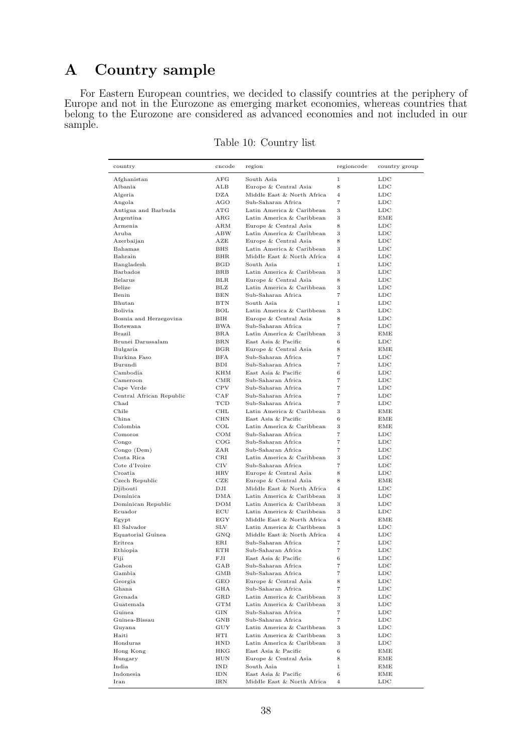## <span id="page-37-0"></span>A Country sample

 $\overline{\phantom{a}}$ 

For Eastern European countries, we decided to classify countries at the periphery of Europe and not in the Eurozone as emerging market economies, whereas countries that belong to the Eurozone are considered as advanced economies and not included in our sample.

| country                  | cncode            | region                                                  | regioncode                       | country group       |
|--------------------------|-------------------|---------------------------------------------------------|----------------------------------|---------------------|
| Afghanistan              | AFG               | South Asia                                              | $\mathbf{1}$                     | $_{\rm LDC}$        |
| Albania                  | ALB               | Europe & Central Asia                                   | 8                                | $_{\text{LDC}}$     |
| Algeria                  | DZA               | Middle East & North Africa                              | $\overline{4}$                   | LDC                 |
| Angola                   | AGO               | Sub-Saharan Africa                                      | $\overline{7}$                   | LDC                 |
| Antigua and Barbuda      | ATG               | Latin America & Caribbean                               | 3                                | $_{\rm LDC}$        |
| Argentina                | $_{\rm ARG}$      | Latin America & Caribbean                               | 3                                | EME                 |
| Armenia                  | ARM               | Europe & Central Asia                                   | 8                                | LDC                 |
| Aruba                    | ABW               | Latin America & Caribbean                               | 3                                | LDC                 |
| Azerbaijan               | AZE               | Europe & Central Asia                                   | 8                                | $_{\rm LDC}$        |
| Bahamas<br>Bahrain       | BHS<br><b>BHR</b> | Latin America & Caribbean<br>Middle East & North Africa | 3                                | $_{\rm LDC}$        |
| Bangladesh               | BGD               | South Asia                                              | 4<br>$\mathbf{1}$                | LDC<br>LDC          |
| Barbados                 | BRB               | Latin America & Caribbean                               | 3                                | $_{\rm LDC}$        |
| Belarus                  | <b>BLR</b>        | Europe & Central Asia                                   | 8                                | $_{\rm LDC}$        |
| Belize                   | BLZ               | Latin America & Caribbean                               | 3                                | $_{\rm LDC}$        |
| Benin                    | BEN               | Sub-Saharan Africa                                      | $\overline{7}$                   | LDC                 |
| Bhutan                   | BTN               | South Asia                                              | $\mathbf{1}$                     | $_{\rm LDC}$        |
| Bolivia                  | <b>BOL</b>        | Latin America & Caribbean                               | 3                                | $_{\rm LDC}$        |
| Bosnia and Herzegovina   | BІH               | Europe & Central Asia                                   | 8                                | $_{\rm LDC}$        |
| Botswana                 | <b>BWA</b>        | Sub-Saharan Africa                                      | $\overline{7}$                   | LDC                 |
| Brazil                   | BRA               | Latin America & Caribbean                               | 3                                | EME                 |
| Brunei Darussalam        | $_{\rm BRN}$      | East Asia & Pacific                                     | 6                                | $_{\rm LDC}$        |
| Bulgaria                 | $_{\rm BGR}$      | Europe & Central Asia                                   | 8                                | EME                 |
| Burkina Faso             | BFA               | Sub-Saharan Africa                                      | $\overline{7}$                   | LDC                 |
| Burundi                  | BDI               | Sub-Saharan Africa                                      | $\overline{7}$                   | LDC                 |
| Cambodia                 | KHM               | East Asia & Pacific                                     | 6                                | $_{\rm LDC}$        |
| Cameroon                 | CMR               | Sub-Saharan Africa                                      | $\scriptstyle{7}$                | $_{\rm LDC}$        |
| Cape Verde               | <b>CPV</b>        | Sub-Saharan Africa                                      | $\overline{7}$                   | $_{\rm LDC}$        |
| Central African Republic | CAF               | Sub-Saharan Africa                                      | $\overline{7}$<br>$\overline{7}$ | LDC                 |
| Chad<br>Chile            | TCD<br>CHL        | Sub-Saharan Africa<br>Latin America & Caribbean         | 3                                | $_{\rm LDC}$<br>EME |
| China                    | <b>CHN</b>        | East Asia & Pacific                                     | 6                                | EME                 |
| Colombia                 | $_{\rm COL}$      | Latin America & Caribbean                               | 3                                | EME                 |
| Comoros                  | COM               | Sub-Saharan Africa                                      | $\overline{7}$                   | $_{\rm LDC}$        |
| Congo                    | COG               | Sub-Saharan Africa                                      | $\scriptstyle{7}$                | $_{\rm LDC}$        |
| Congo (Dem)              | ZAR               | Sub-Saharan Africa                                      | $\overline{7}$                   | $_{\rm LDC}$        |
| Costa Rica               | $_{\rm CRI}$      | Latin America & Caribbean                               | 3                                | $_{\rm LDC}$        |
| Cote d'Ivoire            | <b>CIV</b>        | Sub-Saharan Africa                                      | $\overline{7}$                   | LDC                 |
| Croatia                  | HRV               | Europe & Central Asia                                   | 8                                | LDC                 |
| Czech Republic           | CZE               | Europe & Central Asia                                   | 8                                | EME                 |
| Djibouti                 | DJI               | Middle East & North Africa                              | $\overline{4}$                   | $_{\rm LDC}$        |
| Dominica                 | DMA               | Latin America & Caribbean                               | 3                                | LDC                 |
| Dominican Republic       | <b>DOM</b>        | Latin America & Caribbean                               | 3                                | $_{\text{LDC}}$     |
| Ecuador                  | ECU               | Latin America & Caribbean                               | 3                                | $_{\rm LDC}$        |
| Egypt                    | EGY               | Middle East & North Africa                              | $\overline{4}$                   | EME                 |
| El Salvador              | SLV               | Latin America & Caribbean<br>Middle East & North Africa | 3<br>$\overline{4}$              | LDC                 |
| Equatorial Guinea        | GNQ               | Sub-Saharan Africa                                      | $\overline{7}$                   | LDC<br>LDC          |
| Eritrea<br>Ethiopia      | ERI<br>ETH        | Sub-Saharan Africa                                      | $\overline{7}$                   | $_{\rm LDC}$        |
| Fiji                     | FJI               | East Asia & Pacific                                     | 6                                | $_{\rm LDC}$        |
| Gabon                    | GAB               | Sub-Saharan Africa                                      | 7                                | LDC                 |
| Gambia                   | GMB               | Sub-Saharan Africa                                      | 7                                | LDC                 |
| Georgia                  | GEO               | Europe & Central Asia                                   | 8                                | LDC                 |
| Ghana                    | GHA               | Sub-Saharan Africa                                      | $\scriptstyle{7}$                | LDC                 |
| Grenada                  | GRD               | Latin America & Caribbean                               | 3                                | LDC                 |
| Guatemala                | <b>GTM</b>        | Latin America & Caribbean                               | 3                                | LDC                 |
| Guinea                   | GIN               | Sub-Saharan Africa                                      | $\scriptstyle{7}$                | $_{\rm LDC}$        |
| Guinea-Bissau            | GNB               | Sub-Saharan Africa                                      | $\scriptstyle{7}$                | LDC                 |
| Guyana                   | GUY               | Latin America & Caribbean                               | 3                                | LDC                 |
| Haiti                    | HTI               | Latin America & Caribbean                               | 3                                | LDC                 |
| Honduras                 | HND               | Latin America & Caribbean                               | 3                                | LDC                 |
| Hong Kong                | HKG               | East Asia & Pacific                                     | 6                                | EME                 |
| Hungary                  | HUN               | Europe & Central Asia                                   | 8                                | EME                 |
| India                    | IND               | South Asia                                              | $\mathbf 1$                      | EME                 |
| Indonesia<br>Iran        | IDN<br>IRN        | East Asia & Pacific<br>Middle East & North Africa       | 6<br>$\,4$                       | EME<br>$_{\rm LDC}$ |
|                          |                   |                                                         |                                  |                     |

Table 10: Country list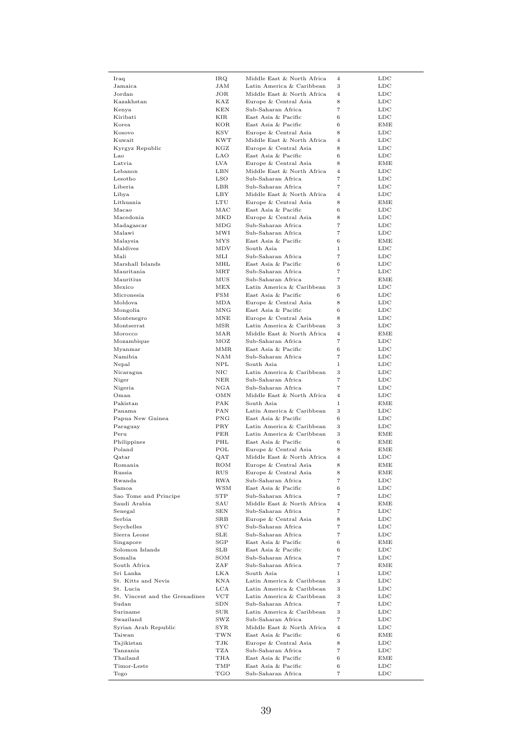| Latin America & Caribbean<br>3<br>$_{\rm LDC}$<br>Jamaica<br>JAM<br>Middle East & North Africa<br>Jordan<br>JOR<br>$\overline{4}$<br>LDC<br>Europe & Central Asia<br>8<br>Kazakhstan<br>KAZ<br><b>LDC</b><br>Sub-Saharan Africa<br>$\overline{7}$<br>Kenya<br>KEN<br>LDC<br>East Asia & Pacific<br>6<br>Kiribati<br>KIR<br><b>LDC</b><br>East Asia & Pacific<br>6<br>Korea<br>KOR<br>EME<br>Europe & Central Asia<br>8<br>Kosovo<br><b>KSV</b><br>LDC<br>Middle East & North Africa<br>$\overline{4}$<br>Kuwait<br><b>KWT</b><br><b>LDC</b><br>KGZ<br>Europe & Central Asia<br>8<br><b>LDC</b><br>Kyrgyz Republic<br>East Asia & Pacific<br>6<br>$_{\rm LDC}$<br>Lao<br>LAO<br>8<br>Latvia<br>LVA<br>Europe & Central Asia<br>EME<br>Middle East & North Africa<br>$\overline{4}$<br>Lebanon<br>LBN<br><b>LDC</b><br><b>LSO</b><br>Sub-Saharan Africa<br>$\overline{7}$<br>Lesotho<br><b>LDC</b><br>Liberia<br>Sub-Saharan Africa<br>$\overline{7}$<br>LBR<br><b>LDC</b><br>Middle East & North Africa<br>Libya<br>LBY<br>$\overline{4}$<br>$_{\text{LDC}}$<br>Europe & Central Asia<br>8<br>Lithuania<br><b>LTU</b><br>EME<br>East Asia & Pacific<br>6<br>Macao<br>MAC<br><b>LDC</b><br>MKD<br>Europe & Central Asia<br>8<br><b>LDC</b><br>Macedonia<br>Sub-Saharan Africa<br>$\overline{7}$<br>$_{\rm LDC}$<br>Madagascar<br>MDG<br>$\overline{7}$<br>Sub-Saharan Africa<br>Malawi<br>MWI<br>LDC<br>East Asia & Pacific<br>6<br>Malaysia<br>ΜYS<br>EME<br>South Asia<br>$\mathbf{1}$<br>Maldives<br>MDV<br>$_{\rm LDC}$<br>Mali<br>Sub-Saharan Africa<br>$\overline{7}$<br>MЫ<br><b>LDC</b><br>East Asia & Pacific<br>6<br>Marshall Islands<br>MHL<br>LDC<br>Sub-Saharan Africa<br>$\overline{7}$<br>Mauritania<br>MRT<br><b>LDC</b><br>$_{\rm MUS}$<br>Sub-Saharan Africa<br>$\overline{7}$<br>Mauritius<br>EME<br>Mexico<br>MEX<br>Latin America & Caribbean<br>3<br>$_{\rm LDC}$<br>Micronesia<br><b>FSM</b><br>East Asia & Pacific<br>6<br>$_{\rm LDC}$<br>Europe & Central Asia<br>8<br>Moldova<br>MDA<br>LDC<br>East Asia & Pacific<br>6<br>Mongolia<br>MNG<br><b>LDC</b><br>Europe & Central Asia<br>8<br>Montenegro<br>MNE<br><b>LDC</b><br>Latin America & Caribbean<br>3<br>Montserrat<br>MSR<br><b>LDC</b><br>Middle East & North Africa<br>$\overline{4}$<br>Morocco<br>MAR<br>EME<br>Sub-Saharan Africa<br>$\overline{7}$<br>Mozambique<br>MOZ<br><b>LDC</b><br>East Asia & Pacific<br>6<br><b>LDC</b><br>Myanmar<br>MMR<br>NAM<br>Sub-Saharan Africa<br>$\overline{7}$<br>$_{\rm LDC}$<br>Namibia<br>South Asia<br>$\mathbf{1}$<br>Nepal<br>NPL<br>LDC<br>Latin America & Caribbean<br>3<br>Nicaragua<br>NIC<br>LDC<br>$\scriptstyle{7}$<br>Sub-Saharan Africa<br>Niger<br>NER<br><b>LDC</b><br>$_{\rm NGA}$<br>Sub-Saharan Africa<br>$\overline{7}$<br>Nigeria<br><b>LDC</b><br>Oman<br>Middle East & North Africa<br>$\overline{4}$<br>OMN<br><b>LDC</b><br>South Asia<br>Pakistan<br>PAK<br>1<br>EME<br>Latin America & Caribbean<br>Panama<br>PAN<br>3<br><b>LDC</b><br>Papua New Guinea<br><b>PNG</b><br>East Asia & Pacific<br>6<br><b>LDC</b><br>Latin America & Caribbean<br>3<br>$_{\rm LDC}$<br>Paraguay<br>PRY<br>Latin America & Caribbean<br>3<br>Peru<br>PER<br>EME<br>$\,$ 6 $\,$<br>East Asia & Pacific<br>Philippines<br>PHL<br>EME<br>Europe & Central Asia<br>8<br>Poland<br>POL<br>EME<br>Middle East & North Africa<br>QAT<br>$\overline{4}$<br>LDC<br>Qatar<br>Europe & Central Asia<br>8<br>Romania<br>ROM<br>EME<br>8<br>Russia<br>RUS<br>Europe & Central Asia<br>EME<br>$\scriptstyle{7}$<br>RWA<br>Sub-Saharan Africa<br><b>LDC</b><br>Rwanda<br>Samoa<br>WSM<br>East Asia & Pacific<br>6<br>$_{\rm LDC}$<br>Sao Tome and Principe<br>Sub-Saharan Africa<br>$\scriptstyle{7}$<br>$_{\rm LDC}$<br>$_{\mathrm{STP}}$<br>Middle East & North Africa<br>Saudi Arabia<br>SAU<br>$\overline{4}$<br>EME<br>$\scriptstyle{7}$<br>Senegal<br>SEN<br>Sub-Saharan Africa<br>LDC<br>Europe & Central Asia<br>8<br>Serbia<br>SRB<br>LDC<br>Sub-Saharan Africa<br>$\overline{7}$<br>Seychelles<br>$_{\mathrm{SYC}}$<br>LDC<br>$\overline{7}$<br>Sierra Leone<br>SLE<br>Sub-Saharan Africa<br>LDC<br>Singapore<br>SGP<br>East Asia & Pacific<br>6<br>EME<br>East Asia & Pacific<br>Solomon Islands<br>SLB<br>6<br>LDC<br>Sub-Saharan Africa<br>$\scriptstyle{7}$<br>$_{\rm LDC}$<br>Somalia<br>SOM<br>Sub-Saharan Africa<br>South Africa<br>ZAF<br>7<br>EME<br>South Asia<br>Sri Lanka<br>LKA<br>1<br>LDC<br>St. Kitts and Nevis<br>KNA<br>Latin America & Caribbean<br>3<br><b>LDC</b><br>Latin America & Caribbean<br>3<br>St. Lucia<br>LCA<br>LDC<br>Latin America & Caribbean<br>3<br>St. Vincent and the Grenadines<br>VCT<br><b>LDC</b><br>$\overline{7}$<br>Sudan<br>SDN<br>Sub-Saharan Africa<br>LDC<br>Latin America & Caribbean<br>Suriname<br>SUR<br>3<br>LDC<br>Sub-Saharan Africa<br>$\scriptstyle{7}$<br>Swaziland<br>SWZ<br>LDC<br>Middle East & North Africa<br>Syrian Arab Republic<br>$_{\rm SYR}$<br>$\overline{4}$<br>LDC<br>East Asia & Pacific<br>Taiwan<br>TWN<br>6<br>EME<br>Europe & Central Asia<br>Tajikistan<br>TJK<br>8<br>LDC<br>Sub-Saharan Africa<br>$\overline{7}$<br>Tanzania<br>TZA<br><b>LDC</b><br>East Asia & Pacific<br>$\,6$<br>Thailand<br>THA<br>EME<br>East Asia & Pacific<br>Timor-Leste<br>TMP<br>6<br><b>LDC</b><br>TGO<br>Sub-Saharan Africa<br>7<br>LDC<br>Togo | Iraq | IRQ | Middle East & North Africa | $\overline{4}$ | LDC |
|---------------------------------------------------------------------------------------------------------------------------------------------------------------------------------------------------------------------------------------------------------------------------------------------------------------------------------------------------------------------------------------------------------------------------------------------------------------------------------------------------------------------------------------------------------------------------------------------------------------------------------------------------------------------------------------------------------------------------------------------------------------------------------------------------------------------------------------------------------------------------------------------------------------------------------------------------------------------------------------------------------------------------------------------------------------------------------------------------------------------------------------------------------------------------------------------------------------------------------------------------------------------------------------------------------------------------------------------------------------------------------------------------------------------------------------------------------------------------------------------------------------------------------------------------------------------------------------------------------------------------------------------------------------------------------------------------------------------------------------------------------------------------------------------------------------------------------------------------------------------------------------------------------------------------------------------------------------------------------------------------------------------------------------------------------------------------------------------------------------------------------------------------------------------------------------------------------------------------------------------------------------------------------------------------------------------------------------------------------------------------------------------------------------------------------------------------------------------------------------------------------------------------------------------------------------------------------------------------------------------------------------------------------------------------------------------------------------------------------------------------------------------------------------------------------------------------------------------------------------------------------------------------------------------------------------------------------------------------------------------------------------------------------------------------------------------------------------------------------------------------------------------------------------------------------------------------------------------------------------------------------------------------------------------------------------------------------------------------------------------------------------------------------------------------------------------------------------------------------------------------------------------------------------------------------------------------------------------------------------------------------------------------------------------------------------------------------------------------------------------------------------------------------------------------------------------------------------------------------------------------------------------------------------------------------------------------------------------------------------------------------------------------------------------------------------------------------------------------------------------------------------------------------------------------------------------------------------------------------------------------------------------------------------------------------------------------------------------------------------------------------------------------------------------------------------------------------------------------------------------------------------------------------------------------------------------------------------------------------------------------------------------------------------------------------------------------------------------------------------------------------------------------------------------------------------------------------------------------------------------------------------------------------------------------------------------------------------------------------------------------------------------------------------------------------------------------------------------------------------------------------------------------------------------------------------------------------------------------------------------------------------------------------------------------------------------------------------------|------|-----|----------------------------|----------------|-----|
|                                                                                                                                                                                                                                                                                                                                                                                                                                                                                                                                                                                                                                                                                                                                                                                                                                                                                                                                                                                                                                                                                                                                                                                                                                                                                                                                                                                                                                                                                                                                                                                                                                                                                                                                                                                                                                                                                                                                                                                                                                                                                                                                                                                                                                                                                                                                                                                                                                                                                                                                                                                                                                                                                                                                                                                                                                                                                                                                                                                                                                                                                                                                                                                                                                                                                                                                                                                                                                                                                                                                                                                                                                                                                                                                                                                                                                                                                                                                                                                                                                                                                                                                                                                                                                                                                                                                                                                                                                                                                                                                                                                                                                                                                                                                                                                                                                                                                                                                                                                                                                                                                                                                                                                                                                                                                                                                             |      |     |                            |                |     |
|                                                                                                                                                                                                                                                                                                                                                                                                                                                                                                                                                                                                                                                                                                                                                                                                                                                                                                                                                                                                                                                                                                                                                                                                                                                                                                                                                                                                                                                                                                                                                                                                                                                                                                                                                                                                                                                                                                                                                                                                                                                                                                                                                                                                                                                                                                                                                                                                                                                                                                                                                                                                                                                                                                                                                                                                                                                                                                                                                                                                                                                                                                                                                                                                                                                                                                                                                                                                                                                                                                                                                                                                                                                                                                                                                                                                                                                                                                                                                                                                                                                                                                                                                                                                                                                                                                                                                                                                                                                                                                                                                                                                                                                                                                                                                                                                                                                                                                                                                                                                                                                                                                                                                                                                                                                                                                                                             |      |     |                            |                |     |
|                                                                                                                                                                                                                                                                                                                                                                                                                                                                                                                                                                                                                                                                                                                                                                                                                                                                                                                                                                                                                                                                                                                                                                                                                                                                                                                                                                                                                                                                                                                                                                                                                                                                                                                                                                                                                                                                                                                                                                                                                                                                                                                                                                                                                                                                                                                                                                                                                                                                                                                                                                                                                                                                                                                                                                                                                                                                                                                                                                                                                                                                                                                                                                                                                                                                                                                                                                                                                                                                                                                                                                                                                                                                                                                                                                                                                                                                                                                                                                                                                                                                                                                                                                                                                                                                                                                                                                                                                                                                                                                                                                                                                                                                                                                                                                                                                                                                                                                                                                                                                                                                                                                                                                                                                                                                                                                                             |      |     |                            |                |     |
|                                                                                                                                                                                                                                                                                                                                                                                                                                                                                                                                                                                                                                                                                                                                                                                                                                                                                                                                                                                                                                                                                                                                                                                                                                                                                                                                                                                                                                                                                                                                                                                                                                                                                                                                                                                                                                                                                                                                                                                                                                                                                                                                                                                                                                                                                                                                                                                                                                                                                                                                                                                                                                                                                                                                                                                                                                                                                                                                                                                                                                                                                                                                                                                                                                                                                                                                                                                                                                                                                                                                                                                                                                                                                                                                                                                                                                                                                                                                                                                                                                                                                                                                                                                                                                                                                                                                                                                                                                                                                                                                                                                                                                                                                                                                                                                                                                                                                                                                                                                                                                                                                                                                                                                                                                                                                                                                             |      |     |                            |                |     |
|                                                                                                                                                                                                                                                                                                                                                                                                                                                                                                                                                                                                                                                                                                                                                                                                                                                                                                                                                                                                                                                                                                                                                                                                                                                                                                                                                                                                                                                                                                                                                                                                                                                                                                                                                                                                                                                                                                                                                                                                                                                                                                                                                                                                                                                                                                                                                                                                                                                                                                                                                                                                                                                                                                                                                                                                                                                                                                                                                                                                                                                                                                                                                                                                                                                                                                                                                                                                                                                                                                                                                                                                                                                                                                                                                                                                                                                                                                                                                                                                                                                                                                                                                                                                                                                                                                                                                                                                                                                                                                                                                                                                                                                                                                                                                                                                                                                                                                                                                                                                                                                                                                                                                                                                                                                                                                                                             |      |     |                            |                |     |
|                                                                                                                                                                                                                                                                                                                                                                                                                                                                                                                                                                                                                                                                                                                                                                                                                                                                                                                                                                                                                                                                                                                                                                                                                                                                                                                                                                                                                                                                                                                                                                                                                                                                                                                                                                                                                                                                                                                                                                                                                                                                                                                                                                                                                                                                                                                                                                                                                                                                                                                                                                                                                                                                                                                                                                                                                                                                                                                                                                                                                                                                                                                                                                                                                                                                                                                                                                                                                                                                                                                                                                                                                                                                                                                                                                                                                                                                                                                                                                                                                                                                                                                                                                                                                                                                                                                                                                                                                                                                                                                                                                                                                                                                                                                                                                                                                                                                                                                                                                                                                                                                                                                                                                                                                                                                                                                                             |      |     |                            |                |     |
|                                                                                                                                                                                                                                                                                                                                                                                                                                                                                                                                                                                                                                                                                                                                                                                                                                                                                                                                                                                                                                                                                                                                                                                                                                                                                                                                                                                                                                                                                                                                                                                                                                                                                                                                                                                                                                                                                                                                                                                                                                                                                                                                                                                                                                                                                                                                                                                                                                                                                                                                                                                                                                                                                                                                                                                                                                                                                                                                                                                                                                                                                                                                                                                                                                                                                                                                                                                                                                                                                                                                                                                                                                                                                                                                                                                                                                                                                                                                                                                                                                                                                                                                                                                                                                                                                                                                                                                                                                                                                                                                                                                                                                                                                                                                                                                                                                                                                                                                                                                                                                                                                                                                                                                                                                                                                                                                             |      |     |                            |                |     |
|                                                                                                                                                                                                                                                                                                                                                                                                                                                                                                                                                                                                                                                                                                                                                                                                                                                                                                                                                                                                                                                                                                                                                                                                                                                                                                                                                                                                                                                                                                                                                                                                                                                                                                                                                                                                                                                                                                                                                                                                                                                                                                                                                                                                                                                                                                                                                                                                                                                                                                                                                                                                                                                                                                                                                                                                                                                                                                                                                                                                                                                                                                                                                                                                                                                                                                                                                                                                                                                                                                                                                                                                                                                                                                                                                                                                                                                                                                                                                                                                                                                                                                                                                                                                                                                                                                                                                                                                                                                                                                                                                                                                                                                                                                                                                                                                                                                                                                                                                                                                                                                                                                                                                                                                                                                                                                                                             |      |     |                            |                |     |
|                                                                                                                                                                                                                                                                                                                                                                                                                                                                                                                                                                                                                                                                                                                                                                                                                                                                                                                                                                                                                                                                                                                                                                                                                                                                                                                                                                                                                                                                                                                                                                                                                                                                                                                                                                                                                                                                                                                                                                                                                                                                                                                                                                                                                                                                                                                                                                                                                                                                                                                                                                                                                                                                                                                                                                                                                                                                                                                                                                                                                                                                                                                                                                                                                                                                                                                                                                                                                                                                                                                                                                                                                                                                                                                                                                                                                                                                                                                                                                                                                                                                                                                                                                                                                                                                                                                                                                                                                                                                                                                                                                                                                                                                                                                                                                                                                                                                                                                                                                                                                                                                                                                                                                                                                                                                                                                                             |      |     |                            |                |     |
|                                                                                                                                                                                                                                                                                                                                                                                                                                                                                                                                                                                                                                                                                                                                                                                                                                                                                                                                                                                                                                                                                                                                                                                                                                                                                                                                                                                                                                                                                                                                                                                                                                                                                                                                                                                                                                                                                                                                                                                                                                                                                                                                                                                                                                                                                                                                                                                                                                                                                                                                                                                                                                                                                                                                                                                                                                                                                                                                                                                                                                                                                                                                                                                                                                                                                                                                                                                                                                                                                                                                                                                                                                                                                                                                                                                                                                                                                                                                                                                                                                                                                                                                                                                                                                                                                                                                                                                                                                                                                                                                                                                                                                                                                                                                                                                                                                                                                                                                                                                                                                                                                                                                                                                                                                                                                                                                             |      |     |                            |                |     |
|                                                                                                                                                                                                                                                                                                                                                                                                                                                                                                                                                                                                                                                                                                                                                                                                                                                                                                                                                                                                                                                                                                                                                                                                                                                                                                                                                                                                                                                                                                                                                                                                                                                                                                                                                                                                                                                                                                                                                                                                                                                                                                                                                                                                                                                                                                                                                                                                                                                                                                                                                                                                                                                                                                                                                                                                                                                                                                                                                                                                                                                                                                                                                                                                                                                                                                                                                                                                                                                                                                                                                                                                                                                                                                                                                                                                                                                                                                                                                                                                                                                                                                                                                                                                                                                                                                                                                                                                                                                                                                                                                                                                                                                                                                                                                                                                                                                                                                                                                                                                                                                                                                                                                                                                                                                                                                                                             |      |     |                            |                |     |
|                                                                                                                                                                                                                                                                                                                                                                                                                                                                                                                                                                                                                                                                                                                                                                                                                                                                                                                                                                                                                                                                                                                                                                                                                                                                                                                                                                                                                                                                                                                                                                                                                                                                                                                                                                                                                                                                                                                                                                                                                                                                                                                                                                                                                                                                                                                                                                                                                                                                                                                                                                                                                                                                                                                                                                                                                                                                                                                                                                                                                                                                                                                                                                                                                                                                                                                                                                                                                                                                                                                                                                                                                                                                                                                                                                                                                                                                                                                                                                                                                                                                                                                                                                                                                                                                                                                                                                                                                                                                                                                                                                                                                                                                                                                                                                                                                                                                                                                                                                                                                                                                                                                                                                                                                                                                                                                                             |      |     |                            |                |     |
|                                                                                                                                                                                                                                                                                                                                                                                                                                                                                                                                                                                                                                                                                                                                                                                                                                                                                                                                                                                                                                                                                                                                                                                                                                                                                                                                                                                                                                                                                                                                                                                                                                                                                                                                                                                                                                                                                                                                                                                                                                                                                                                                                                                                                                                                                                                                                                                                                                                                                                                                                                                                                                                                                                                                                                                                                                                                                                                                                                                                                                                                                                                                                                                                                                                                                                                                                                                                                                                                                                                                                                                                                                                                                                                                                                                                                                                                                                                                                                                                                                                                                                                                                                                                                                                                                                                                                                                                                                                                                                                                                                                                                                                                                                                                                                                                                                                                                                                                                                                                                                                                                                                                                                                                                                                                                                                                             |      |     |                            |                |     |
|                                                                                                                                                                                                                                                                                                                                                                                                                                                                                                                                                                                                                                                                                                                                                                                                                                                                                                                                                                                                                                                                                                                                                                                                                                                                                                                                                                                                                                                                                                                                                                                                                                                                                                                                                                                                                                                                                                                                                                                                                                                                                                                                                                                                                                                                                                                                                                                                                                                                                                                                                                                                                                                                                                                                                                                                                                                                                                                                                                                                                                                                                                                                                                                                                                                                                                                                                                                                                                                                                                                                                                                                                                                                                                                                                                                                                                                                                                                                                                                                                                                                                                                                                                                                                                                                                                                                                                                                                                                                                                                                                                                                                                                                                                                                                                                                                                                                                                                                                                                                                                                                                                                                                                                                                                                                                                                                             |      |     |                            |                |     |
|                                                                                                                                                                                                                                                                                                                                                                                                                                                                                                                                                                                                                                                                                                                                                                                                                                                                                                                                                                                                                                                                                                                                                                                                                                                                                                                                                                                                                                                                                                                                                                                                                                                                                                                                                                                                                                                                                                                                                                                                                                                                                                                                                                                                                                                                                                                                                                                                                                                                                                                                                                                                                                                                                                                                                                                                                                                                                                                                                                                                                                                                                                                                                                                                                                                                                                                                                                                                                                                                                                                                                                                                                                                                                                                                                                                                                                                                                                                                                                                                                                                                                                                                                                                                                                                                                                                                                                                                                                                                                                                                                                                                                                                                                                                                                                                                                                                                                                                                                                                                                                                                                                                                                                                                                                                                                                                                             |      |     |                            |                |     |
|                                                                                                                                                                                                                                                                                                                                                                                                                                                                                                                                                                                                                                                                                                                                                                                                                                                                                                                                                                                                                                                                                                                                                                                                                                                                                                                                                                                                                                                                                                                                                                                                                                                                                                                                                                                                                                                                                                                                                                                                                                                                                                                                                                                                                                                                                                                                                                                                                                                                                                                                                                                                                                                                                                                                                                                                                                                                                                                                                                                                                                                                                                                                                                                                                                                                                                                                                                                                                                                                                                                                                                                                                                                                                                                                                                                                                                                                                                                                                                                                                                                                                                                                                                                                                                                                                                                                                                                                                                                                                                                                                                                                                                                                                                                                                                                                                                                                                                                                                                                                                                                                                                                                                                                                                                                                                                                                             |      |     |                            |                |     |
|                                                                                                                                                                                                                                                                                                                                                                                                                                                                                                                                                                                                                                                                                                                                                                                                                                                                                                                                                                                                                                                                                                                                                                                                                                                                                                                                                                                                                                                                                                                                                                                                                                                                                                                                                                                                                                                                                                                                                                                                                                                                                                                                                                                                                                                                                                                                                                                                                                                                                                                                                                                                                                                                                                                                                                                                                                                                                                                                                                                                                                                                                                                                                                                                                                                                                                                                                                                                                                                                                                                                                                                                                                                                                                                                                                                                                                                                                                                                                                                                                                                                                                                                                                                                                                                                                                                                                                                                                                                                                                                                                                                                                                                                                                                                                                                                                                                                                                                                                                                                                                                                                                                                                                                                                                                                                                                                             |      |     |                            |                |     |
|                                                                                                                                                                                                                                                                                                                                                                                                                                                                                                                                                                                                                                                                                                                                                                                                                                                                                                                                                                                                                                                                                                                                                                                                                                                                                                                                                                                                                                                                                                                                                                                                                                                                                                                                                                                                                                                                                                                                                                                                                                                                                                                                                                                                                                                                                                                                                                                                                                                                                                                                                                                                                                                                                                                                                                                                                                                                                                                                                                                                                                                                                                                                                                                                                                                                                                                                                                                                                                                                                                                                                                                                                                                                                                                                                                                                                                                                                                                                                                                                                                                                                                                                                                                                                                                                                                                                                                                                                                                                                                                                                                                                                                                                                                                                                                                                                                                                                                                                                                                                                                                                                                                                                                                                                                                                                                                                             |      |     |                            |                |     |
|                                                                                                                                                                                                                                                                                                                                                                                                                                                                                                                                                                                                                                                                                                                                                                                                                                                                                                                                                                                                                                                                                                                                                                                                                                                                                                                                                                                                                                                                                                                                                                                                                                                                                                                                                                                                                                                                                                                                                                                                                                                                                                                                                                                                                                                                                                                                                                                                                                                                                                                                                                                                                                                                                                                                                                                                                                                                                                                                                                                                                                                                                                                                                                                                                                                                                                                                                                                                                                                                                                                                                                                                                                                                                                                                                                                                                                                                                                                                                                                                                                                                                                                                                                                                                                                                                                                                                                                                                                                                                                                                                                                                                                                                                                                                                                                                                                                                                                                                                                                                                                                                                                                                                                                                                                                                                                                                             |      |     |                            |                |     |
|                                                                                                                                                                                                                                                                                                                                                                                                                                                                                                                                                                                                                                                                                                                                                                                                                                                                                                                                                                                                                                                                                                                                                                                                                                                                                                                                                                                                                                                                                                                                                                                                                                                                                                                                                                                                                                                                                                                                                                                                                                                                                                                                                                                                                                                                                                                                                                                                                                                                                                                                                                                                                                                                                                                                                                                                                                                                                                                                                                                                                                                                                                                                                                                                                                                                                                                                                                                                                                                                                                                                                                                                                                                                                                                                                                                                                                                                                                                                                                                                                                                                                                                                                                                                                                                                                                                                                                                                                                                                                                                                                                                                                                                                                                                                                                                                                                                                                                                                                                                                                                                                                                                                                                                                                                                                                                                                             |      |     |                            |                |     |
|                                                                                                                                                                                                                                                                                                                                                                                                                                                                                                                                                                                                                                                                                                                                                                                                                                                                                                                                                                                                                                                                                                                                                                                                                                                                                                                                                                                                                                                                                                                                                                                                                                                                                                                                                                                                                                                                                                                                                                                                                                                                                                                                                                                                                                                                                                                                                                                                                                                                                                                                                                                                                                                                                                                                                                                                                                                                                                                                                                                                                                                                                                                                                                                                                                                                                                                                                                                                                                                                                                                                                                                                                                                                                                                                                                                                                                                                                                                                                                                                                                                                                                                                                                                                                                                                                                                                                                                                                                                                                                                                                                                                                                                                                                                                                                                                                                                                                                                                                                                                                                                                                                                                                                                                                                                                                                                                             |      |     |                            |                |     |
|                                                                                                                                                                                                                                                                                                                                                                                                                                                                                                                                                                                                                                                                                                                                                                                                                                                                                                                                                                                                                                                                                                                                                                                                                                                                                                                                                                                                                                                                                                                                                                                                                                                                                                                                                                                                                                                                                                                                                                                                                                                                                                                                                                                                                                                                                                                                                                                                                                                                                                                                                                                                                                                                                                                                                                                                                                                                                                                                                                                                                                                                                                                                                                                                                                                                                                                                                                                                                                                                                                                                                                                                                                                                                                                                                                                                                                                                                                                                                                                                                                                                                                                                                                                                                                                                                                                                                                                                                                                                                                                                                                                                                                                                                                                                                                                                                                                                                                                                                                                                                                                                                                                                                                                                                                                                                                                                             |      |     |                            |                |     |
|                                                                                                                                                                                                                                                                                                                                                                                                                                                                                                                                                                                                                                                                                                                                                                                                                                                                                                                                                                                                                                                                                                                                                                                                                                                                                                                                                                                                                                                                                                                                                                                                                                                                                                                                                                                                                                                                                                                                                                                                                                                                                                                                                                                                                                                                                                                                                                                                                                                                                                                                                                                                                                                                                                                                                                                                                                                                                                                                                                                                                                                                                                                                                                                                                                                                                                                                                                                                                                                                                                                                                                                                                                                                                                                                                                                                                                                                                                                                                                                                                                                                                                                                                                                                                                                                                                                                                                                                                                                                                                                                                                                                                                                                                                                                                                                                                                                                                                                                                                                                                                                                                                                                                                                                                                                                                                                                             |      |     |                            |                |     |
|                                                                                                                                                                                                                                                                                                                                                                                                                                                                                                                                                                                                                                                                                                                                                                                                                                                                                                                                                                                                                                                                                                                                                                                                                                                                                                                                                                                                                                                                                                                                                                                                                                                                                                                                                                                                                                                                                                                                                                                                                                                                                                                                                                                                                                                                                                                                                                                                                                                                                                                                                                                                                                                                                                                                                                                                                                                                                                                                                                                                                                                                                                                                                                                                                                                                                                                                                                                                                                                                                                                                                                                                                                                                                                                                                                                                                                                                                                                                                                                                                                                                                                                                                                                                                                                                                                                                                                                                                                                                                                                                                                                                                                                                                                                                                                                                                                                                                                                                                                                                                                                                                                                                                                                                                                                                                                                                             |      |     |                            |                |     |
|                                                                                                                                                                                                                                                                                                                                                                                                                                                                                                                                                                                                                                                                                                                                                                                                                                                                                                                                                                                                                                                                                                                                                                                                                                                                                                                                                                                                                                                                                                                                                                                                                                                                                                                                                                                                                                                                                                                                                                                                                                                                                                                                                                                                                                                                                                                                                                                                                                                                                                                                                                                                                                                                                                                                                                                                                                                                                                                                                                                                                                                                                                                                                                                                                                                                                                                                                                                                                                                                                                                                                                                                                                                                                                                                                                                                                                                                                                                                                                                                                                                                                                                                                                                                                                                                                                                                                                                                                                                                                                                                                                                                                                                                                                                                                                                                                                                                                                                                                                                                                                                                                                                                                                                                                                                                                                                                             |      |     |                            |                |     |
|                                                                                                                                                                                                                                                                                                                                                                                                                                                                                                                                                                                                                                                                                                                                                                                                                                                                                                                                                                                                                                                                                                                                                                                                                                                                                                                                                                                                                                                                                                                                                                                                                                                                                                                                                                                                                                                                                                                                                                                                                                                                                                                                                                                                                                                                                                                                                                                                                                                                                                                                                                                                                                                                                                                                                                                                                                                                                                                                                                                                                                                                                                                                                                                                                                                                                                                                                                                                                                                                                                                                                                                                                                                                                                                                                                                                                                                                                                                                                                                                                                                                                                                                                                                                                                                                                                                                                                                                                                                                                                                                                                                                                                                                                                                                                                                                                                                                                                                                                                                                                                                                                                                                                                                                                                                                                                                                             |      |     |                            |                |     |
|                                                                                                                                                                                                                                                                                                                                                                                                                                                                                                                                                                                                                                                                                                                                                                                                                                                                                                                                                                                                                                                                                                                                                                                                                                                                                                                                                                                                                                                                                                                                                                                                                                                                                                                                                                                                                                                                                                                                                                                                                                                                                                                                                                                                                                                                                                                                                                                                                                                                                                                                                                                                                                                                                                                                                                                                                                                                                                                                                                                                                                                                                                                                                                                                                                                                                                                                                                                                                                                                                                                                                                                                                                                                                                                                                                                                                                                                                                                                                                                                                                                                                                                                                                                                                                                                                                                                                                                                                                                                                                                                                                                                                                                                                                                                                                                                                                                                                                                                                                                                                                                                                                                                                                                                                                                                                                                                             |      |     |                            |                |     |
|                                                                                                                                                                                                                                                                                                                                                                                                                                                                                                                                                                                                                                                                                                                                                                                                                                                                                                                                                                                                                                                                                                                                                                                                                                                                                                                                                                                                                                                                                                                                                                                                                                                                                                                                                                                                                                                                                                                                                                                                                                                                                                                                                                                                                                                                                                                                                                                                                                                                                                                                                                                                                                                                                                                                                                                                                                                                                                                                                                                                                                                                                                                                                                                                                                                                                                                                                                                                                                                                                                                                                                                                                                                                                                                                                                                                                                                                                                                                                                                                                                                                                                                                                                                                                                                                                                                                                                                                                                                                                                                                                                                                                                                                                                                                                                                                                                                                                                                                                                                                                                                                                                                                                                                                                                                                                                                                             |      |     |                            |                |     |
|                                                                                                                                                                                                                                                                                                                                                                                                                                                                                                                                                                                                                                                                                                                                                                                                                                                                                                                                                                                                                                                                                                                                                                                                                                                                                                                                                                                                                                                                                                                                                                                                                                                                                                                                                                                                                                                                                                                                                                                                                                                                                                                                                                                                                                                                                                                                                                                                                                                                                                                                                                                                                                                                                                                                                                                                                                                                                                                                                                                                                                                                                                                                                                                                                                                                                                                                                                                                                                                                                                                                                                                                                                                                                                                                                                                                                                                                                                                                                                                                                                                                                                                                                                                                                                                                                                                                                                                                                                                                                                                                                                                                                                                                                                                                                                                                                                                                                                                                                                                                                                                                                                                                                                                                                                                                                                                                             |      |     |                            |                |     |
|                                                                                                                                                                                                                                                                                                                                                                                                                                                                                                                                                                                                                                                                                                                                                                                                                                                                                                                                                                                                                                                                                                                                                                                                                                                                                                                                                                                                                                                                                                                                                                                                                                                                                                                                                                                                                                                                                                                                                                                                                                                                                                                                                                                                                                                                                                                                                                                                                                                                                                                                                                                                                                                                                                                                                                                                                                                                                                                                                                                                                                                                                                                                                                                                                                                                                                                                                                                                                                                                                                                                                                                                                                                                                                                                                                                                                                                                                                                                                                                                                                                                                                                                                                                                                                                                                                                                                                                                                                                                                                                                                                                                                                                                                                                                                                                                                                                                                                                                                                                                                                                                                                                                                                                                                                                                                                                                             |      |     |                            |                |     |
|                                                                                                                                                                                                                                                                                                                                                                                                                                                                                                                                                                                                                                                                                                                                                                                                                                                                                                                                                                                                                                                                                                                                                                                                                                                                                                                                                                                                                                                                                                                                                                                                                                                                                                                                                                                                                                                                                                                                                                                                                                                                                                                                                                                                                                                                                                                                                                                                                                                                                                                                                                                                                                                                                                                                                                                                                                                                                                                                                                                                                                                                                                                                                                                                                                                                                                                                                                                                                                                                                                                                                                                                                                                                                                                                                                                                                                                                                                                                                                                                                                                                                                                                                                                                                                                                                                                                                                                                                                                                                                                                                                                                                                                                                                                                                                                                                                                                                                                                                                                                                                                                                                                                                                                                                                                                                                                                             |      |     |                            |                |     |
|                                                                                                                                                                                                                                                                                                                                                                                                                                                                                                                                                                                                                                                                                                                                                                                                                                                                                                                                                                                                                                                                                                                                                                                                                                                                                                                                                                                                                                                                                                                                                                                                                                                                                                                                                                                                                                                                                                                                                                                                                                                                                                                                                                                                                                                                                                                                                                                                                                                                                                                                                                                                                                                                                                                                                                                                                                                                                                                                                                                                                                                                                                                                                                                                                                                                                                                                                                                                                                                                                                                                                                                                                                                                                                                                                                                                                                                                                                                                                                                                                                                                                                                                                                                                                                                                                                                                                                                                                                                                                                                                                                                                                                                                                                                                                                                                                                                                                                                                                                                                                                                                                                                                                                                                                                                                                                                                             |      |     |                            |                |     |
|                                                                                                                                                                                                                                                                                                                                                                                                                                                                                                                                                                                                                                                                                                                                                                                                                                                                                                                                                                                                                                                                                                                                                                                                                                                                                                                                                                                                                                                                                                                                                                                                                                                                                                                                                                                                                                                                                                                                                                                                                                                                                                                                                                                                                                                                                                                                                                                                                                                                                                                                                                                                                                                                                                                                                                                                                                                                                                                                                                                                                                                                                                                                                                                                                                                                                                                                                                                                                                                                                                                                                                                                                                                                                                                                                                                                                                                                                                                                                                                                                                                                                                                                                                                                                                                                                                                                                                                                                                                                                                                                                                                                                                                                                                                                                                                                                                                                                                                                                                                                                                                                                                                                                                                                                                                                                                                                             |      |     |                            |                |     |
|                                                                                                                                                                                                                                                                                                                                                                                                                                                                                                                                                                                                                                                                                                                                                                                                                                                                                                                                                                                                                                                                                                                                                                                                                                                                                                                                                                                                                                                                                                                                                                                                                                                                                                                                                                                                                                                                                                                                                                                                                                                                                                                                                                                                                                                                                                                                                                                                                                                                                                                                                                                                                                                                                                                                                                                                                                                                                                                                                                                                                                                                                                                                                                                                                                                                                                                                                                                                                                                                                                                                                                                                                                                                                                                                                                                                                                                                                                                                                                                                                                                                                                                                                                                                                                                                                                                                                                                                                                                                                                                                                                                                                                                                                                                                                                                                                                                                                                                                                                                                                                                                                                                                                                                                                                                                                                                                             |      |     |                            |                |     |
|                                                                                                                                                                                                                                                                                                                                                                                                                                                                                                                                                                                                                                                                                                                                                                                                                                                                                                                                                                                                                                                                                                                                                                                                                                                                                                                                                                                                                                                                                                                                                                                                                                                                                                                                                                                                                                                                                                                                                                                                                                                                                                                                                                                                                                                                                                                                                                                                                                                                                                                                                                                                                                                                                                                                                                                                                                                                                                                                                                                                                                                                                                                                                                                                                                                                                                                                                                                                                                                                                                                                                                                                                                                                                                                                                                                                                                                                                                                                                                                                                                                                                                                                                                                                                                                                                                                                                                                                                                                                                                                                                                                                                                                                                                                                                                                                                                                                                                                                                                                                                                                                                                                                                                                                                                                                                                                                             |      |     |                            |                |     |
|                                                                                                                                                                                                                                                                                                                                                                                                                                                                                                                                                                                                                                                                                                                                                                                                                                                                                                                                                                                                                                                                                                                                                                                                                                                                                                                                                                                                                                                                                                                                                                                                                                                                                                                                                                                                                                                                                                                                                                                                                                                                                                                                                                                                                                                                                                                                                                                                                                                                                                                                                                                                                                                                                                                                                                                                                                                                                                                                                                                                                                                                                                                                                                                                                                                                                                                                                                                                                                                                                                                                                                                                                                                                                                                                                                                                                                                                                                                                                                                                                                                                                                                                                                                                                                                                                                                                                                                                                                                                                                                                                                                                                                                                                                                                                                                                                                                                                                                                                                                                                                                                                                                                                                                                                                                                                                                                             |      |     |                            |                |     |
|                                                                                                                                                                                                                                                                                                                                                                                                                                                                                                                                                                                                                                                                                                                                                                                                                                                                                                                                                                                                                                                                                                                                                                                                                                                                                                                                                                                                                                                                                                                                                                                                                                                                                                                                                                                                                                                                                                                                                                                                                                                                                                                                                                                                                                                                                                                                                                                                                                                                                                                                                                                                                                                                                                                                                                                                                                                                                                                                                                                                                                                                                                                                                                                                                                                                                                                                                                                                                                                                                                                                                                                                                                                                                                                                                                                                                                                                                                                                                                                                                                                                                                                                                                                                                                                                                                                                                                                                                                                                                                                                                                                                                                                                                                                                                                                                                                                                                                                                                                                                                                                                                                                                                                                                                                                                                                                                             |      |     |                            |                |     |
|                                                                                                                                                                                                                                                                                                                                                                                                                                                                                                                                                                                                                                                                                                                                                                                                                                                                                                                                                                                                                                                                                                                                                                                                                                                                                                                                                                                                                                                                                                                                                                                                                                                                                                                                                                                                                                                                                                                                                                                                                                                                                                                                                                                                                                                                                                                                                                                                                                                                                                                                                                                                                                                                                                                                                                                                                                                                                                                                                                                                                                                                                                                                                                                                                                                                                                                                                                                                                                                                                                                                                                                                                                                                                                                                                                                                                                                                                                                                                                                                                                                                                                                                                                                                                                                                                                                                                                                                                                                                                                                                                                                                                                                                                                                                                                                                                                                                                                                                                                                                                                                                                                                                                                                                                                                                                                                                             |      |     |                            |                |     |
|                                                                                                                                                                                                                                                                                                                                                                                                                                                                                                                                                                                                                                                                                                                                                                                                                                                                                                                                                                                                                                                                                                                                                                                                                                                                                                                                                                                                                                                                                                                                                                                                                                                                                                                                                                                                                                                                                                                                                                                                                                                                                                                                                                                                                                                                                                                                                                                                                                                                                                                                                                                                                                                                                                                                                                                                                                                                                                                                                                                                                                                                                                                                                                                                                                                                                                                                                                                                                                                                                                                                                                                                                                                                                                                                                                                                                                                                                                                                                                                                                                                                                                                                                                                                                                                                                                                                                                                                                                                                                                                                                                                                                                                                                                                                                                                                                                                                                                                                                                                                                                                                                                                                                                                                                                                                                                                                             |      |     |                            |                |     |
|                                                                                                                                                                                                                                                                                                                                                                                                                                                                                                                                                                                                                                                                                                                                                                                                                                                                                                                                                                                                                                                                                                                                                                                                                                                                                                                                                                                                                                                                                                                                                                                                                                                                                                                                                                                                                                                                                                                                                                                                                                                                                                                                                                                                                                                                                                                                                                                                                                                                                                                                                                                                                                                                                                                                                                                                                                                                                                                                                                                                                                                                                                                                                                                                                                                                                                                                                                                                                                                                                                                                                                                                                                                                                                                                                                                                                                                                                                                                                                                                                                                                                                                                                                                                                                                                                                                                                                                                                                                                                                                                                                                                                                                                                                                                                                                                                                                                                                                                                                                                                                                                                                                                                                                                                                                                                                                                             |      |     |                            |                |     |
|                                                                                                                                                                                                                                                                                                                                                                                                                                                                                                                                                                                                                                                                                                                                                                                                                                                                                                                                                                                                                                                                                                                                                                                                                                                                                                                                                                                                                                                                                                                                                                                                                                                                                                                                                                                                                                                                                                                                                                                                                                                                                                                                                                                                                                                                                                                                                                                                                                                                                                                                                                                                                                                                                                                                                                                                                                                                                                                                                                                                                                                                                                                                                                                                                                                                                                                                                                                                                                                                                                                                                                                                                                                                                                                                                                                                                                                                                                                                                                                                                                                                                                                                                                                                                                                                                                                                                                                                                                                                                                                                                                                                                                                                                                                                                                                                                                                                                                                                                                                                                                                                                                                                                                                                                                                                                                                                             |      |     |                            |                |     |
|                                                                                                                                                                                                                                                                                                                                                                                                                                                                                                                                                                                                                                                                                                                                                                                                                                                                                                                                                                                                                                                                                                                                                                                                                                                                                                                                                                                                                                                                                                                                                                                                                                                                                                                                                                                                                                                                                                                                                                                                                                                                                                                                                                                                                                                                                                                                                                                                                                                                                                                                                                                                                                                                                                                                                                                                                                                                                                                                                                                                                                                                                                                                                                                                                                                                                                                                                                                                                                                                                                                                                                                                                                                                                                                                                                                                                                                                                                                                                                                                                                                                                                                                                                                                                                                                                                                                                                                                                                                                                                                                                                                                                                                                                                                                                                                                                                                                                                                                                                                                                                                                                                                                                                                                                                                                                                                                             |      |     |                            |                |     |
|                                                                                                                                                                                                                                                                                                                                                                                                                                                                                                                                                                                                                                                                                                                                                                                                                                                                                                                                                                                                                                                                                                                                                                                                                                                                                                                                                                                                                                                                                                                                                                                                                                                                                                                                                                                                                                                                                                                                                                                                                                                                                                                                                                                                                                                                                                                                                                                                                                                                                                                                                                                                                                                                                                                                                                                                                                                                                                                                                                                                                                                                                                                                                                                                                                                                                                                                                                                                                                                                                                                                                                                                                                                                                                                                                                                                                                                                                                                                                                                                                                                                                                                                                                                                                                                                                                                                                                                                                                                                                                                                                                                                                                                                                                                                                                                                                                                                                                                                                                                                                                                                                                                                                                                                                                                                                                                                             |      |     |                            |                |     |
|                                                                                                                                                                                                                                                                                                                                                                                                                                                                                                                                                                                                                                                                                                                                                                                                                                                                                                                                                                                                                                                                                                                                                                                                                                                                                                                                                                                                                                                                                                                                                                                                                                                                                                                                                                                                                                                                                                                                                                                                                                                                                                                                                                                                                                                                                                                                                                                                                                                                                                                                                                                                                                                                                                                                                                                                                                                                                                                                                                                                                                                                                                                                                                                                                                                                                                                                                                                                                                                                                                                                                                                                                                                                                                                                                                                                                                                                                                                                                                                                                                                                                                                                                                                                                                                                                                                                                                                                                                                                                                                                                                                                                                                                                                                                                                                                                                                                                                                                                                                                                                                                                                                                                                                                                                                                                                                                             |      |     |                            |                |     |
|                                                                                                                                                                                                                                                                                                                                                                                                                                                                                                                                                                                                                                                                                                                                                                                                                                                                                                                                                                                                                                                                                                                                                                                                                                                                                                                                                                                                                                                                                                                                                                                                                                                                                                                                                                                                                                                                                                                                                                                                                                                                                                                                                                                                                                                                                                                                                                                                                                                                                                                                                                                                                                                                                                                                                                                                                                                                                                                                                                                                                                                                                                                                                                                                                                                                                                                                                                                                                                                                                                                                                                                                                                                                                                                                                                                                                                                                                                                                                                                                                                                                                                                                                                                                                                                                                                                                                                                                                                                                                                                                                                                                                                                                                                                                                                                                                                                                                                                                                                                                                                                                                                                                                                                                                                                                                                                                             |      |     |                            |                |     |
|                                                                                                                                                                                                                                                                                                                                                                                                                                                                                                                                                                                                                                                                                                                                                                                                                                                                                                                                                                                                                                                                                                                                                                                                                                                                                                                                                                                                                                                                                                                                                                                                                                                                                                                                                                                                                                                                                                                                                                                                                                                                                                                                                                                                                                                                                                                                                                                                                                                                                                                                                                                                                                                                                                                                                                                                                                                                                                                                                                                                                                                                                                                                                                                                                                                                                                                                                                                                                                                                                                                                                                                                                                                                                                                                                                                                                                                                                                                                                                                                                                                                                                                                                                                                                                                                                                                                                                                                                                                                                                                                                                                                                                                                                                                                                                                                                                                                                                                                                                                                                                                                                                                                                                                                                                                                                                                                             |      |     |                            |                |     |
|                                                                                                                                                                                                                                                                                                                                                                                                                                                                                                                                                                                                                                                                                                                                                                                                                                                                                                                                                                                                                                                                                                                                                                                                                                                                                                                                                                                                                                                                                                                                                                                                                                                                                                                                                                                                                                                                                                                                                                                                                                                                                                                                                                                                                                                                                                                                                                                                                                                                                                                                                                                                                                                                                                                                                                                                                                                                                                                                                                                                                                                                                                                                                                                                                                                                                                                                                                                                                                                                                                                                                                                                                                                                                                                                                                                                                                                                                                                                                                                                                                                                                                                                                                                                                                                                                                                                                                                                                                                                                                                                                                                                                                                                                                                                                                                                                                                                                                                                                                                                                                                                                                                                                                                                                                                                                                                                             |      |     |                            |                |     |
|                                                                                                                                                                                                                                                                                                                                                                                                                                                                                                                                                                                                                                                                                                                                                                                                                                                                                                                                                                                                                                                                                                                                                                                                                                                                                                                                                                                                                                                                                                                                                                                                                                                                                                                                                                                                                                                                                                                                                                                                                                                                                                                                                                                                                                                                                                                                                                                                                                                                                                                                                                                                                                                                                                                                                                                                                                                                                                                                                                                                                                                                                                                                                                                                                                                                                                                                                                                                                                                                                                                                                                                                                                                                                                                                                                                                                                                                                                                                                                                                                                                                                                                                                                                                                                                                                                                                                                                                                                                                                                                                                                                                                                                                                                                                                                                                                                                                                                                                                                                                                                                                                                                                                                                                                                                                                                                                             |      |     |                            |                |     |
|                                                                                                                                                                                                                                                                                                                                                                                                                                                                                                                                                                                                                                                                                                                                                                                                                                                                                                                                                                                                                                                                                                                                                                                                                                                                                                                                                                                                                                                                                                                                                                                                                                                                                                                                                                                                                                                                                                                                                                                                                                                                                                                                                                                                                                                                                                                                                                                                                                                                                                                                                                                                                                                                                                                                                                                                                                                                                                                                                                                                                                                                                                                                                                                                                                                                                                                                                                                                                                                                                                                                                                                                                                                                                                                                                                                                                                                                                                                                                                                                                                                                                                                                                                                                                                                                                                                                                                                                                                                                                                                                                                                                                                                                                                                                                                                                                                                                                                                                                                                                                                                                                                                                                                                                                                                                                                                                             |      |     |                            |                |     |
|                                                                                                                                                                                                                                                                                                                                                                                                                                                                                                                                                                                                                                                                                                                                                                                                                                                                                                                                                                                                                                                                                                                                                                                                                                                                                                                                                                                                                                                                                                                                                                                                                                                                                                                                                                                                                                                                                                                                                                                                                                                                                                                                                                                                                                                                                                                                                                                                                                                                                                                                                                                                                                                                                                                                                                                                                                                                                                                                                                                                                                                                                                                                                                                                                                                                                                                                                                                                                                                                                                                                                                                                                                                                                                                                                                                                                                                                                                                                                                                                                                                                                                                                                                                                                                                                                                                                                                                                                                                                                                                                                                                                                                                                                                                                                                                                                                                                                                                                                                                                                                                                                                                                                                                                                                                                                                                                             |      |     |                            |                |     |
|                                                                                                                                                                                                                                                                                                                                                                                                                                                                                                                                                                                                                                                                                                                                                                                                                                                                                                                                                                                                                                                                                                                                                                                                                                                                                                                                                                                                                                                                                                                                                                                                                                                                                                                                                                                                                                                                                                                                                                                                                                                                                                                                                                                                                                                                                                                                                                                                                                                                                                                                                                                                                                                                                                                                                                                                                                                                                                                                                                                                                                                                                                                                                                                                                                                                                                                                                                                                                                                                                                                                                                                                                                                                                                                                                                                                                                                                                                                                                                                                                                                                                                                                                                                                                                                                                                                                                                                                                                                                                                                                                                                                                                                                                                                                                                                                                                                                                                                                                                                                                                                                                                                                                                                                                                                                                                                                             |      |     |                            |                |     |
|                                                                                                                                                                                                                                                                                                                                                                                                                                                                                                                                                                                                                                                                                                                                                                                                                                                                                                                                                                                                                                                                                                                                                                                                                                                                                                                                                                                                                                                                                                                                                                                                                                                                                                                                                                                                                                                                                                                                                                                                                                                                                                                                                                                                                                                                                                                                                                                                                                                                                                                                                                                                                                                                                                                                                                                                                                                                                                                                                                                                                                                                                                                                                                                                                                                                                                                                                                                                                                                                                                                                                                                                                                                                                                                                                                                                                                                                                                                                                                                                                                                                                                                                                                                                                                                                                                                                                                                                                                                                                                                                                                                                                                                                                                                                                                                                                                                                                                                                                                                                                                                                                                                                                                                                                                                                                                                                             |      |     |                            |                |     |
|                                                                                                                                                                                                                                                                                                                                                                                                                                                                                                                                                                                                                                                                                                                                                                                                                                                                                                                                                                                                                                                                                                                                                                                                                                                                                                                                                                                                                                                                                                                                                                                                                                                                                                                                                                                                                                                                                                                                                                                                                                                                                                                                                                                                                                                                                                                                                                                                                                                                                                                                                                                                                                                                                                                                                                                                                                                                                                                                                                                                                                                                                                                                                                                                                                                                                                                                                                                                                                                                                                                                                                                                                                                                                                                                                                                                                                                                                                                                                                                                                                                                                                                                                                                                                                                                                                                                                                                                                                                                                                                                                                                                                                                                                                                                                                                                                                                                                                                                                                                                                                                                                                                                                                                                                                                                                                                                             |      |     |                            |                |     |
|                                                                                                                                                                                                                                                                                                                                                                                                                                                                                                                                                                                                                                                                                                                                                                                                                                                                                                                                                                                                                                                                                                                                                                                                                                                                                                                                                                                                                                                                                                                                                                                                                                                                                                                                                                                                                                                                                                                                                                                                                                                                                                                                                                                                                                                                                                                                                                                                                                                                                                                                                                                                                                                                                                                                                                                                                                                                                                                                                                                                                                                                                                                                                                                                                                                                                                                                                                                                                                                                                                                                                                                                                                                                                                                                                                                                                                                                                                                                                                                                                                                                                                                                                                                                                                                                                                                                                                                                                                                                                                                                                                                                                                                                                                                                                                                                                                                                                                                                                                                                                                                                                                                                                                                                                                                                                                                                             |      |     |                            |                |     |
|                                                                                                                                                                                                                                                                                                                                                                                                                                                                                                                                                                                                                                                                                                                                                                                                                                                                                                                                                                                                                                                                                                                                                                                                                                                                                                                                                                                                                                                                                                                                                                                                                                                                                                                                                                                                                                                                                                                                                                                                                                                                                                                                                                                                                                                                                                                                                                                                                                                                                                                                                                                                                                                                                                                                                                                                                                                                                                                                                                                                                                                                                                                                                                                                                                                                                                                                                                                                                                                                                                                                                                                                                                                                                                                                                                                                                                                                                                                                                                                                                                                                                                                                                                                                                                                                                                                                                                                                                                                                                                                                                                                                                                                                                                                                                                                                                                                                                                                                                                                                                                                                                                                                                                                                                                                                                                                                             |      |     |                            |                |     |
|                                                                                                                                                                                                                                                                                                                                                                                                                                                                                                                                                                                                                                                                                                                                                                                                                                                                                                                                                                                                                                                                                                                                                                                                                                                                                                                                                                                                                                                                                                                                                                                                                                                                                                                                                                                                                                                                                                                                                                                                                                                                                                                                                                                                                                                                                                                                                                                                                                                                                                                                                                                                                                                                                                                                                                                                                                                                                                                                                                                                                                                                                                                                                                                                                                                                                                                                                                                                                                                                                                                                                                                                                                                                                                                                                                                                                                                                                                                                                                                                                                                                                                                                                                                                                                                                                                                                                                                                                                                                                                                                                                                                                                                                                                                                                                                                                                                                                                                                                                                                                                                                                                                                                                                                                                                                                                                                             |      |     |                            |                |     |
|                                                                                                                                                                                                                                                                                                                                                                                                                                                                                                                                                                                                                                                                                                                                                                                                                                                                                                                                                                                                                                                                                                                                                                                                                                                                                                                                                                                                                                                                                                                                                                                                                                                                                                                                                                                                                                                                                                                                                                                                                                                                                                                                                                                                                                                                                                                                                                                                                                                                                                                                                                                                                                                                                                                                                                                                                                                                                                                                                                                                                                                                                                                                                                                                                                                                                                                                                                                                                                                                                                                                                                                                                                                                                                                                                                                                                                                                                                                                                                                                                                                                                                                                                                                                                                                                                                                                                                                                                                                                                                                                                                                                                                                                                                                                                                                                                                                                                                                                                                                                                                                                                                                                                                                                                                                                                                                                             |      |     |                            |                |     |
|                                                                                                                                                                                                                                                                                                                                                                                                                                                                                                                                                                                                                                                                                                                                                                                                                                                                                                                                                                                                                                                                                                                                                                                                                                                                                                                                                                                                                                                                                                                                                                                                                                                                                                                                                                                                                                                                                                                                                                                                                                                                                                                                                                                                                                                                                                                                                                                                                                                                                                                                                                                                                                                                                                                                                                                                                                                                                                                                                                                                                                                                                                                                                                                                                                                                                                                                                                                                                                                                                                                                                                                                                                                                                                                                                                                                                                                                                                                                                                                                                                                                                                                                                                                                                                                                                                                                                                                                                                                                                                                                                                                                                                                                                                                                                                                                                                                                                                                                                                                                                                                                                                                                                                                                                                                                                                                                             |      |     |                            |                |     |
|                                                                                                                                                                                                                                                                                                                                                                                                                                                                                                                                                                                                                                                                                                                                                                                                                                                                                                                                                                                                                                                                                                                                                                                                                                                                                                                                                                                                                                                                                                                                                                                                                                                                                                                                                                                                                                                                                                                                                                                                                                                                                                                                                                                                                                                                                                                                                                                                                                                                                                                                                                                                                                                                                                                                                                                                                                                                                                                                                                                                                                                                                                                                                                                                                                                                                                                                                                                                                                                                                                                                                                                                                                                                                                                                                                                                                                                                                                                                                                                                                                                                                                                                                                                                                                                                                                                                                                                                                                                                                                                                                                                                                                                                                                                                                                                                                                                                                                                                                                                                                                                                                                                                                                                                                                                                                                                                             |      |     |                            |                |     |
|                                                                                                                                                                                                                                                                                                                                                                                                                                                                                                                                                                                                                                                                                                                                                                                                                                                                                                                                                                                                                                                                                                                                                                                                                                                                                                                                                                                                                                                                                                                                                                                                                                                                                                                                                                                                                                                                                                                                                                                                                                                                                                                                                                                                                                                                                                                                                                                                                                                                                                                                                                                                                                                                                                                                                                                                                                                                                                                                                                                                                                                                                                                                                                                                                                                                                                                                                                                                                                                                                                                                                                                                                                                                                                                                                                                                                                                                                                                                                                                                                                                                                                                                                                                                                                                                                                                                                                                                                                                                                                                                                                                                                                                                                                                                                                                                                                                                                                                                                                                                                                                                                                                                                                                                                                                                                                                                             |      |     |                            |                |     |
|                                                                                                                                                                                                                                                                                                                                                                                                                                                                                                                                                                                                                                                                                                                                                                                                                                                                                                                                                                                                                                                                                                                                                                                                                                                                                                                                                                                                                                                                                                                                                                                                                                                                                                                                                                                                                                                                                                                                                                                                                                                                                                                                                                                                                                                                                                                                                                                                                                                                                                                                                                                                                                                                                                                                                                                                                                                                                                                                                                                                                                                                                                                                                                                                                                                                                                                                                                                                                                                                                                                                                                                                                                                                                                                                                                                                                                                                                                                                                                                                                                                                                                                                                                                                                                                                                                                                                                                                                                                                                                                                                                                                                                                                                                                                                                                                                                                                                                                                                                                                                                                                                                                                                                                                                                                                                                                                             |      |     |                            |                |     |
|                                                                                                                                                                                                                                                                                                                                                                                                                                                                                                                                                                                                                                                                                                                                                                                                                                                                                                                                                                                                                                                                                                                                                                                                                                                                                                                                                                                                                                                                                                                                                                                                                                                                                                                                                                                                                                                                                                                                                                                                                                                                                                                                                                                                                                                                                                                                                                                                                                                                                                                                                                                                                                                                                                                                                                                                                                                                                                                                                                                                                                                                                                                                                                                                                                                                                                                                                                                                                                                                                                                                                                                                                                                                                                                                                                                                                                                                                                                                                                                                                                                                                                                                                                                                                                                                                                                                                                                                                                                                                                                                                                                                                                                                                                                                                                                                                                                                                                                                                                                                                                                                                                                                                                                                                                                                                                                                             |      |     |                            |                |     |
|                                                                                                                                                                                                                                                                                                                                                                                                                                                                                                                                                                                                                                                                                                                                                                                                                                                                                                                                                                                                                                                                                                                                                                                                                                                                                                                                                                                                                                                                                                                                                                                                                                                                                                                                                                                                                                                                                                                                                                                                                                                                                                                                                                                                                                                                                                                                                                                                                                                                                                                                                                                                                                                                                                                                                                                                                                                                                                                                                                                                                                                                                                                                                                                                                                                                                                                                                                                                                                                                                                                                                                                                                                                                                                                                                                                                                                                                                                                                                                                                                                                                                                                                                                                                                                                                                                                                                                                                                                                                                                                                                                                                                                                                                                                                                                                                                                                                                                                                                                                                                                                                                                                                                                                                                                                                                                                                             |      |     |                            |                |     |
|                                                                                                                                                                                                                                                                                                                                                                                                                                                                                                                                                                                                                                                                                                                                                                                                                                                                                                                                                                                                                                                                                                                                                                                                                                                                                                                                                                                                                                                                                                                                                                                                                                                                                                                                                                                                                                                                                                                                                                                                                                                                                                                                                                                                                                                                                                                                                                                                                                                                                                                                                                                                                                                                                                                                                                                                                                                                                                                                                                                                                                                                                                                                                                                                                                                                                                                                                                                                                                                                                                                                                                                                                                                                                                                                                                                                                                                                                                                                                                                                                                                                                                                                                                                                                                                                                                                                                                                                                                                                                                                                                                                                                                                                                                                                                                                                                                                                                                                                                                                                                                                                                                                                                                                                                                                                                                                                             |      |     |                            |                |     |
|                                                                                                                                                                                                                                                                                                                                                                                                                                                                                                                                                                                                                                                                                                                                                                                                                                                                                                                                                                                                                                                                                                                                                                                                                                                                                                                                                                                                                                                                                                                                                                                                                                                                                                                                                                                                                                                                                                                                                                                                                                                                                                                                                                                                                                                                                                                                                                                                                                                                                                                                                                                                                                                                                                                                                                                                                                                                                                                                                                                                                                                                                                                                                                                                                                                                                                                                                                                                                                                                                                                                                                                                                                                                                                                                                                                                                                                                                                                                                                                                                                                                                                                                                                                                                                                                                                                                                                                                                                                                                                                                                                                                                                                                                                                                                                                                                                                                                                                                                                                                                                                                                                                                                                                                                                                                                                                                             |      |     |                            |                |     |
|                                                                                                                                                                                                                                                                                                                                                                                                                                                                                                                                                                                                                                                                                                                                                                                                                                                                                                                                                                                                                                                                                                                                                                                                                                                                                                                                                                                                                                                                                                                                                                                                                                                                                                                                                                                                                                                                                                                                                                                                                                                                                                                                                                                                                                                                                                                                                                                                                                                                                                                                                                                                                                                                                                                                                                                                                                                                                                                                                                                                                                                                                                                                                                                                                                                                                                                                                                                                                                                                                                                                                                                                                                                                                                                                                                                                                                                                                                                                                                                                                                                                                                                                                                                                                                                                                                                                                                                                                                                                                                                                                                                                                                                                                                                                                                                                                                                                                                                                                                                                                                                                                                                                                                                                                                                                                                                                             |      |     |                            |                |     |
|                                                                                                                                                                                                                                                                                                                                                                                                                                                                                                                                                                                                                                                                                                                                                                                                                                                                                                                                                                                                                                                                                                                                                                                                                                                                                                                                                                                                                                                                                                                                                                                                                                                                                                                                                                                                                                                                                                                                                                                                                                                                                                                                                                                                                                                                                                                                                                                                                                                                                                                                                                                                                                                                                                                                                                                                                                                                                                                                                                                                                                                                                                                                                                                                                                                                                                                                                                                                                                                                                                                                                                                                                                                                                                                                                                                                                                                                                                                                                                                                                                                                                                                                                                                                                                                                                                                                                                                                                                                                                                                                                                                                                                                                                                                                                                                                                                                                                                                                                                                                                                                                                                                                                                                                                                                                                                                                             |      |     |                            |                |     |
|                                                                                                                                                                                                                                                                                                                                                                                                                                                                                                                                                                                                                                                                                                                                                                                                                                                                                                                                                                                                                                                                                                                                                                                                                                                                                                                                                                                                                                                                                                                                                                                                                                                                                                                                                                                                                                                                                                                                                                                                                                                                                                                                                                                                                                                                                                                                                                                                                                                                                                                                                                                                                                                                                                                                                                                                                                                                                                                                                                                                                                                                                                                                                                                                                                                                                                                                                                                                                                                                                                                                                                                                                                                                                                                                                                                                                                                                                                                                                                                                                                                                                                                                                                                                                                                                                                                                                                                                                                                                                                                                                                                                                                                                                                                                                                                                                                                                                                                                                                                                                                                                                                                                                                                                                                                                                                                                             |      |     |                            |                |     |
|                                                                                                                                                                                                                                                                                                                                                                                                                                                                                                                                                                                                                                                                                                                                                                                                                                                                                                                                                                                                                                                                                                                                                                                                                                                                                                                                                                                                                                                                                                                                                                                                                                                                                                                                                                                                                                                                                                                                                                                                                                                                                                                                                                                                                                                                                                                                                                                                                                                                                                                                                                                                                                                                                                                                                                                                                                                                                                                                                                                                                                                                                                                                                                                                                                                                                                                                                                                                                                                                                                                                                                                                                                                                                                                                                                                                                                                                                                                                                                                                                                                                                                                                                                                                                                                                                                                                                                                                                                                                                                                                                                                                                                                                                                                                                                                                                                                                                                                                                                                                                                                                                                                                                                                                                                                                                                                                             |      |     |                            |                |     |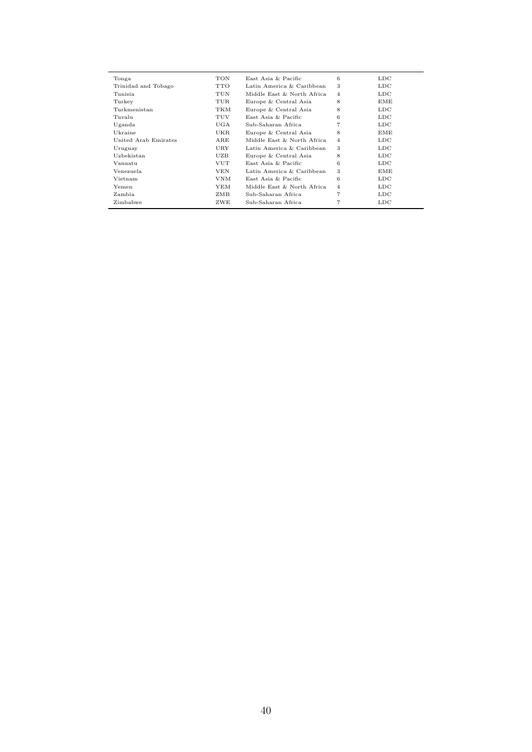| Tonga                | TON        | East Asia & Pacific        | 6              | $_{\text{LDC}}$ |
|----------------------|------------|----------------------------|----------------|-----------------|
| Trinidad and Tobago  | <b>TTO</b> | Latin America & Caribbean  | 3              | $_{\text{LDC}}$ |
| Tunisia              | TUN        | Middle East & North Africa | $\overline{4}$ | $_{\text{LDC}}$ |
| Turkey               | TUR        | Europe & Central Asia      | 8              | EME             |
| Turkmenistan         | TKM        | Europe & Central Asia      | 8              | $_{\text{LDC}}$ |
| Tuvalu               | TUV        | East Asia & Pacific        | 6              | $_{\text{LDC}}$ |
| Uganda               | UGA        | Sub-Saharan Africa         | $\overline{7}$ | $_{\text{LDC}}$ |
| Ukraine              | <b>UKR</b> | Europe & Central Asia      | 8              | EME             |
| United Arab Emirates | ARE        | Middle East & North Africa | $\overline{4}$ | $_{\text{LDC}}$ |
| Uruguay              | URY        | Latin America & Caribbean  | 3              | $_{\text{LDC}}$ |
| Uzbekistan           | UZB        | Europe & Central Asia      | 8              | $_{\text{LDC}}$ |
| Vanuatu              | <b>VUT</b> | East Asia & Pacific        | 6              | $_{\text{LDC}}$ |
| Venezuela.           | <b>VEN</b> | Latin America & Caribbean  | 3              | EME             |
| Vietnam              | <b>VNM</b> | East Asia & Pacific        | 6              | $_{\text{LDC}}$ |
| Yemen                | <b>YEM</b> | Middle East & North Africa | 4              | $_{\text{LDC}}$ |
| Zambia               | ZMB        | Sub-Saharan Africa         | $\overline{7}$ | $_{\text{LDC}}$ |
| Zimbabwe             | ZWE        | Sub-Saharan Africa         | $\overline{7}$ | $_{\text{LDC}}$ |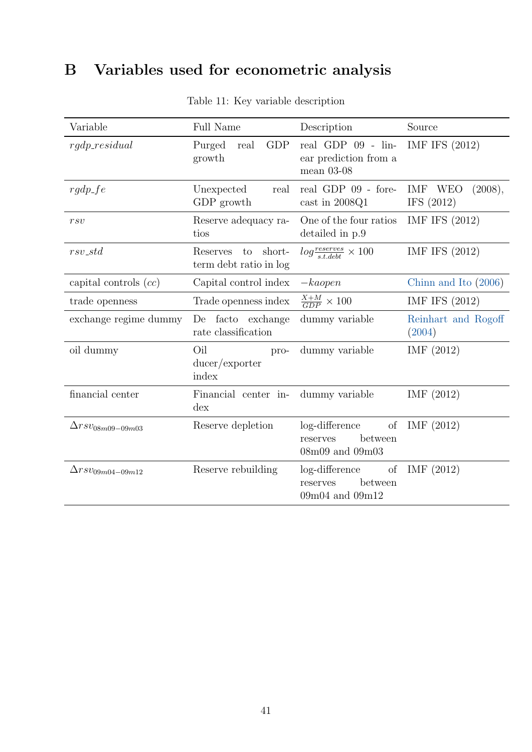# <span id="page-40-0"></span>B Variables used for econometric analysis

| Variable                   | <b>Full Name</b>                             | Description                                                             | Source                                |
|----------------------------|----------------------------------------------|-------------------------------------------------------------------------|---------------------------------------|
| $rqdp\_residual$           | <b>GDP</b><br>Purged<br>real<br>growth       | real GDP $09$ - $\text{lin}$ -<br>ear prediction from a<br>mean $03-08$ | IMF IFS (2012)                        |
| $rgdp\_fe$                 | Unexpected<br>real<br>GDP growth             | real GDP 09 - fore-<br>cast in 2008Q1                                   | (2008),<br>IMF<br>WEO<br>IFS $(2012)$ |
| rsv                        | Reserve adequacy ra-<br>tios                 | One of the four ratios<br>detailed in p.9                               | IMF IFS (2012)                        |
| $rsv\_std$                 | Reserves to short-<br>term debt ratio in log | $log\frac{reserves}{s t \cdot debt} \times 100$                         | IMF IFS (2012)                        |
| capital controls $(cc)$    | Capital control index                        | $-ka open$                                                              | Chinn and Ito $(2006)$                |
| trade openness             | Trade openness index                         | $\frac{X+M}{GDP} \times 100$                                            | IMF IFS (2012)                        |
| exchange regime dummy      | De facto exchange<br>rate classification     | dummy variable                                                          | Reinhart and Rogoff<br>(2004)         |
| oil dummy                  | Oil<br>pro-<br>ducer /expert<br>index        | dummy variable                                                          | IMF $(2012)$                          |
| financial center           | Financial center in-<br>$\frac{d}{dx}$       | dummy variable                                                          | IMF(2012)                             |
| $\Delta}rsv_{08m09-09m03}$ | Reserve depletion                            | log-difference of<br>between<br>reserves<br>08m09 and 09m03             | IMF(2012)                             |
| $\Delta rsv_{09m04-09m12}$ | Reserve rebuilding                           | log-difference of<br>between<br>reserves<br>$09m04$ and $09m12$         | IMF(2012)                             |

Table 11: Key variable description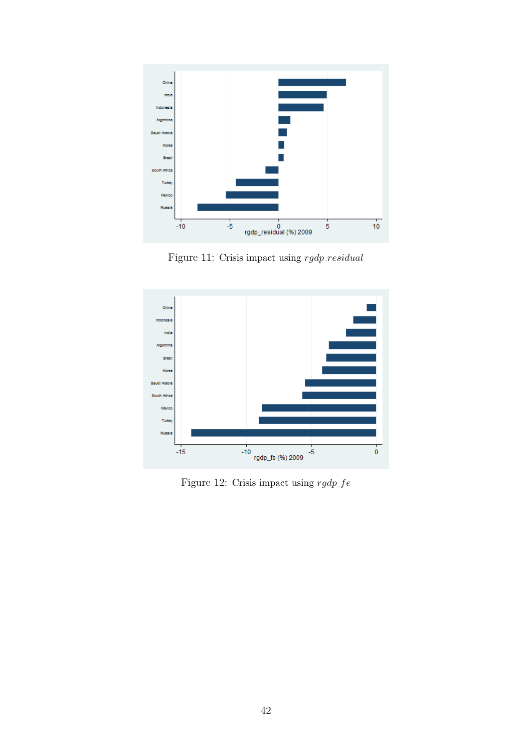<span id="page-41-0"></span>

Figure 11: Crisis impact using  $rgdp\_residual$ 

<span id="page-41-1"></span>

Figure 12: Crisis impact using  $rgdp\_fe$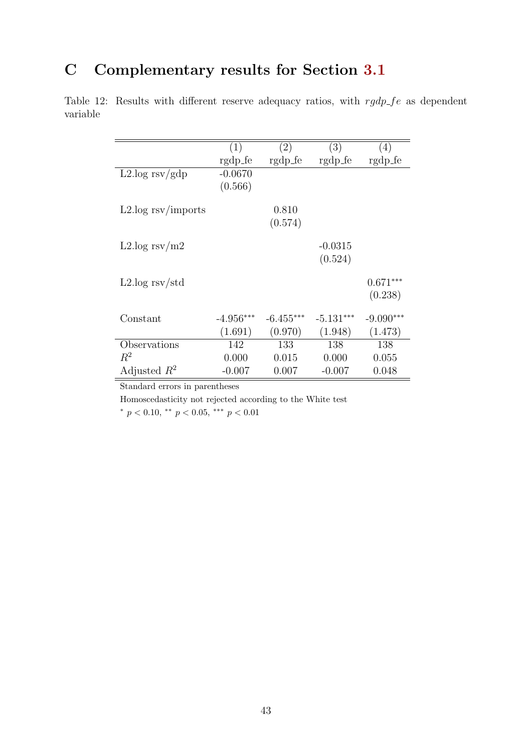# <span id="page-42-1"></span>C Complementary results for Section [3.1](#page-11-1)

<span id="page-42-0"></span>Table 12: Results with different reserve adequacy ratios, with  $rgdp\_fe$  as dependent variable

| (1)       | (2)                                                 | (3)                                                 | (4)                                                       |
|-----------|-----------------------------------------------------|-----------------------------------------------------|-----------------------------------------------------------|
|           |                                                     |                                                     | rgdp_fe                                                   |
| $-0.0670$ |                                                     |                                                     |                                                           |
|           |                                                     |                                                     |                                                           |
|           |                                                     |                                                     |                                                           |
|           | 0.810                                               |                                                     |                                                           |
|           |                                                     |                                                     |                                                           |
|           |                                                     |                                                     |                                                           |
|           |                                                     |                                                     |                                                           |
|           |                                                     |                                                     |                                                           |
|           |                                                     |                                                     |                                                           |
|           |                                                     |                                                     | $0.671***$                                                |
|           |                                                     |                                                     | (0.238)                                                   |
|           |                                                     |                                                     |                                                           |
|           |                                                     |                                                     | $-9.090***$                                               |
|           |                                                     |                                                     | (1.473)                                                   |
|           |                                                     |                                                     |                                                           |
|           |                                                     | 138                                                 | 138                                                       |
| 0.000     | 0.015                                               | 0.000                                               | 0.055                                                     |
| $-0.007$  | 0.007                                               | $-0.007$                                            | 0.048                                                     |
|           | rgdp_fe<br>(0.566)<br>$-4.956***$<br>(1.691)<br>142 | rgdp_fe<br>(0.574)<br>$-6.455***$<br>(0.970)<br>133 | rgdp_fe<br>$-0.0315$<br>(0.524)<br>$-5.131***$<br>(1.948) |

Standard errors in parentheses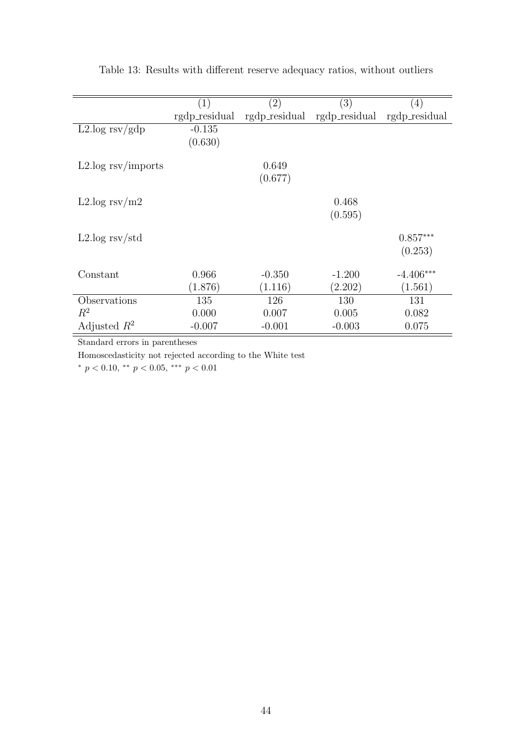|                                             | (1)           | $\left( 2\right)$ | $\left( 3\right)$ | $\left(4\right)$ |
|---------------------------------------------|---------------|-------------------|-------------------|------------------|
|                                             | rgdp_residual | rgdp_residual     | rgdp_residual     | rgdp_residual    |
| $L2 \log \frac{rsv}{gdp}$                   | $-0.135$      |                   |                   |                  |
|                                             | (0.630)       |                   |                   |                  |
|                                             |               |                   |                   |                  |
| $L2 \log \frac{\text{rsv}}{\text{imports}}$ |               | 0.649             |                   |                  |
|                                             |               | (0.677)           |                   |                  |
|                                             |               |                   |                   |                  |
| L2.log $rsv/m2$                             |               |                   | 0.468             |                  |
|                                             |               |                   | (0.595)           |                  |
| $L2 \log \frac{rsv}{std}$                   |               |                   |                   | $0.857***$       |
|                                             |               |                   |                   |                  |
|                                             |               |                   |                   | (0.253)          |
| Constant                                    | 0.966         | $-0.350$          | $-1.200$          | $-4.406***$      |
|                                             | (1.876)       | (1.116)           | (2.202)           | (1.561)          |
|                                             |               |                   |                   |                  |
| Observations                                | 135           | 126               | 130               | 131              |
| $R^2$                                       | 0.000         | 0.007             | 0.005             | 0.082            |
| Adjusted $R^2$                              | $-0.007$      | $-0.001$          | $-0.003$          | 0.075            |

<span id="page-43-0"></span>Table 13: Results with different reserve adequacy ratios, without outliers

Homoscedasticity not rejected according to the White test

\*  $p < 0.10$ , \*\*  $p < 0.05$ , \*\*\*  $p < 0.01$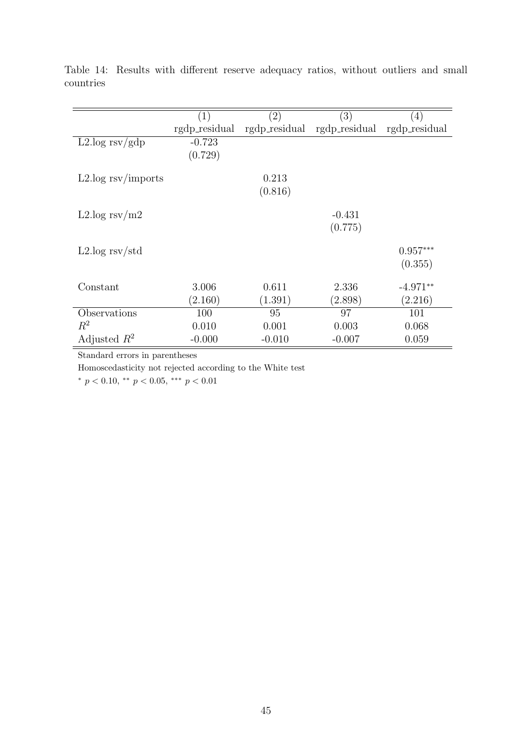|                                             | $\left( 1\right)$ | $\left( 2\right)$ | $\left( 3\right)$ | $\left(4\right)$ |
|---------------------------------------------|-------------------|-------------------|-------------------|------------------|
|                                             | rgdp_residual     | rgdp_residual     | rgdp_residual     | rgdp_residual    |
| $L2 \log \frac{rsv}{gdp}$                   | $-0.723$          |                   |                   |                  |
|                                             | (0.729)           |                   |                   |                  |
|                                             |                   |                   |                   |                  |
| $L2 \log \frac{\text{rsv}}{\text{imports}}$ |                   | 0.213             |                   |                  |
|                                             |                   | (0.816)           |                   |                  |
|                                             |                   |                   |                   |                  |
| L2.log $rsv/m2$                             |                   |                   | $-0.431$          |                  |
|                                             |                   |                   | (0.775)           |                  |
|                                             |                   |                   |                   |                  |
| $L2 \log$ rsv/std                           |                   |                   |                   | $0.957***$       |
|                                             |                   |                   |                   | (0.355)          |
|                                             |                   |                   |                   |                  |
| Constant                                    | 3.006             | 0.611             | 2.336             | $-4.971**$       |
|                                             | (2.160)           | (1.391)           | (2.898)           | (2.216)          |
| Observations                                | 100               | 95                | 97                | 101              |
| $R^2$                                       | 0.010             | 0.001             | 0.003             | 0.068            |
| Adjusted $R^2$                              | $-0.000$          | $-0.010$          | $-0.007$          | 0.059            |

<span id="page-44-0"></span>Table 14: Results with different reserve adequacy ratios, without outliers and small countries

Homoscedasticity not rejected according to the White test

 $*$   $p$   $<$   $0.10,$   $^{**}$   $p$   $<$   $0.05,$   $^{***}$   $p$   $<$   $0.01$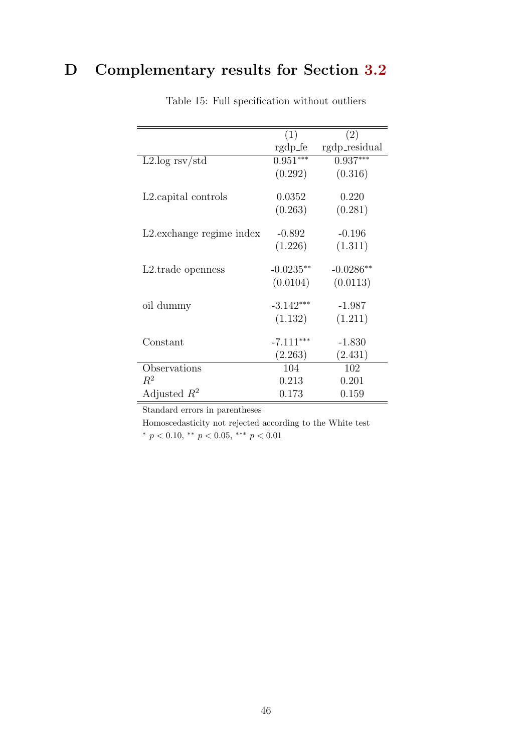# <span id="page-45-0"></span>D Complementary results for Section [3.2](#page-12-1)

|                                   | (1)         | (2)           |
|-----------------------------------|-------------|---------------|
|                                   | rgdp_fe     | rgdp_residual |
| $L2 \log$ rsv/std                 | $0.951***$  | $0.937***$    |
|                                   | (0.292)     | (0.316)       |
| L <sub>2</sub> . capital controls | 0.0352      | 0.220         |
|                                   | (0.263)     | (0.281)       |
| L2. exchange regime index         | $-0.892$    | $-0.196$      |
|                                   | (1.226)     | (1.311)       |
| L <sub>2</sub> .trade openness    | $-0.0235**$ | $-0.0286**$   |
|                                   | (0.0104)    | (0.0113)      |
| oil dummy                         | $-3.142***$ | $-1.987$      |
|                                   | (1.132)     | (1.211)       |
| Constant                          | $-7.111***$ | $-1.830$      |
|                                   | (2.263)     | (2.431)       |
| Observations                      | 104         | 102           |
| $R^2$                             | 0.213       | 0.201         |
| Adjusted $R^2$                    | 0.173       | 0.159         |

Table 15: Full specification without outliers

Standard errors in parentheses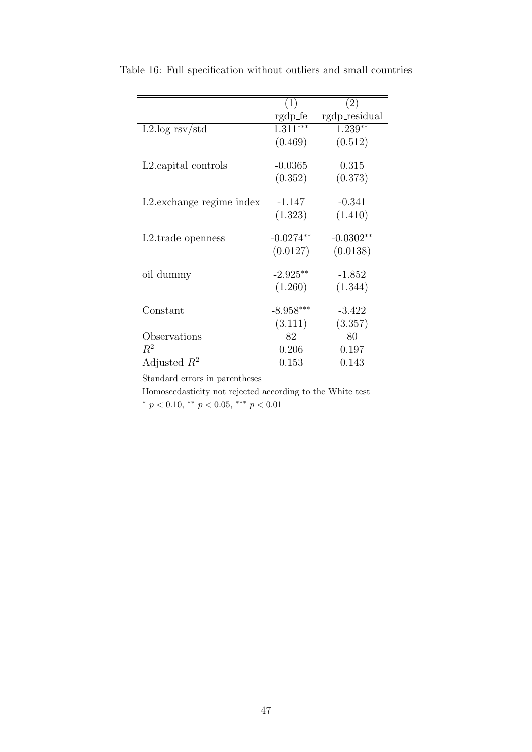|                                | (1)         | (2)           |
|--------------------------------|-------------|---------------|
|                                | rgdp_fe     | rgdp_residual |
| $L2 \log \frac{rsv}{std}$      | $1.311***$  | $1.239**$     |
|                                | (0.469)     | (0.512)       |
| L2.capital controls            | $-0.0365$   | 0.315         |
|                                | (0.352)     | (0.373)       |
|                                |             |               |
| L2. exchange regime index      | $-1.147$    | $-0.341$      |
|                                | (1.323)     | (1.410)       |
| L <sub>2</sub> .trade openness | $-0.0274**$ | $-0.0302**$   |
|                                | (0.0127)    | (0.0138)      |
| oil dummy                      | $-2.925**$  | $-1.852$      |
|                                | (1.260)     | (1.344)       |
| Constant                       | $-8.958***$ | $-3.422$      |
|                                |             |               |
|                                | (3.111)     | (3.357)       |
| Observations                   | 82          | 80            |
| $R^2$                          | 0.206       | 0.197         |
| Adjusted $R^2$                 | 0.153       | 0.143         |

Table 16: Full specification without outliers and small countries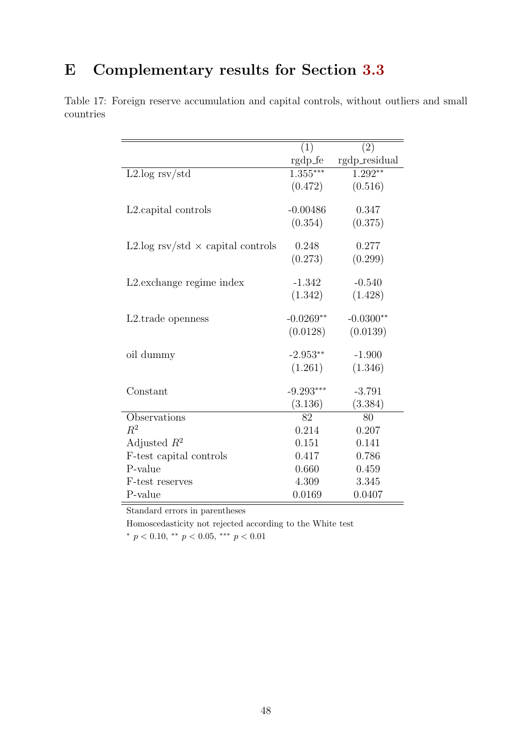# <span id="page-47-0"></span>E Complementary results for Section [3.3](#page-13-0)

<span id="page-47-1"></span>Table 17: Foreign reserve accumulation and capital controls, without outliers and small countries

|                                          | (1)         | (2)           |
|------------------------------------------|-------------|---------------|
|                                          | rgdp_fe     | rgdp_residual |
| $L2 \log rsv/std$                        | $1.355***$  | $1.292**$     |
|                                          | (0.472)     | (0.516)       |
|                                          |             |               |
| L <sub>2</sub> . capital controls        | $-0.00486$  | 0.347         |
|                                          | (0.354)     | (0.375)       |
|                                          |             |               |
| L2.log rsv/std $\times$ capital controls | 0.248       | 0.277         |
|                                          | (0.273)     | (0.299)       |
| L2. exchange regime index                | $-1.342$    | $-0.540$      |
|                                          | (1.342)     | (1.428)       |
|                                          |             |               |
| L <sub>2</sub> .trade openness           | $-0.0269**$ | $-0.0300**$   |
|                                          | (0.0128)    | (0.0139)      |
| oil dummy                                | $-2.953**$  | $-1.900$      |
|                                          | (1.261)     | (1.346)       |
|                                          |             |               |
| Constant                                 | $-9.293***$ | $-3.791$      |
|                                          | (3.136)     | (3.384)       |
| Observations                             | 82          | 80            |
| $R^2$                                    | 0.214       | 0.207         |
| Adjusted $R^2$                           | 0.151       | 0.141         |
| F-test capital controls                  | 0.417       | 0.786         |
| P-value                                  | 0.660       | 0.459         |
| F-test reserves                          | 4.309       | 3.345         |
| P-value                                  | 0.0169      | 0.0407        |

Standard errors in parentheses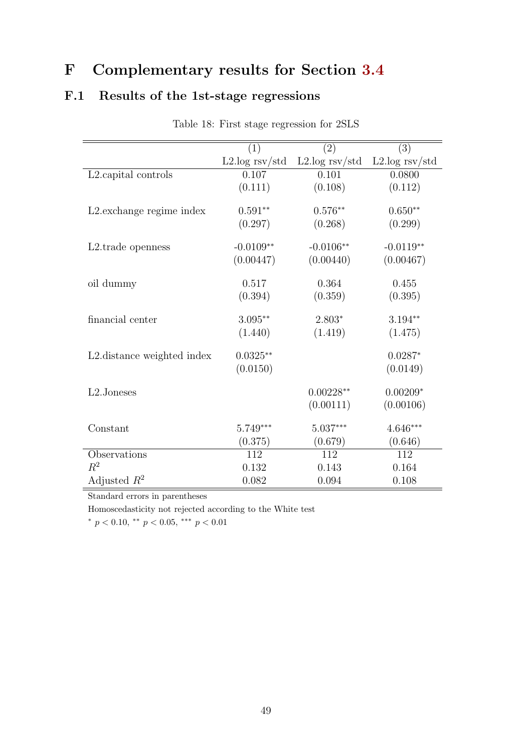# <span id="page-48-1"></span>F Complementary results for Section [3.4](#page-18-0)

## <span id="page-48-0"></span>F.1 Results of the 1st-stage regressions

|                                | (1)              | (2)              | (3)              |
|--------------------------------|------------------|------------------|------------------|
|                                | $L2.log$ rsv/std | $L2.log$ rsv/std | $L2.log$ rsv/std |
| L2.capital controls            | 0.107            | 0.101            | 0.0800           |
|                                | (0.111)          | (0.108)          | (0.112)          |
| L2. exchange regime index      | $0.591**$        | $0.576**$        | $0.650**$        |
|                                |                  |                  |                  |
|                                | (0.297)          | (0.268)          | (0.299)          |
| L <sub>2</sub> .trade openness | $-0.0109**$      | $-0.0106**$      | $-0.0119**$      |
|                                | (0.00447)        | (0.00440)        | (0.00467)        |
| oil dummy                      | 0.517            | 0.364            | 0.455            |
|                                | (0.394)          | (0.359)          | (0.395)          |
| financial center               | $3.095**$        | $2.803*$         | $3.194**$        |
|                                | (1.440)          | (1.419)          | (1.475)          |
| L2. distance weighted index    | $0.0325**$       |                  | $0.0287*$        |
|                                | (0.0150)         |                  | (0.0149)         |
| L2.Joneses                     |                  | $0.00228**$      | $0.00209*$       |
|                                |                  | (0.00111)        | (0.00106)        |
|                                |                  |                  |                  |
| Constant                       | $5.749***$       | $5.037***$       | $4.646***$       |
|                                | (0.375)          | (0.679)          | (0.646)          |
| Observations                   | 112              | 112              | 112              |
| $R^2$                          | 0.132            | 0.143            | 0.164            |
| Adjusted $R^2$                 | 0.082            | 0.094            | 0.108            |

Table 18: First stage regression for 2SLS

Standard errors in parentheses

Homoscedasticity not rejected according to the White test

<sup>∗</sup> p < 0.10, ∗∗ p < 0.05, ∗∗∗ p < 0.01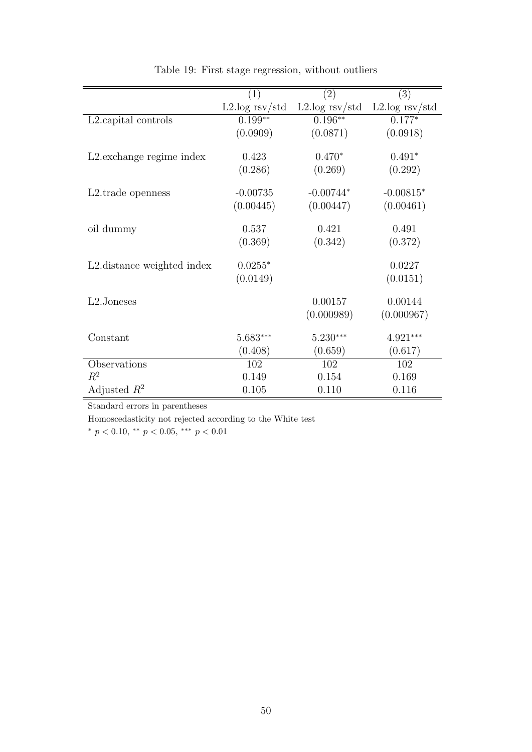<span id="page-49-0"></span>

|                                | (1)              | (2)              | (3)              |
|--------------------------------|------------------|------------------|------------------|
|                                | $L2.log$ rsv/std | $L2.log$ rsv/std | $L2.log$ rsv/std |
| L2.capital controls            | $0.199**$        | $0.196***$       | $0.177*$         |
|                                | (0.0909)         | (0.0871)         | (0.0918)         |
| L2. exchange regime index      | 0.423            | $0.470*$         | $0.491*$         |
|                                | (0.286)          | (0.269)          | (0.292)          |
| L <sub>2</sub> .trade openness | $-0.00735$       | $-0.00744*$      | $-0.00815*$      |
|                                | (0.00445)        | (0.00447)        | (0.00461)        |
| oil dummy                      | 0.537            | 0.421            | 0.491            |
|                                | (0.369)          | (0.342)          | (0.372)          |
| L2. distance weighted index    | $0.0255*$        |                  | 0.0227           |
|                                | (0.0149)         |                  | (0.0151)         |
| L2.Joneses                     |                  | 0.00157          | 0.00144          |
|                                |                  | (0.000989)       | (0.000967)       |
| Constant                       | $5.683***$       | $5.230***$       | $4.921***$       |
|                                | (0.408)          | (0.659)          | (0.617)          |
| Observations                   | 102              | 102              | 102              |
| $R^2$                          | 0.149            | 0.154            | 0.169            |
| Adjusted $R^2$                 | 0.105            | 0.110            | 0.116            |

Table 19: First stage regression, without outliers

Homoscedasticity not rejected according to the White test

 $*$   $p$   $<$   $0.10,$   $^{**}$   $p$   $<$   $0.05,$   $^{***}$   $p$   $<$   $0.01$